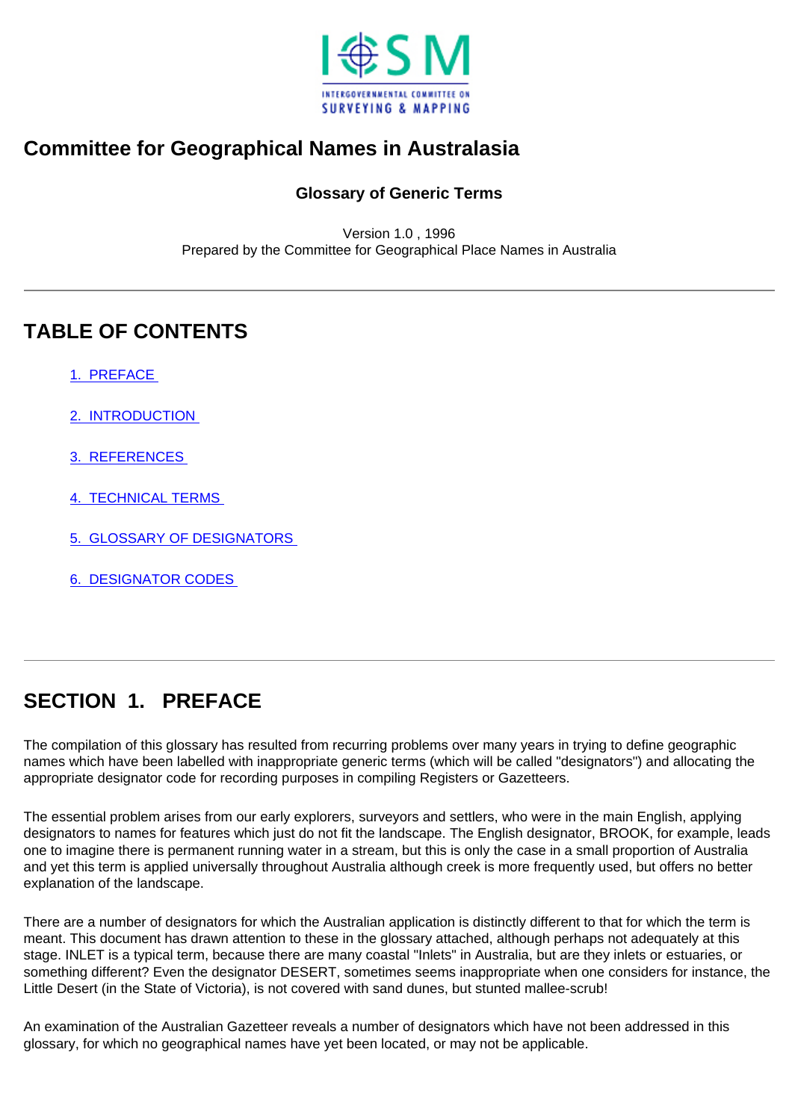

#### <span id="page-0-1"></span>**Committee for Geographical Names in Australasia**

#### **Glossary of Generic Terms**

Version 1.0 , 1996 Prepared by the Committee for Geographical Place Names in Australia

## **TABLE OF CONTENTS**

[1. PREFACE](#page-0-0)

[2. INTRODUCTION](#page-1-0) 

[3. REFERENCES](#page-1-1)

[4. TECHNICAL TERMS](#page-2-0)

[5. GLOSSARY OF DESIGNATORS](#page-4-0)

[6. DESIGNATOR CODES](#page-41-0) 

# <span id="page-0-0"></span>**SECTION 1. PREFACE**

The compilation of this glossary has resulted from recurring problems over many years in trying to define geographic names which have been labelled with inappropriate generic terms (which will be called "designators") and allocating the appropriate designator code for recording purposes in compiling Registers or Gazetteers.

The essential problem arises from our early explorers, surveyors and settlers, who were in the main English, applying designators to names for features which just do not fit the landscape. The English designator, BROOK, for example, leads one to imagine there is permanent running water in a stream, but this is only the case in a small proportion of Australia and yet this term is applied universally throughout Australia although creek is more frequently used, but offers no better explanation of the landscape.

There are a number of designators for which the Australian application is distinctly different to that for which the term is meant. This document has drawn attention to these in the glossary attached, although perhaps not adequately at this stage. INLET is a typical term, because there are many coastal "Inlets" in Australia, but are they inlets or estuaries, or something different? Even the designator DESERT, sometimes seems inappropriate when one considers for instance, the Little Desert (in the State of Victoria), is not covered with sand dunes, but stunted mallee-scrub!

An examination of the Australian Gazetteer reveals a number of designators which have not been addressed in this glossary, for which no geographical names have yet been located, or may not be applicable.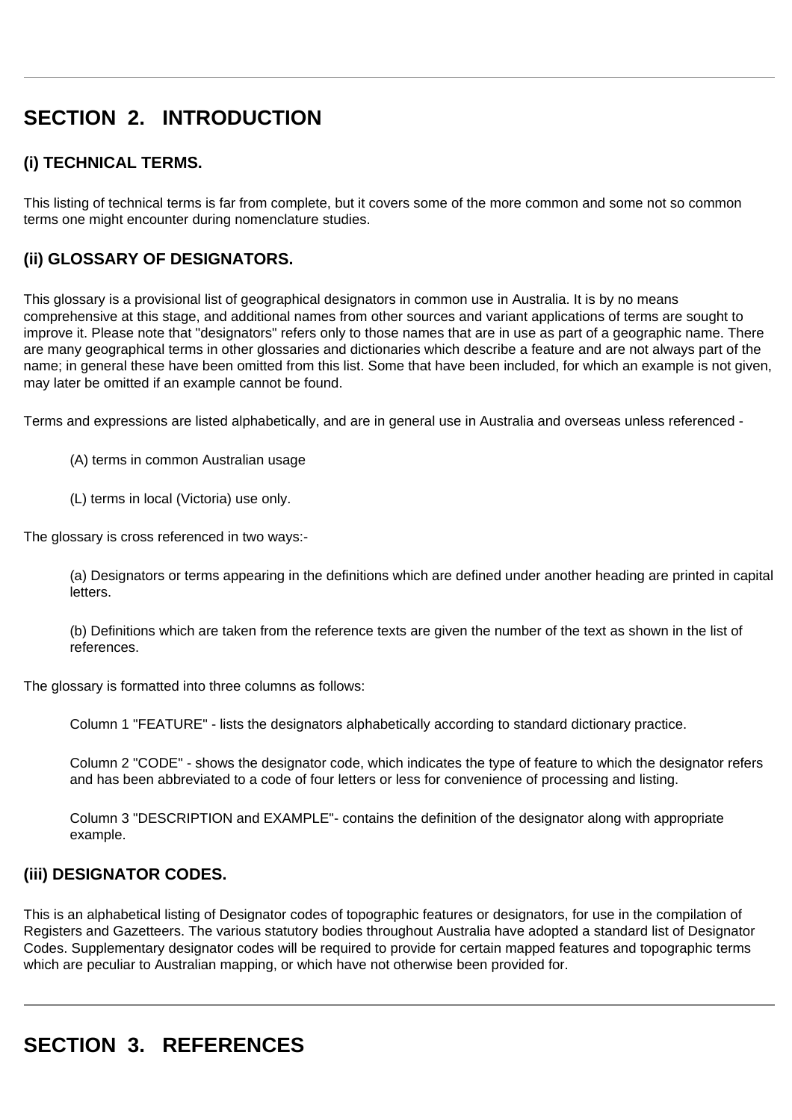# <span id="page-1-0"></span>**SECTION 2. INTRODUCTION**

#### **(i) TECHNICAL TERMS.**

This listing of technical terms is far from complete, but it covers some of the more common and some not so common terms one might encounter during nomenclature studies.

#### **(ii) GLOSSARY OF DESIGNATORS.**

This glossary is a provisional list of geographical designators in common use in Australia. It is by no means comprehensive at this stage, and additional names from other sources and variant applications of terms are sought to improve it. Please note that "designators" refers only to those names that are in use as part of a geographic name. There are many geographical terms in other glossaries and dictionaries which describe a feature and are not always part of the name; in general these have been omitted from this list. Some that have been included, for which an example is not given, may later be omitted if an example cannot be found.

Terms and expressions are listed alphabetically, and are in general use in Australia and overseas unless referenced -

(A) terms in common Australian usage

(L) terms in local (Victoria) use only.

The glossary is cross referenced in two ways:-

(a) Designators or terms appearing in the definitions which are defined under another heading are printed in capital letters.

(b) Definitions which are taken from the reference texts are given the number of the text as shown in the list of references.

The glossary is formatted into three columns as follows:

Column 1 "FEATURE" - lists the designators alphabetically according to standard dictionary practice.

Column 2 "CODE" - shows the designator code, which indicates the type of feature to which the designator refers and has been abbreviated to a code of four letters or less for convenience of processing and listing.

Column 3 "DESCRIPTION and EXAMPLE"- contains the definition of the designator along with appropriate example.

#### **(iii) DESIGNATOR CODES.**

This is an alphabetical listing of Designator codes of topographic features or designators, for use in the compilation of Registers and Gazetteers. The various statutory bodies throughout Australia have adopted a standard list of Designator Codes. Supplementary designator codes will be required to provide for certain mapped features and topographic terms which are peculiar to Australian mapping, or which have not otherwise been provided for.

# <span id="page-1-1"></span>**SECTION 3. REFERENCES**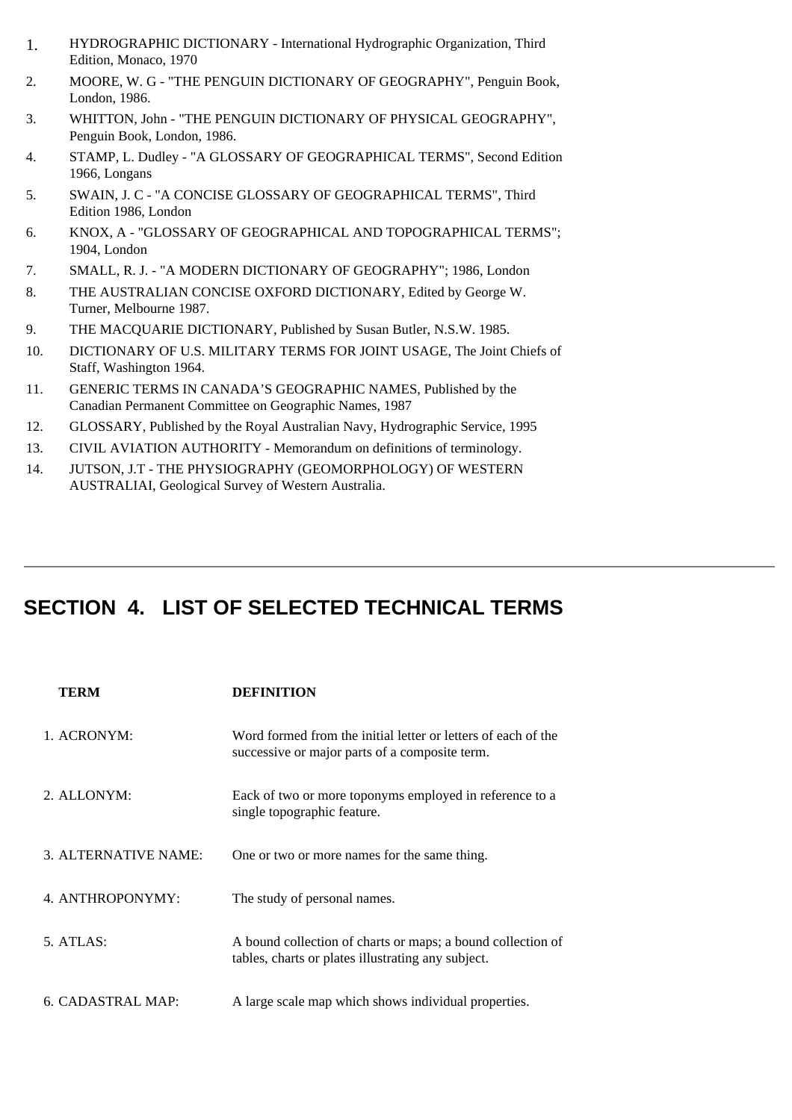- 1. HYDROGRAPHIC DICTIONARY International Hydrographic Organization, Third Edition, Monaco, 1970
- 2. MOORE, W. G "THE PENGUIN DICTIONARY OF GEOGRAPHY", Penguin Book, London, 1986.
- 3. WHITTON, John "THE PENGUIN DICTIONARY OF PHYSICAL GEOGRAPHY", Penguin Book, London, 1986.
- 4. STAMP, L. Dudley "A GLOSSARY OF GEOGRAPHICAL TERMS", Second Edition 1966, Longans
- 5. SWAIN, J. C "A CONCISE GLOSSARY OF GEOGRAPHICAL TERMS", Third Edition 1986, London
- 6. KNOX, A "GLOSSARY OF GEOGRAPHICAL AND TOPOGRAPHICAL TERMS"; 1904, London
- 7. SMALL, R. J. "A MODERN DICTIONARY OF GEOGRAPHY"; 1986, London
- 8. THE AUSTRALIAN CONCISE OXFORD DICTIONARY, Edited by George W. Turner, Melbourne 1987.
- 9. THE MACQUARIE DICTIONARY, Published by Susan Butler, N.S.W. 1985.
- 10. DICTIONARY OF U.S. MILITARY TERMS FOR JOINT USAGE, The Joint Chiefs of Staff, Washington 1964.
- 11. GENERIC TERMS IN CANADA'S GEOGRAPHIC NAMES, Published by the Canadian Permanent Committee on Geographic Names, 1987
- 12. GLOSSARY, Published by the Royal Australian Navy, Hydrographic Service, 1995
- 13. CIVIL AVIATION AUTHORITY Memorandum on definitions of terminology.
- 14. JUTSON, J.T THE PHYSIOGRAPHY (GEOMORPHOLOGY) OF WESTERN AUSTRALIAI, Geological Survey of Western Australia.

## <span id="page-2-0"></span>**SECTION 4. LIST OF SELECTED TECHNICAL TERMS**

| <b>TERM</b>          | <b>DEFINITION</b>                                                                                                 |
|----------------------|-------------------------------------------------------------------------------------------------------------------|
| 1. ACRONYM:          | Word formed from the initial letter or letters of each of the<br>successive or major parts of a composite term.   |
| 2. ALLONYM:          | Eack of two or more toponyms employed in reference to a<br>single topographic feature.                            |
| 3. ALTERNATIVE NAME: | One or two or more names for the same thing.                                                                      |
| 4. ANTHROPONYMY:     | The study of personal names.                                                                                      |
| 5. ATLAS:            | A bound collection of charts or maps; a bound collection of<br>tables, charts or plates illustrating any subject. |
| 6. CADASTRAL MAP:    | A large scale map which shows individual properties.                                                              |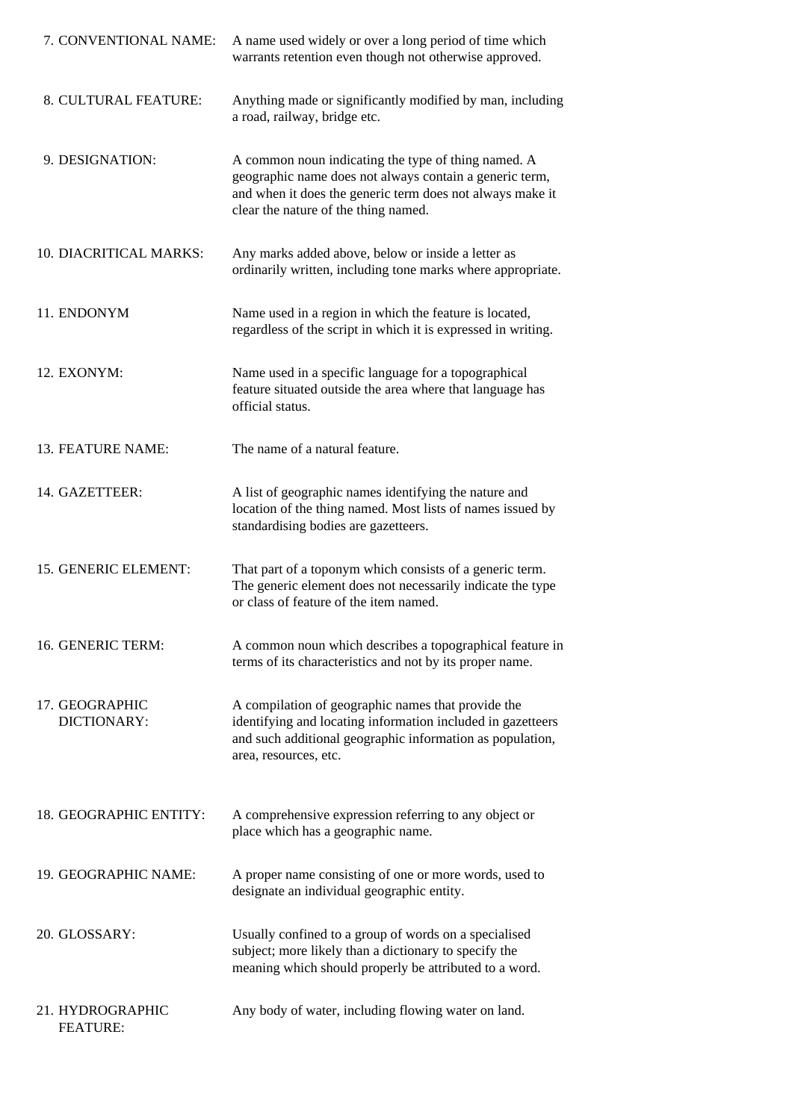| 7. CONVENTIONAL NAME:               | A name used widely or over a long period of time which<br>warrants retention even though not otherwise approved.                                                                                                    |
|-------------------------------------|---------------------------------------------------------------------------------------------------------------------------------------------------------------------------------------------------------------------|
| 8. CULTURAL FEATURE:                | Anything made or significantly modified by man, including<br>a road, railway, bridge etc.                                                                                                                           |
| 9. DESIGNATION:                     | A common noun indicating the type of thing named. A<br>geographic name does not always contain a generic term,<br>and when it does the generic term does not always make it<br>clear the nature of the thing named. |
| 10. DIACRITICAL MARKS:              | Any marks added above, below or inside a letter as<br>ordinarily written, including tone marks where appropriate.                                                                                                   |
| 11. ENDONYM                         | Name used in a region in which the feature is located,<br>regardless of the script in which it is expressed in writing.                                                                                             |
| 12. EXONYM:                         | Name used in a specific language for a topographical<br>feature situated outside the area where that language has<br>official status.                                                                               |
| 13. FEATURE NAME:                   | The name of a natural feature.                                                                                                                                                                                      |
| 14. GAZETTEER:                      | A list of geographic names identifying the nature and<br>location of the thing named. Most lists of names issued by<br>standardising bodies are gazetteers.                                                         |
| 15. GENERIC ELEMENT:                | That part of a toponym which consists of a generic term.<br>The generic element does not necessarily indicate the type<br>or class of feature of the item named.                                                    |
| 16. GENERIC TERM:                   | A common noun which describes a topographical feature in<br>terms of its characteristics and not by its proper name.                                                                                                |
| 17. GEOGRAPHIC<br>DICTIONARY:       | A compilation of geographic names that provide the<br>identifying and locating information included in gazetteers<br>and such additional geographic information as population,<br>area, resources, etc.             |
| 18. GEOGRAPHIC ENTITY:              | A comprehensive expression referring to any object or<br>place which has a geographic name.                                                                                                                         |
| 19. GEOGRAPHIC NAME:                | A proper name consisting of one or more words, used to<br>designate an individual geographic entity.                                                                                                                |
| 20. GLOSSARY:                       | Usually confined to a group of words on a specialised<br>subject; more likely than a dictionary to specify the<br>meaning which should properly be attributed to a word.                                            |
| 21. HYDROGRAPHIC<br><b>FEATURE:</b> | Any body of water, including flowing water on land.                                                                                                                                                                 |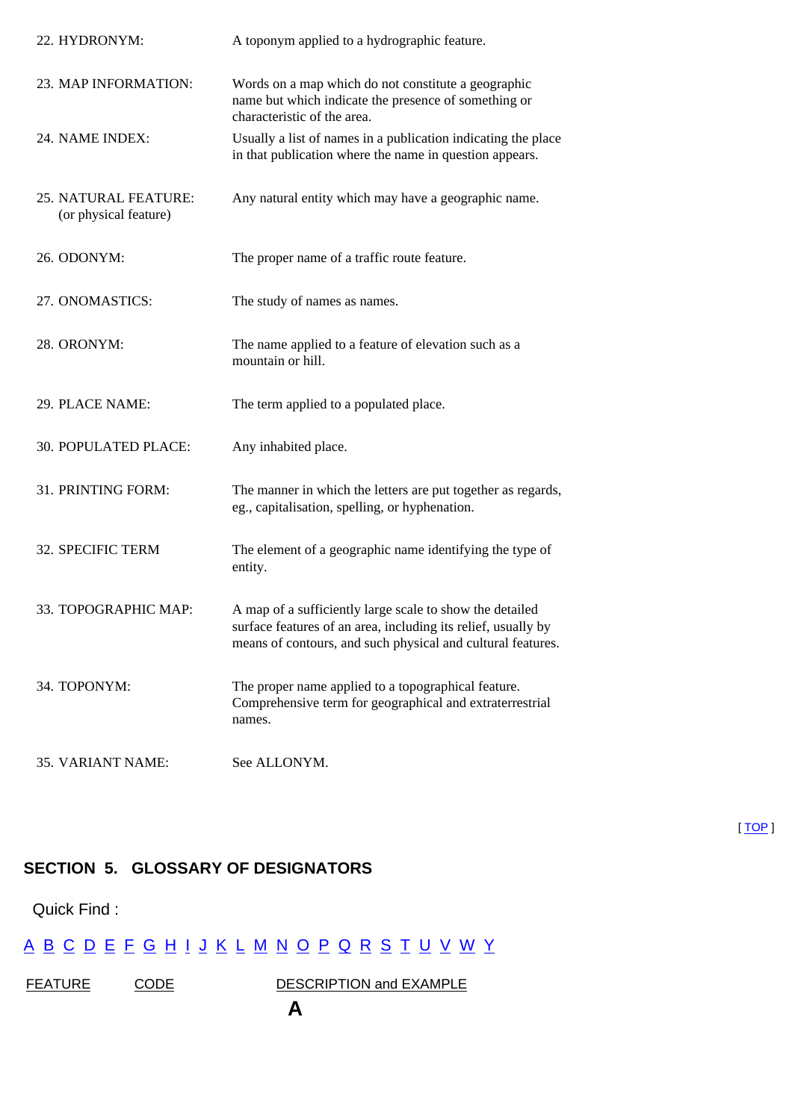| 22. HYDRONYM:                                 | A toponym applied to a hydrographic feature.                                                                                                                                             |
|-----------------------------------------------|------------------------------------------------------------------------------------------------------------------------------------------------------------------------------------------|
| 23. MAP INFORMATION:                          | Words on a map which do not constitute a geographic<br>name but which indicate the presence of something or<br>characteristic of the area.                                               |
| 24. NAME INDEX:                               | Usually a list of names in a publication indicating the place<br>in that publication where the name in question appears.                                                                 |
| 25. NATURAL FEATURE:<br>(or physical feature) | Any natural entity which may have a geographic name.                                                                                                                                     |
| 26. ODONYM:                                   | The proper name of a traffic route feature.                                                                                                                                              |
| 27. ONOMASTICS:                               | The study of names as names.                                                                                                                                                             |
| 28. ORONYM:                                   | The name applied to a feature of elevation such as a<br>mountain or hill.                                                                                                                |
| 29. PLACE NAME:                               | The term applied to a populated place.                                                                                                                                                   |
| 30. POPULATED PLACE:                          | Any inhabited place.                                                                                                                                                                     |
| 31. PRINTING FORM:                            | The manner in which the letters are put together as regards,<br>eg., capitalisation, spelling, or hyphenation.                                                                           |
| 32. SPECIFIC TERM                             | The element of a geographic name identifying the type of<br>entity.                                                                                                                      |
| 33. TOPOGRAPHIC MAP:                          | A map of a sufficiently large scale to show the detailed<br>surface features of an area, including its relief, usually by<br>means of contours, and such physical and cultural features. |
| 34. TOPONYM:                                  | The proper name applied to a topographical feature.<br>Comprehensive term for geographical and extraterrestrial<br>names.                                                                |
| 35. VARIANT NAME:                             | See ALLONYM.                                                                                                                                                                             |

#### <span id="page-4-0"></span>**SECTION 5. GLOSSARY OF DESIGNATORS**

Quick Find :

#### [A](#page-41-1) [B](#page-42-0) [C](#page-43-0) [D](#page-44-0) [E](#page-44-1) [F](#page-44-2) [G](#page-45-0) [H](#page-45-1) [I](#page-45-2) [J](#page-46-0) [K](#page-22-0) [L](#page-46-1) [M](#page-46-2) [N](#page-25-0) [O](#page-26-0) [P](#page-46-3) [Q](#page-48-0) [R](#page-48-1) [S](#page-49-0) [T](#page-50-0) [U](#page-38-0) [V](#page-50-1) [W](#page-50-2) Y

FEATURE CODE DESCRIPTION and EXAMPLE

[ [TOP](#page-0-1) ]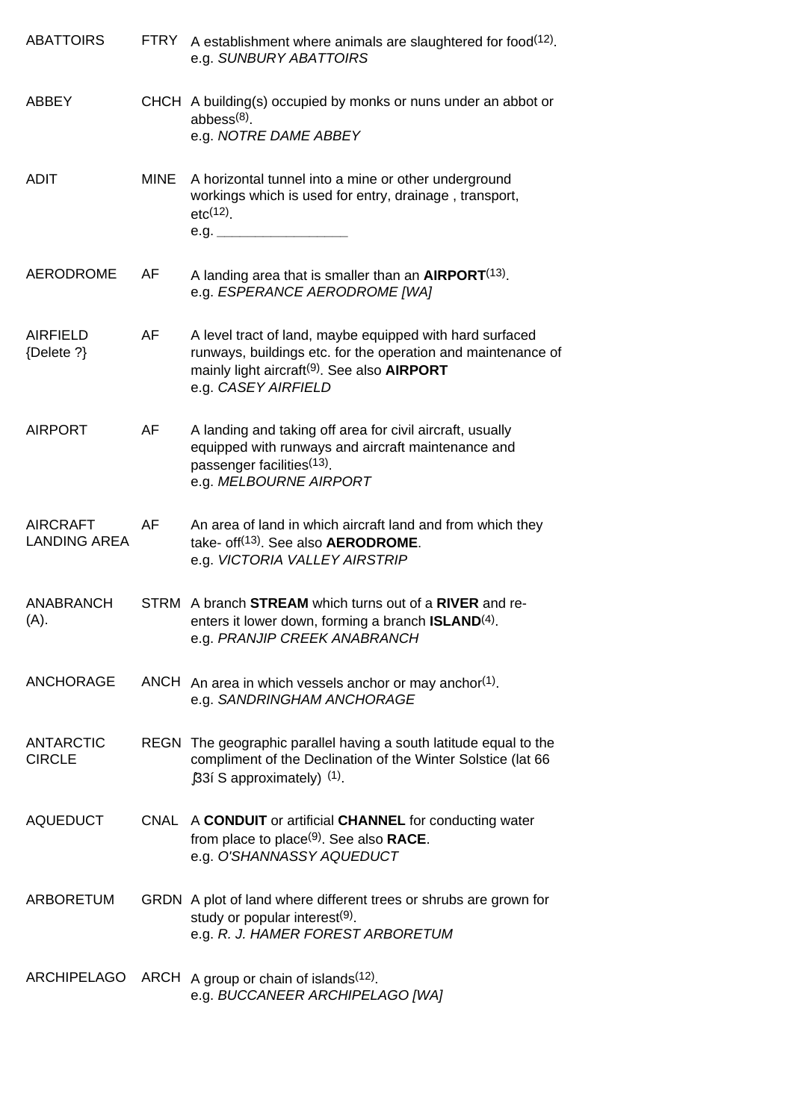| <b>ABATTOIRS</b>                       | <b>FTRY</b> | A establishment where animals are slaughtered for food(12).<br>e.g. SUNBURY ABATTOIRS                                                                                                                             |
|----------------------------------------|-------------|-------------------------------------------------------------------------------------------------------------------------------------------------------------------------------------------------------------------|
| <b>ABBEY</b>                           |             | CHCH A building(s) occupied by monks or nuns under an abbot or<br>abbess $(8)$ .<br>e.g. NOTRE DAME ABBEY                                                                                                         |
| <b>ADIT</b>                            | <b>MINE</b> | A horizontal tunnel into a mine or other underground<br>workings which is used for entry, drainage, transport,<br>$etc(12)$ .                                                                                     |
| <b>AERODROME</b>                       | AF          | A landing area that is smaller than an $AIRPORT(13)$ .<br>e.g. ESPERANCE AERODROME [WA]                                                                                                                           |
| <b>AIRFIELD</b><br>{Delete ?}          | AF          | A level tract of land, maybe equipped with hard surfaced<br>runways, buildings etc. for the operation and maintenance of<br>mainly light aircraft <sup>(9)</sup> . See also <b>AIRPORT</b><br>e.g. CASEY AIRFIELD |
| <b>AIRPORT</b>                         | AF          | A landing and taking off area for civil aircraft, usually<br>equipped with runways and aircraft maintenance and<br>passenger facilities <sup>(13)</sup> .<br>e.g. MELBOURNE AIRPORT                               |
| <b>AIRCRAFT</b><br><b>LANDING AREA</b> | AF          | An area of land in which aircraft land and from which they<br>take- off <sup>(13)</sup> . See also AERODROME.<br>e.g. VICTORIA VALLEY AIRSTRIP                                                                    |
| <b>ANABRANCH</b><br>(A).               |             | STRM A branch <b>STREAM</b> which turns out of a RIVER and re-<br>enters it lower down, forming a branch <b>ISLAND</b> <sup>(4)</sup> .<br>e.g. PRANJIP CREEK ANABRANCH                                           |
| <b>ANCHORAGE</b>                       |             | ANCH An area in which vessels anchor or may anchor(1).<br>e.g. SANDRINGHAM ANCHORAGE                                                                                                                              |
| <b>ANTARCTIC</b><br><b>CIRCLE</b>      |             | REGN The geographic parallel having a south latitude equal to the<br>compliment of the Declination of the Winter Solstice (lat 66<br>$[33$ i S approximately) $(1)$ .                                             |
| <b>AQUEDUCT</b>                        |             | CNAL A CONDUIT or artificial CHANNEL for conducting water<br>from place to place $(9)$ . See also RACE.<br>e.g. O'SHANNASSY AQUEDUCT                                                                              |
| ARBORETUM                              |             | GRDN A plot of land where different trees or shrubs are grown for<br>study or popular interest(9).<br>e.g. R. J. HAMER FOREST ARBORETUM                                                                           |
| <b>ARCHIPELAGO</b>                     |             | ARCH A group or chain of islands $(12)$ .<br>e.g. BUCCANEER ARCHIPELAGO [WA]                                                                                                                                      |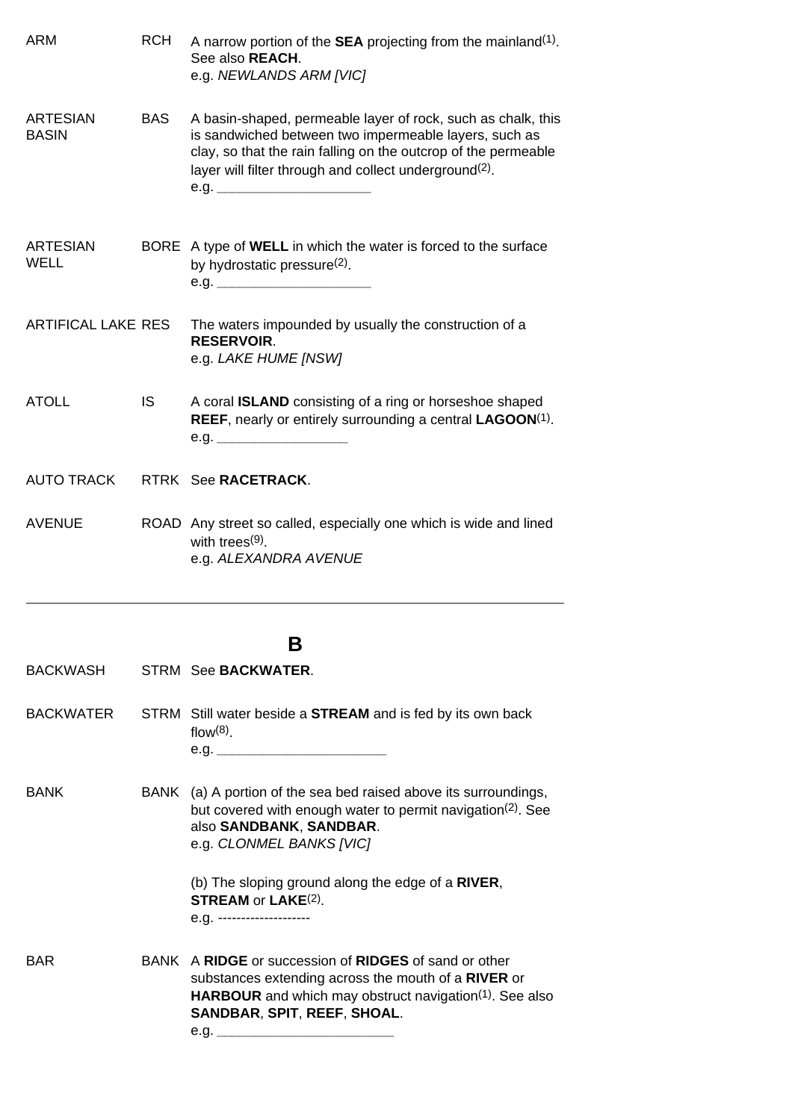| ARM                             | <b>RCH</b> | A narrow portion of the <b>SEA</b> projecting from the mainland <sup>(1)</sup> .<br>See also REACH.<br>e.g. NEWLANDS ARM [VIC]                                                                                                                                        |
|---------------------------------|------------|-----------------------------------------------------------------------------------------------------------------------------------------------------------------------------------------------------------------------------------------------------------------------|
| <b>ARTESIAN</b><br><b>BASIN</b> | <b>BAS</b> | A basin-shaped, permeable layer of rock, such as chalk, this<br>is sandwiched between two impermeable layers, such as<br>clay, so that the rain falling on the outcrop of the permeable<br>layer will filter through and collect underground <sup>(2)</sup> .<br>e.g. |
| <b>ARTESIAN</b><br>WELL         |            | BORE A type of WELL in which the water is forced to the surface<br>by hydrostatic pressure <sup>(2)</sup> .<br>e.g.                                                                                                                                                   |
| <b>ARTIFICAL LAKE RES</b>       |            | The waters impounded by usually the construction of a<br><b>RESERVOIR.</b><br>e.g. LAKE HUME [NSW]                                                                                                                                                                    |
| <b>ATOLL</b>                    | IS.        | A coral <b>ISLAND</b> consisting of a ring or horseshoe shaped<br><b>REEF, nearly or entirely surrounding a central LAGOON(1).</b><br>e.g.                                                                                                                            |
| <b>AUTO TRACK</b>               |            | RTRK See RACETRACK.                                                                                                                                                                                                                                                   |
| <b>AVENUE</b>                   |            | ROAD Any street so called, especially one which is wide and lined<br>with trees $(9)$ .<br>e.g. ALEXANDRA AVENUE                                                                                                                                                      |
|                                 |            | в                                                                                                                                                                                                                                                                     |
| <b>BACKWASH</b>                 |            | STRM See <b>BACKWATER.</b>                                                                                                                                                                                                                                            |
| <b>BACKWATER</b>                |            | STRM Still water beside a <b>STREAM</b> and is fed by its own back<br>$flow(8)$ .<br>e.g.                                                                                                                                                                             |
| <b>DANII</b>                    |            | $\mathbf{DAAIIZ}$ $(A2)$ A montion of the specified actual above the company                                                                                                                                                                                          |

BANK BANK (a) A portion of the sea bed raised above its surroundings, but covered with enough water to permit navigation(2). See also **SANDBANK**, **SANDBAR**. e.g. *CLONMEL BANKS [VIC]*

> (b) The sloping ground along the edge of a **RIVER**, **STREAM** or **LAKE**(2). e.g. *--------------------*

BAR BANK A **RIDGE** or succession of **RIDGES** of sand or other substances extending across the mouth of a **RIVER** or **HARBOUR** and which may obstruct navigation<sup>(1)</sup>. See also **SANDBAR**, **SPIT**, **REEF**, **SHOAL**. e.g. *\_\_\_\_\_\_\_\_\_\_\_\_\_\_\_\_\_\_\_\_\_\_\_*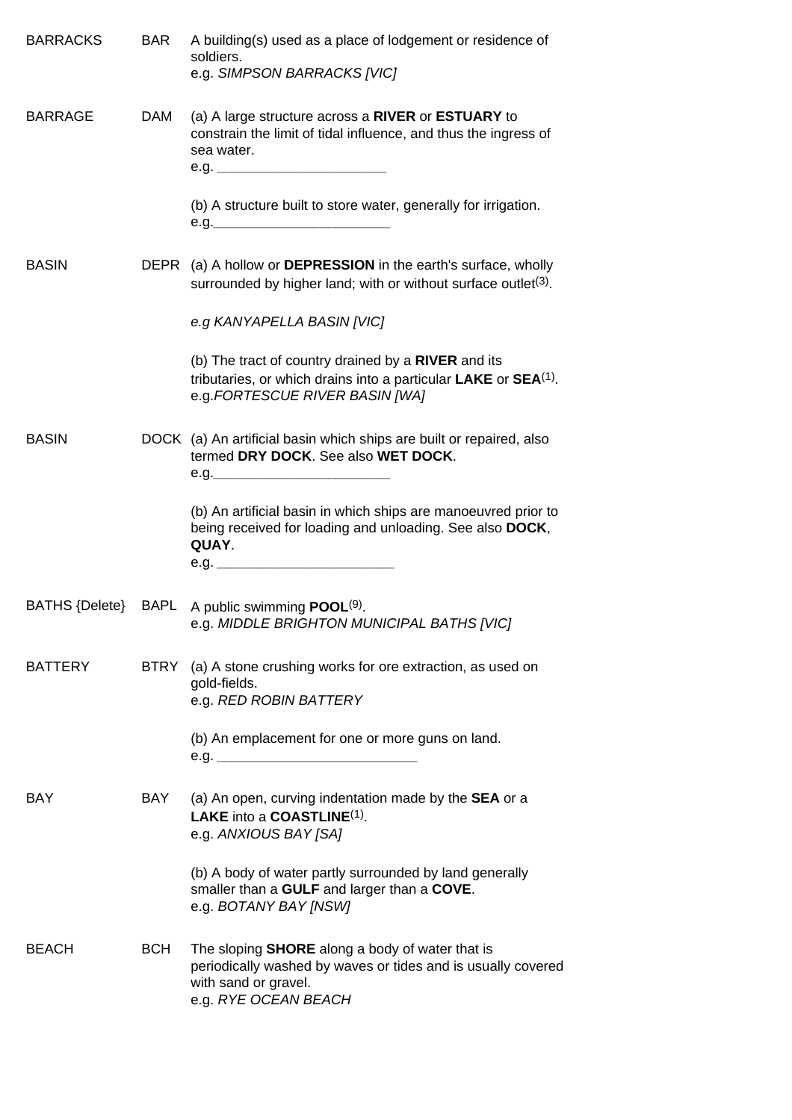| <b>BARRACKS</b> | BAR        | A building(s) used as a place of lodgement or residence of<br>soldiers.<br>e.g. SIMPSON BARRACKS [VIC]                                                                                                 |
|-----------------|------------|--------------------------------------------------------------------------------------------------------------------------------------------------------------------------------------------------------|
| <b>BARRAGE</b>  | DAM        | (a) A large structure across a RIVER or ESTUARY to<br>constrain the limit of tidal influence, and thus the ingress of<br>sea water.<br>(b) A structure built to store water, generally for irrigation. |
|                 |            |                                                                                                                                                                                                        |
| <b>BASIN</b>    |            | DEPR (a) A hollow or <b>DEPRESSION</b> in the earth's surface, wholly<br>surrounded by higher land; with or without surface outlet <sup>(3)</sup> .                                                    |
|                 |            | e.g KANYAPELLA BASIN [VIC]                                                                                                                                                                             |
|                 |            | (b) The tract of country drained by a RIVER and its<br>tributaries, or which drains into a particular $LAKE$ or $SEA(1)$ .<br>e.g.FORTESCUE RIVER BASIN [WA]                                           |
| <b>BASIN</b>    |            | DOCK (a) An artificial basin which ships are built or repaired, also<br>termed DRY DOCK. See also WET DOCK.<br>e.g.                                                                                    |
|                 |            | (b) An artificial basin in which ships are manoeuvred prior to<br>being received for loading and unloading. See also DOCK,<br>QUAY.                                                                    |
|                 |            |                                                                                                                                                                                                        |
| BATHS {Delete}  |            | BAPL A public swimming $\text{POOL}^{(9)}$ .<br>e.g. MIDDLE BRIGHTON MUNICIPAL BATHS [VIC]                                                                                                             |
| <b>BATTERY</b>  | BTRY       | (a) A stone crushing works for ore extraction, as used on<br>gold-fields.<br>e.g. RED ROBIN BATTERY                                                                                                    |
|                 |            |                                                                                                                                                                                                        |
|                 |            | (b) An emplacement for one or more guns on land.                                                                                                                                                       |
| <b>BAY</b>      | BAY        | (a) An open, curving indentation made by the <b>SEA</b> or a<br>LAKE into a COASTLINE(1).<br>e.g. ANXIOUS BAY [SA]                                                                                     |
|                 |            | (b) A body of water partly surrounded by land generally<br>smaller than a GULF and larger than a COVE.<br>e.g. BOTANY BAY [NSW]                                                                        |
| <b>BEACH</b>    | <b>BCH</b> | The sloping <b>SHORE</b> along a body of water that is<br>periodically washed by waves or tides and is usually covered<br>with sand or gravel.<br>e.g. RYE OCEAN BEACH                                 |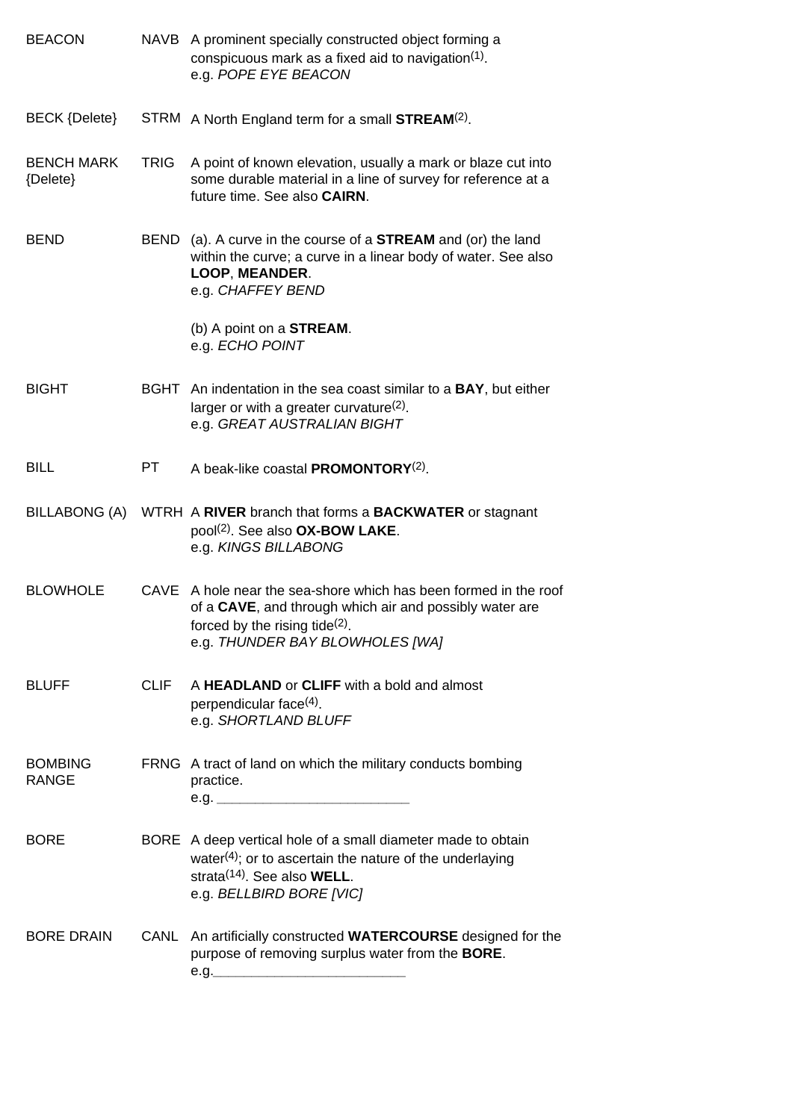| <b>BEACON</b>                  |             | NAVB A prominent specially constructed object forming a<br>conspicuous mark as a fixed aid to navigation $(1)$ .<br>e.g. POPE EYE BEACON                                                           |
|--------------------------------|-------------|----------------------------------------------------------------------------------------------------------------------------------------------------------------------------------------------------|
| <b>BECK {Delete}</b>           |             | STRM A North England term for a small <b>STREAM(2)</b> .                                                                                                                                           |
| <b>BENCH MARK</b><br>{Delete}  | <b>TRIG</b> | A point of known elevation, usually a mark or blaze cut into<br>some durable material in a line of survey for reference at a<br>future time. See also <b>CAIRN</b> .                               |
| <b>BEND</b>                    |             | BEND (a). A curve in the course of a <b>STREAM</b> and (or) the land<br>within the curve; a curve in a linear body of water. See also<br>LOOP, MEANDER.<br>e.g. CHAFFEY BEND                       |
|                                |             | (b) A point on a <b>STREAM</b> .<br>e.g. ECHO POINT                                                                                                                                                |
| <b>BIGHT</b>                   |             | BGHT An indentation in the sea coast similar to a BAY, but either<br>larger or with a greater curvature $(2)$ .<br>e.g. GREAT AUSTRALIAN BIGHT                                                     |
| <b>BILL</b>                    | PT.         | A beak-like coastal PROMONTORY <sup>(2)</sup> .                                                                                                                                                    |
| BILLABONG (A)                  |             | WTRH A RIVER branch that forms a <b>BACKWATER</b> or stagnant<br>pool <sup>(2)</sup> . See also <b>OX-BOW LAKE</b> .<br>e.g. KINGS BILLABONG                                                       |
| <b>BLOWHOLE</b>                |             | CAVE A hole near the sea-shore which has been formed in the roof<br>of a CAVE, and through which air and possibly water are<br>forced by the rising tide(2).<br>e.g. THUNDER BAY BLOWHOLES [WA]    |
| <b>BLUFF</b>                   | <b>CLIF</b> | A HEADLAND or CLIFF with a bold and almost<br>perpendicular face <sup>(4)</sup> .<br>e.g. SHORTLAND BLUFF                                                                                          |
| <b>BOMBING</b><br><b>RANGE</b> |             | FRNG A tract of land on which the military conducts bombing<br>practice.                                                                                                                           |
| <b>BORE</b>                    |             | BORE A deep vertical hole of a small diameter made to obtain<br>water $(4)$ ; or to ascertain the nature of the underlaying<br>strata <sup>(14)</sup> . See also WELL.<br>e.g. BELLBIRD BORE [VIC] |
| <b>BORE DRAIN</b>              | CANL        | An artificially constructed WATERCOURSE designed for the<br>purpose of removing surplus water from the <b>BORE</b> .<br>e.g.______                                                                 |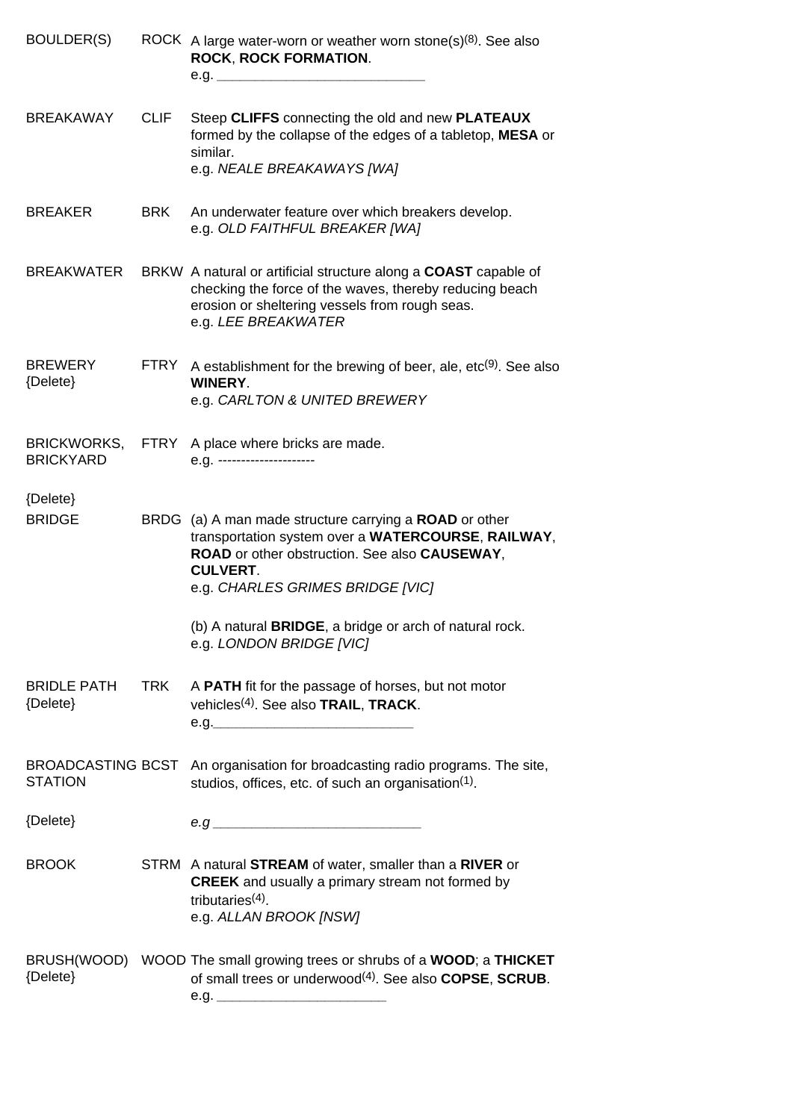| BOULDER(S)                             |             | ROCK A large water-worn or weather worn stone(s) $(8)$ . See also<br><b>ROCK, ROCK FORMATION.</b><br>e.g.                                                                                                            |
|----------------------------------------|-------------|----------------------------------------------------------------------------------------------------------------------------------------------------------------------------------------------------------------------|
| <b>BREAKAWAY</b>                       | <b>CLIF</b> | Steep CLIFFS connecting the old and new PLATEAUX<br>formed by the collapse of the edges of a tabletop, MESA or<br>similar.<br>e.g. NEALE BREAKAWAYS [WA]                                                             |
| <b>BREAKER</b>                         | <b>BRK</b>  | An underwater feature over which breakers develop.<br>e.g. OLD FAITHFUL BREAKER [WA]                                                                                                                                 |
| <b>BREAKWATER</b>                      |             | BRKW A natural or artificial structure along a COAST capable of<br>checking the force of the waves, thereby reducing beach<br>erosion or sheltering vessels from rough seas.<br>e.g. LEE BREAKWATER                  |
| <b>BREWERY</b><br>{Delete}             | FTRY        | A establishment for the brewing of beer, ale, $etc(9)$ . See also<br><b>WINERY.</b><br>e.g. CARLTON & UNITED BREWERY                                                                                                 |
| <b>BRICKWORKS,</b><br><b>BRICKYARD</b> | FTRY        | A place where bricks are made.<br>e.g. ----------------------                                                                                                                                                        |
| {Delete}<br><b>BRIDGE</b>              |             | BRDG (a) A man made structure carrying a ROAD or other<br>transportation system over a WATERCOURSE, RAILWAY,<br>ROAD or other obstruction. See also CAUSEWAY,<br><b>CULVERT.</b><br>e.g. CHARLES GRIMES BRIDGE [VIC] |
|                                        |             | (b) A natural <b>BRIDGE</b> , a bridge or arch of natural rock.<br>e.g. LONDON BRIDGE [VIC]                                                                                                                          |
| <b>BRIDLE PATH</b><br>{Delete}         | TRK         | A PATH fit for the passage of horses, but not motor<br>vehicles <sup>(4)</sup> . See also TRAIL, TRACK.<br>e.g.                                                                                                      |
| <b>STATION</b>                         |             | BROADCASTING BCST An organisation for broadcasting radio programs. The site,<br>studios, offices, etc. of such an organisation(1).                                                                                   |
| {Delete}                               |             |                                                                                                                                                                                                                      |
| <b>BROOK</b>                           |             | STRM A natural STREAM of water, smaller than a RIVER or<br><b>CREEK</b> and usually a primary stream not formed by<br>tributaries $(4)$ .<br>e.g. ALLAN BROOK [NSW]                                                  |
| {Delete}                               |             | BRUSH(WOOD) WOOD The small growing trees or shrubs of a WOOD; a THICKET<br>of small trees or underwood <sup>(4)</sup> . See also COPSE, SCRUB.                                                                       |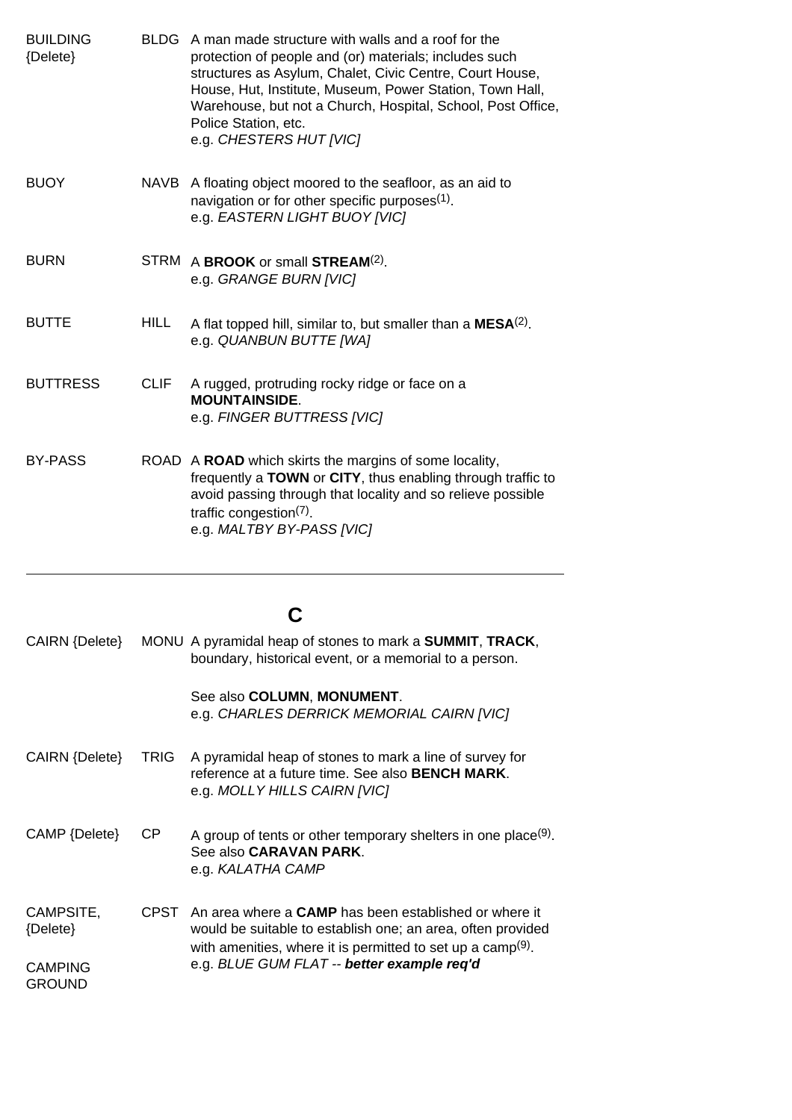| <b>BUILDING</b><br>{Delete} | <b>BLDG</b> | A man made structure with walls and a roof for the<br>protection of people and (or) materials; includes such<br>structures as Asylum, Chalet, Civic Centre, Court House,<br>House, Hut, Institute, Museum, Power Station, Town Hall,<br>Warehouse, but not a Church, Hospital, School, Post Office,<br>Police Station, etc.<br>e.g. CHESTERS HUT [VIC] |
|-----------------------------|-------------|--------------------------------------------------------------------------------------------------------------------------------------------------------------------------------------------------------------------------------------------------------------------------------------------------------------------------------------------------------|
| <b>BUOY</b>                 | <b>NAVB</b> | A floating object moored to the seafloor, as an aid to<br>navigation or for other specific purposes <sup>(1)</sup> .<br>e.g. EASTERN LIGHT BUOY [VIC]                                                                                                                                                                                                  |
| <b>BURN</b>                 |             | STRM A BROOK or small STREAM <sup>(2)</sup> .<br>e.g. GRANGE BURN [VIC]                                                                                                                                                                                                                                                                                |
| <b>BUTTE</b>                | <b>HILL</b> | A flat topped hill, similar to, but smaller than a $MESA(2)$ .<br>e.g. QUANBUN BUTTE [WA]                                                                                                                                                                                                                                                              |
| <b>BUTTRESS</b>             | <b>CLIF</b> | A rugged, protruding rocky ridge or face on a<br><b>MOUNTAINSIDE.</b><br>e.g. FINGER BUTTRESS [VIC]                                                                                                                                                                                                                                                    |
| <b>BY-PASS</b>              |             | ROAD A ROAD which skirts the margins of some locality,<br>frequently a TOWN or CITY, thus enabling through traffic to<br>avoid passing through that locality and so relieve possible<br>traffic congestion $(7)$ .<br>e.g. MALTBY BY-PASS [VIC]                                                                                                        |

# **C**

| CAIRN {Delete}                  |             | MONU A pyramidal heap of stones to mark a <b>SUMMIT</b> , <b>TRACK</b> ,<br>boundary, historical event, or a memorial to a person.                                                                     |
|---------------------------------|-------------|--------------------------------------------------------------------------------------------------------------------------------------------------------------------------------------------------------|
|                                 |             | See also COLUMN, MONUMENT.<br>e.g. CHARLES DERRICK MEMORIAL CAIRN [VIC]                                                                                                                                |
| CAIRN {Delete}                  | TRIG        | A pyramidal heap of stones to mark a line of survey for<br>reference at a future time. See also <b>BENCH MARK</b> .<br>e.g. MOLLY HILLS CAIRN [VIC]                                                    |
| CAMP {Delete}                   | СP          | A group of tents or other temporary shelters in one place <sup>(9)</sup> .<br>See also <b>CARAVAN PARK</b> .<br>e.g. KALATHA CAMP                                                                      |
| CAMPSITE,<br>${Delete}$         | <b>CPST</b> | An area where a <b>CAMP</b> has been established or where it<br>would be suitable to establish one; an area, often provided<br>with amenities, where it is permitted to set up a camp <sup>(9)</sup> . |
| <b>CAMPING</b><br><b>GROUND</b> |             | e.g. BLUE GUM FLAT -- better example req'd                                                                                                                                                             |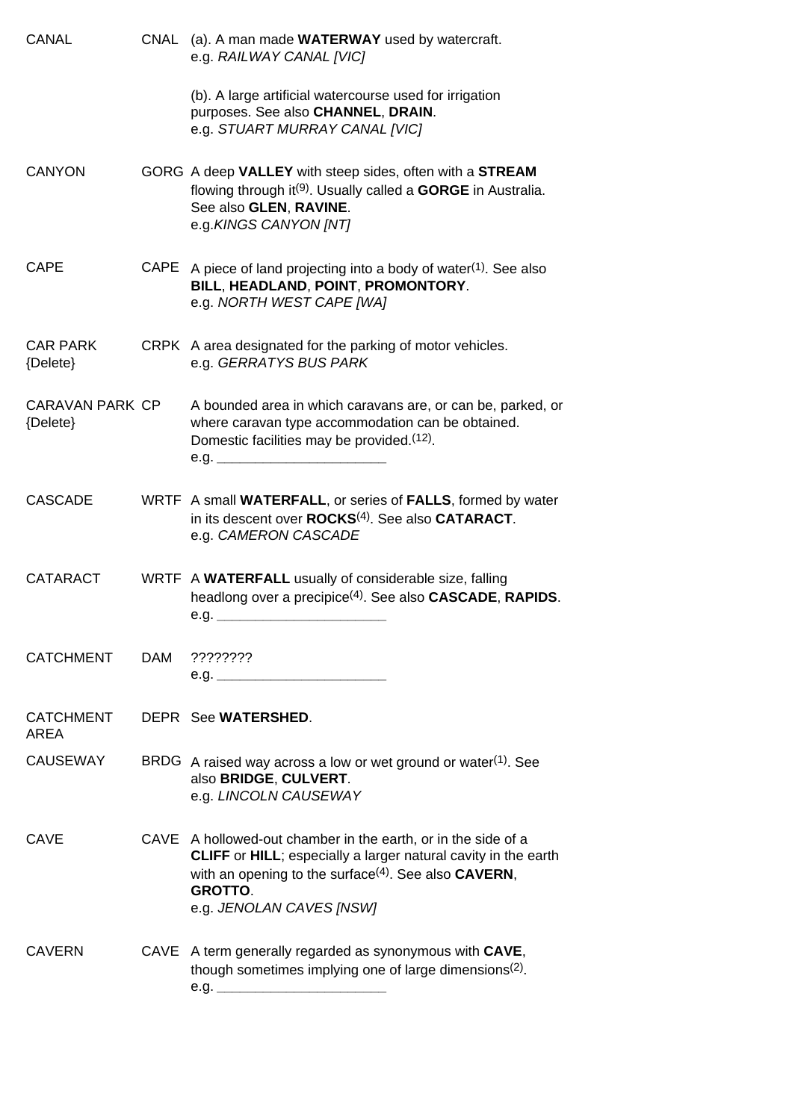| CANAL                       | CNAL | (a). A man made <b>WATERWAY</b> used by watercraft.<br>e.g. RAILWAY CANAL [VIC]                                                                                                                                                                                          |
|-----------------------------|------|--------------------------------------------------------------------------------------------------------------------------------------------------------------------------------------------------------------------------------------------------------------------------|
|                             |      | (b). A large artificial watercourse used for irrigation<br>purposes. See also CHANNEL, DRAIN.<br>e.g. STUART MURRAY CANAL [VIC]                                                                                                                                          |
| <b>CANYON</b>               |      | GORG A deep VALLEY with steep sides, often with a STREAM<br>flowing through it <sup>(9)</sup> . Usually called a <b>GORGE</b> in Australia.<br>See also GLEN, RAVINE.<br>e.g.KINGS CANYON [NT]                                                                           |
| <b>CAPE</b>                 | CAPE | A piece of land projecting into a body of water(1). See also<br>BILL, HEADLAND, POINT, PROMONTORY.<br>e.g. NORTH WEST CAPE [WA]                                                                                                                                          |
| <b>CAR PARK</b><br>{Delete} |      | CRPK A area designated for the parking of motor vehicles.<br>e.g. GERRATYS BUS PARK                                                                                                                                                                                      |
| CARAVAN PARK CP<br>{Delete} |      | A bounded area in which caravans are, or can be, parked, or<br>where caravan type accommodation can be obtained.<br>Domestic facilities may be provided (12).<br>e.g.                                                                                                    |
| <b>CASCADE</b>              |      | WRTF A small WATERFALL, or series of FALLS, formed by water<br>in its descent over ROCKS <sup>(4)</sup> . See also CATARACT.<br>e.g. CAMERON CASCADE                                                                                                                     |
| <b>CATARACT</b>             |      | WRTF A WATERFALL usually of considerable size, falling<br>headlong over a precipice <sup>(4)</sup> . See also <b>CASCADE</b> , <b>RAPIDS</b> .<br>e.g. $\qquad \qquad$                                                                                                   |
| <b>CATCHMENT</b>            | DAM  | ????????                                                                                                                                                                                                                                                                 |
| <b>CATCHMENT</b><br>AREA    |      | DEPR See WATERSHED.                                                                                                                                                                                                                                                      |
| <b>CAUSEWAY</b>             |      | BRDG A raised way across a low or wet ground or water <sup>(1)</sup> . See<br>also BRIDGE, CULVERT.<br>e.g. LINCOLN CAUSEWAY                                                                                                                                             |
| CAVE                        |      | CAVE A hollowed-out chamber in the earth, or in the side of a<br><b>CLIFF</b> or <b>HILL</b> ; especially a larger natural cavity in the earth<br>with an opening to the surface <sup>(4)</sup> . See also <b>CAVERN</b> ,<br><b>GROTTO.</b><br>e.g. JENOLAN CAVES [NSW] |
| <b>CAVERN</b>               |      | CAVE A term generally regarded as synonymous with CAVE,<br>though sometimes implying one of large dimensions <sup>(2)</sup> .<br>e.g.                                                                                                                                    |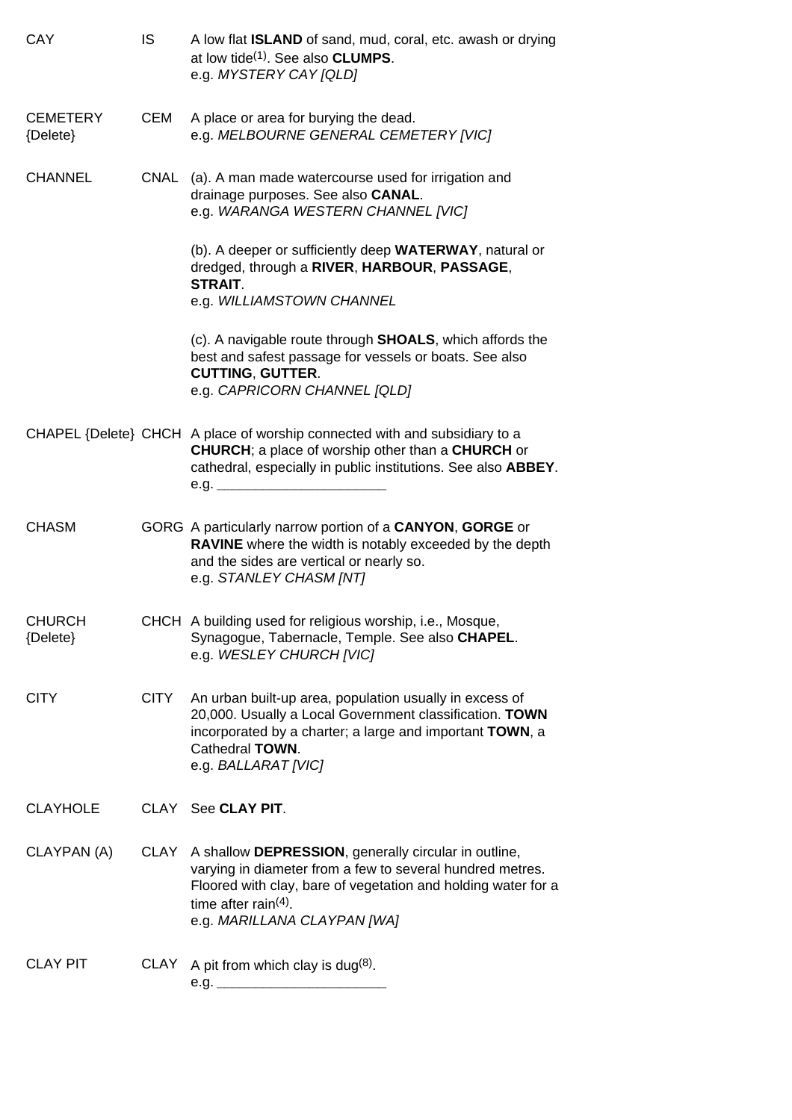| CAY                         | IS          | A low flat <b>ISLAND</b> of sand, mud, coral, etc. awash or drying<br>at low tide <sup>(1)</sup> . See also <b>CLUMPS</b> .<br>e.g. MYSTERY CAY [QLD]                                                                                    |
|-----------------------------|-------------|------------------------------------------------------------------------------------------------------------------------------------------------------------------------------------------------------------------------------------------|
| <b>CEMETERY</b><br>{Delete} | CEM         | A place or area for burying the dead.<br>e.g. MELBOURNE GENERAL CEMETERY [VIC]                                                                                                                                                           |
| <b>CHANNEL</b>              | CNAL        | (a). A man made watercourse used for irrigation and<br>drainage purposes. See also CANAL.<br>e.g. WARANGA WESTERN CHANNEL [VIC]                                                                                                          |
|                             |             | (b). A deeper or sufficiently deep WATERWAY, natural or<br>dredged, through a RIVER, HARBOUR, PASSAGE,<br><b>STRAIT.</b><br>e.g. WILLIAMSTOWN CHANNEL                                                                                    |
|                             |             | (c). A navigable route through <b>SHOALS</b> , which affords the<br>best and safest passage for vessels or boats. See also<br><b>CUTTING, GUTTER.</b><br>e.g. CAPRICORN CHANNEL [QLD]                                                    |
|                             |             | CHAPEL {Delete} CHCH A place of worship connected with and subsidiary to a<br><b>CHURCH</b> ; a place of worship other than a <b>CHURCH</b> or<br>cathedral, especially in public institutions. See also ABBEY.<br>e.g. __________       |
| <b>CHASM</b>                |             | GORG A particularly narrow portion of a CANYON, GORGE or<br><b>RAVINE</b> where the width is notably exceeded by the depth<br>and the sides are vertical or nearly so.<br>e.g. STANLEY CHASM [NT]                                        |
| <b>CHURCH</b><br>{Delete}   |             | CHCH A building used for religious worship, i.e., Mosque,<br>Synagogue, Tabernacle, Temple. See also CHAPEL.<br>e.g. WESLEY CHURCH [VIC]                                                                                                 |
| <b>CITY</b>                 | <b>CITY</b> | An urban built-up area, population usually in excess of<br>20,000. Usually a Local Government classification. TOWN<br>incorporated by a charter; a large and important TOWN, a<br>Cathedral TOWN.<br>e.g. BALLARAT [VIC]                 |
| <b>CLAYHOLE</b>             |             | CLAY See CLAY PIT.                                                                                                                                                                                                                       |
| CLAYPAN (A)                 | CLAY        | A shallow DEPRESSION, generally circular in outline,<br>varying in diameter from a few to several hundred metres.<br>Floored with clay, bare of vegetation and holding water for a<br>time after rain(4).<br>e.g. MARILLANA CLAYPAN [WA] |
| <b>CLAY PIT</b>             | CLAY        | A pit from which clay is dug <sup>(8)</sup> .<br>e.g. $-$                                                                                                                                                                                |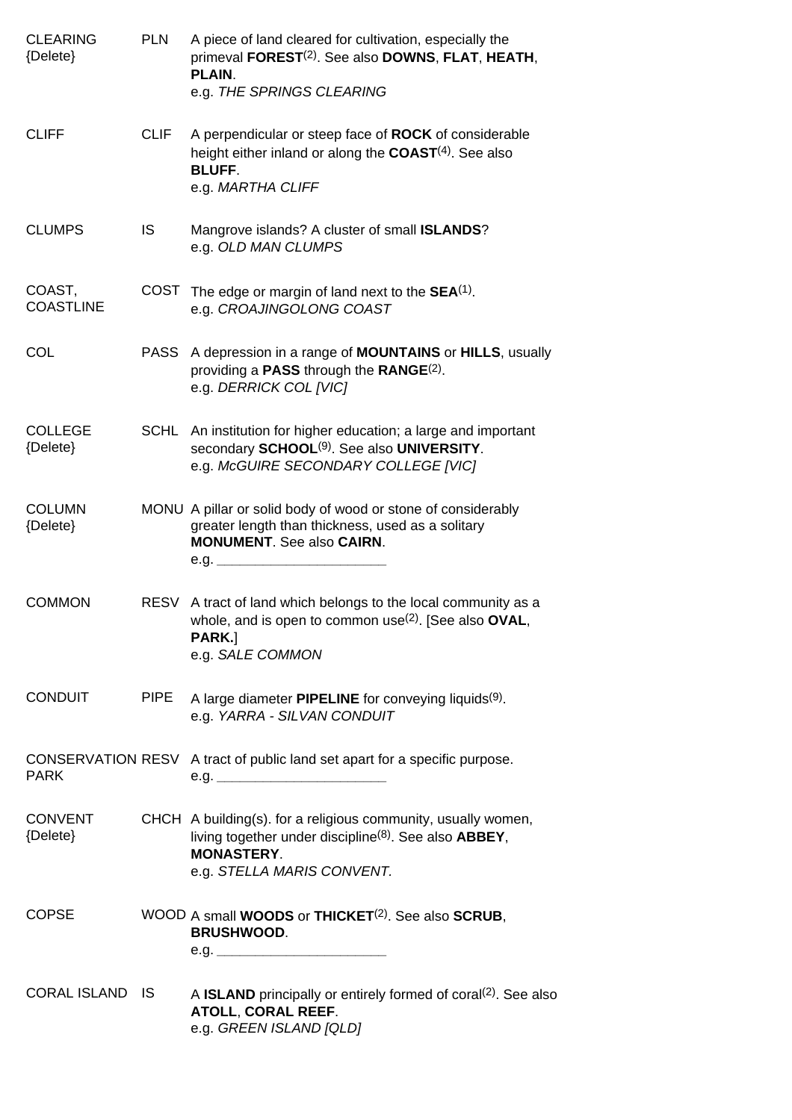| <b>CLEARING</b><br>{Delete} | <b>PLN</b>  | A piece of land cleared for cultivation, especially the<br>primeval FOREST <sup>(2)</sup> . See also DOWNS, FLAT, HEATH,<br>PLAIN.<br>e.g. THE SPRINGS CLEARING                          |
|-----------------------------|-------------|------------------------------------------------------------------------------------------------------------------------------------------------------------------------------------------|
| <b>CLIFF</b>                | <b>CLIF</b> | A perpendicular or steep face of ROCK of considerable<br>height either inland or along the $COAST(4)$ . See also<br><b>BLUFF.</b><br>e.g. MARTHA CLIFF                                   |
| <b>CLUMPS</b>               | <b>IS</b>   | Mangrove islands? A cluster of small ISLANDS?<br>e.g. OLD MAN CLUMPS                                                                                                                     |
| COAST,<br><b>COASTLINE</b>  | COST        | The edge or margin of land next to the $SEA(1)$ .<br>e.g. CROAJINGOLONG COAST                                                                                                            |
| COL                         |             | PASS A depression in a range of MOUNTAINS or HILLS, usually<br>providing a <b>PASS</b> through the <b>RANGE</b> <sup>(2)</sup> .<br>e.g. DERRICK COL [VIC]                               |
| <b>COLLEGE</b><br>{Delete}  |             | SCHL An institution for higher education; a large and important<br>secondary SCHOOL <sup>(9)</sup> . See also UNIVERSITY.<br>e.g. McGUIRE SECONDARY COLLEGE [VIC]                        |
| <b>COLUMN</b><br>{Delete}   |             | MONU A pillar or solid body of wood or stone of considerably<br>greater length than thickness, used as a solitary<br><b>MONUMENT.</b> See also CAIRN.<br>e.g. __________________         |
| <b>COMMON</b>               | <b>RESV</b> | A tract of land which belongs to the local community as a<br>whole, and is open to common use( $2$ ). [See also OVAL,<br>PARK.]<br>e.g. SALE COMMON                                      |
| <b>CONDUIT</b>              | <b>PIPE</b> | A large diameter PIPELINE for conveying liquids <sup>(9)</sup> .<br>e.g. YARRA - SILVAN CONDUIT                                                                                          |
| <b>PARK</b>                 |             | CONSERVATION RESV A tract of public land set apart for a specific purpose.<br>e.g.                                                                                                       |
| <b>CONVENT</b><br>{Delete}  |             | CHCH A building(s). for a religious community, usually women,<br>living together under discipline <sup>(8)</sup> . See also $ABBEY$ ,<br><b>MONASTERY.</b><br>e.g. STELLA MARIS CONVENT. |
| <b>COPSE</b>                |             | WOOD A small <b>WOODS</b> or <b>THICKET</b> <sup>(2)</sup> . See also <b>SCRUB</b> ,<br><b>BRUSHWOOD.</b>                                                                                |
| CORAL ISLAND IS             |             | A <b>ISLAND</b> principally or entirely formed of coral <sup>(2)</sup> . See also<br>ATOLL, CORAL REEF.<br>e.g. GREEN ISLAND [QLD]                                                       |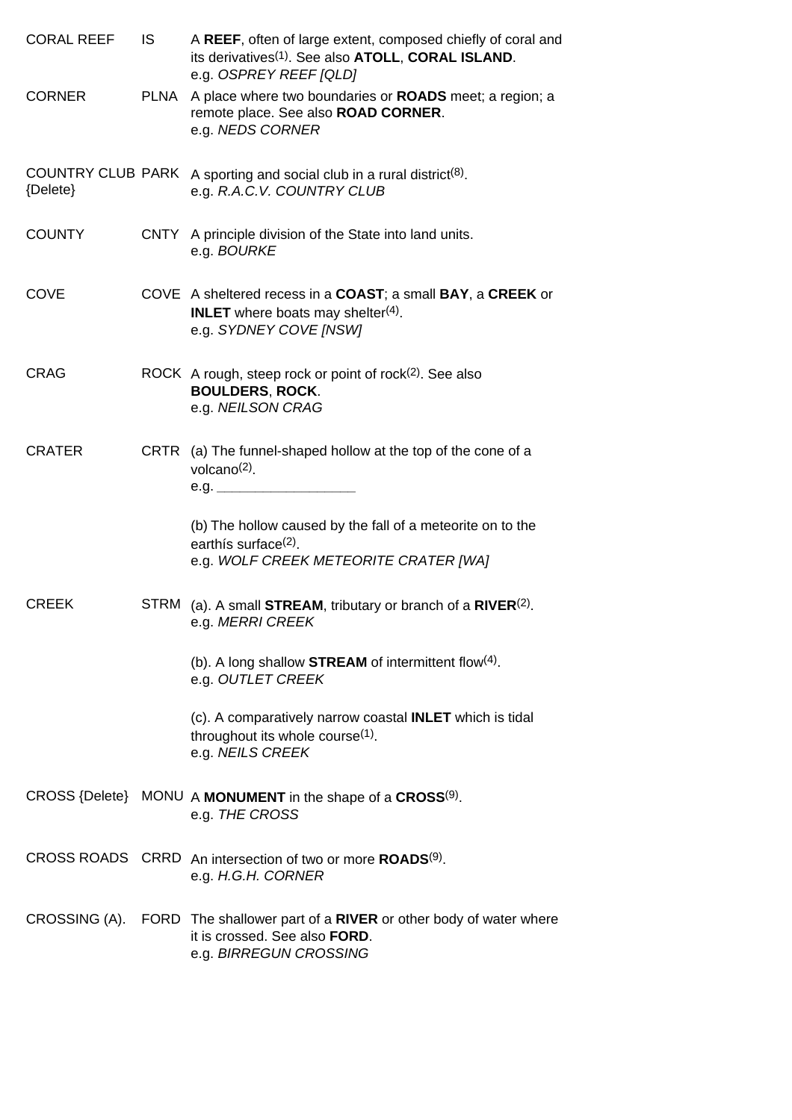| <b>CORAL REEF</b>                    | IS.  | A REEF, often of large extent, composed chiefly of coral and<br>its derivatives <sup>(1)</sup> . See also ATOLL, CORAL ISLAND.<br>e.g. OSPREY REEF [QLD] |
|--------------------------------------|------|----------------------------------------------------------------------------------------------------------------------------------------------------------|
| <b>CORNER</b>                        |      | PLNA A place where two boundaries or <b>ROADS</b> meet; a region; a<br>remote place. See also ROAD CORNER.<br>e.g. NEDS CORNER                           |
| <b>COUNTRY CLUB PARK</b><br>{Delete} |      | A sporting and social club in a rural district <sup>(8)</sup> .<br>e.g. R.A.C.V. COUNTRY CLUB                                                            |
| <b>COUNTY</b>                        |      | CNTY A principle division of the State into land units.<br>e.g. BOURKE                                                                                   |
| <b>COVE</b>                          |      | COVE A sheltered recess in a COAST; a small BAY, a CREEK or<br><b>INLET</b> where boats may shelter <sup>(4)</sup> .<br>e.g. SYDNEY COVE [NSW]           |
| CRAG                                 |      | ROCK A rough, steep rock or point of rock <sup>(2)</sup> . See also<br><b>BOULDERS, ROCK.</b><br>e.g. NEILSON CRAG                                       |
| <b>CRATER</b>                        | CRTR | (a) The funnel-shaped hollow at the top of the cone of a<br>volcano $(2)$ .                                                                              |
|                                      |      | (b) The hollow caused by the fall of a meteorite on to the<br>earthís surface <sup>(2)</sup> .<br>e.g. WOLF CREEK METEORITE CRATER [WA]                  |
| <b>CREEK</b>                         |      | STRM (a). A small <b>STREAM</b> , tributary or branch of a $RIVER^{(2)}$ .<br>e.g. MERRI CREEK                                                           |
|                                      |      | (b). A long shallow STREAM of intermittent flow(4).<br>e.g. OUTLET CREEK                                                                                 |
|                                      |      | (c). A comparatively narrow coastal <b>INLET</b> which is tidal<br>throughout its whole course <sup>(1)</sup> .<br>e.g. NEILS CREEK                      |
|                                      |      | CROSS {Delete} MONU A MONUMENT in the shape of a CROSS(9).<br>e.g. THE CROSS                                                                             |
|                                      |      | CROSS ROADS CRRD An intersection of two or more ROADS <sup>(9)</sup> .<br>e.g. H.G.H. CORNER                                                             |
|                                      |      | CROSSING (A). FORD The shallower part of a RIVER or other body of water where<br>it is crossed. See also FORD.<br>e.g. BIRREGUN CROSSING                 |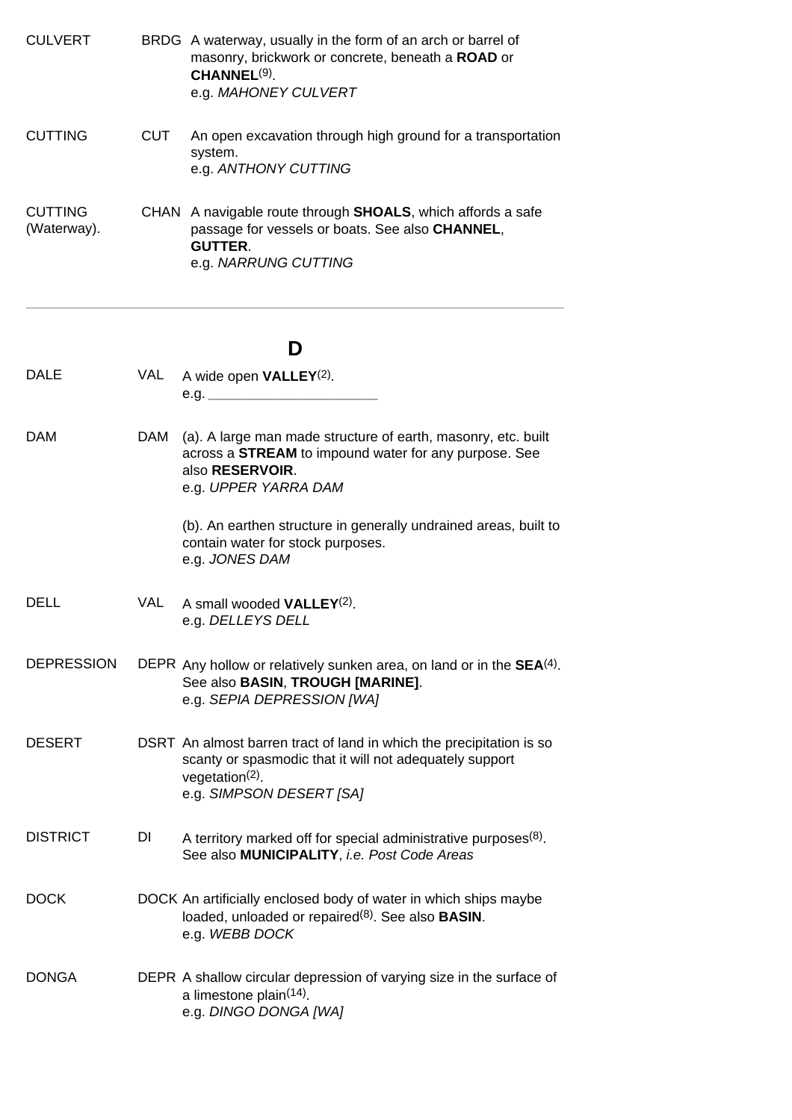| <b>CULVERT</b>                |     | BRDG A waterway, usually in the form of an arch or barrel of<br>masonry, brickwork or concrete, beneath a <b>ROAD</b> or<br>CHANNEL <sup>(9)</sup> .<br>e.g. MAHONEY CULVERT |
|-------------------------------|-----|------------------------------------------------------------------------------------------------------------------------------------------------------------------------------|
| <b>CUTTING</b>                | CUT | An open excavation through high ground for a transportation<br>system.<br>e.g. ANTHONY CUTTING                                                                               |
| <b>CUTTING</b><br>(Waterway). |     | CHAN A navigable route through <b>SHOALS</b> , which affords a safe<br>passage for vessels or boats. See also <b>CHANNEL</b> ,<br><b>GUTTER.</b><br>e.g. NARRUNG CUTTING     |

# **D**

| <b>DALE</b>       | <b>VAL</b> | A wide open $VALLEY(2)$ .                                                                                                                                                        |
|-------------------|------------|----------------------------------------------------------------------------------------------------------------------------------------------------------------------------------|
| DAM               | <b>DAM</b> | (a). A large man made structure of earth, masonry, etc. built<br>across a STREAM to impound water for any purpose. See<br>also RESERVOIR.<br>e.g. UPPER YARRA DAM                |
|                   |            | (b). An earthen structure in generally undrained areas, built to<br>contain water for stock purposes.<br>e.g. JONES DAM                                                          |
| <b>DELL</b>       | <b>VAL</b> | A small wooded VALLEY <sup>(2)</sup> .<br>e.g. DELLEYS DELL                                                                                                                      |
| <b>DEPRESSION</b> |            | DEPR Any hollow or relatively sunken area, on land or in the $SEA(4)$ .<br>See also BASIN, TROUGH [MARINE].<br>e.g. SEPIA DEPRESSION [WA]                                        |
| <b>DESERT</b>     |            | DSRT An almost barren tract of land in which the precipitation is so<br>scanty or spasmodic that it will not adequately support<br>$vegetation(2)$ .<br>e.g. SIMPSON DESERT [SA] |
| <b>DISTRICT</b>   | DI         | A territory marked off for special administrative purposes <sup>(8)</sup> .<br>See also MUNICIPALITY, i.e. Post Code Areas                                                       |
| <b>DOCK</b>       |            | DOCK An artificially enclosed body of water in which ships maybe<br>loaded, unloaded or repaired <sup>(8)</sup> . See also <b>BASIN</b> .<br>e.g. WEBB DOCK                      |
| <b>DONGA</b>      |            | DEPR A shallow circular depression of varying size in the surface of<br>a limestone plain <sup>(14)</sup> .<br>e.g. DINGO DONGA [WA]                                             |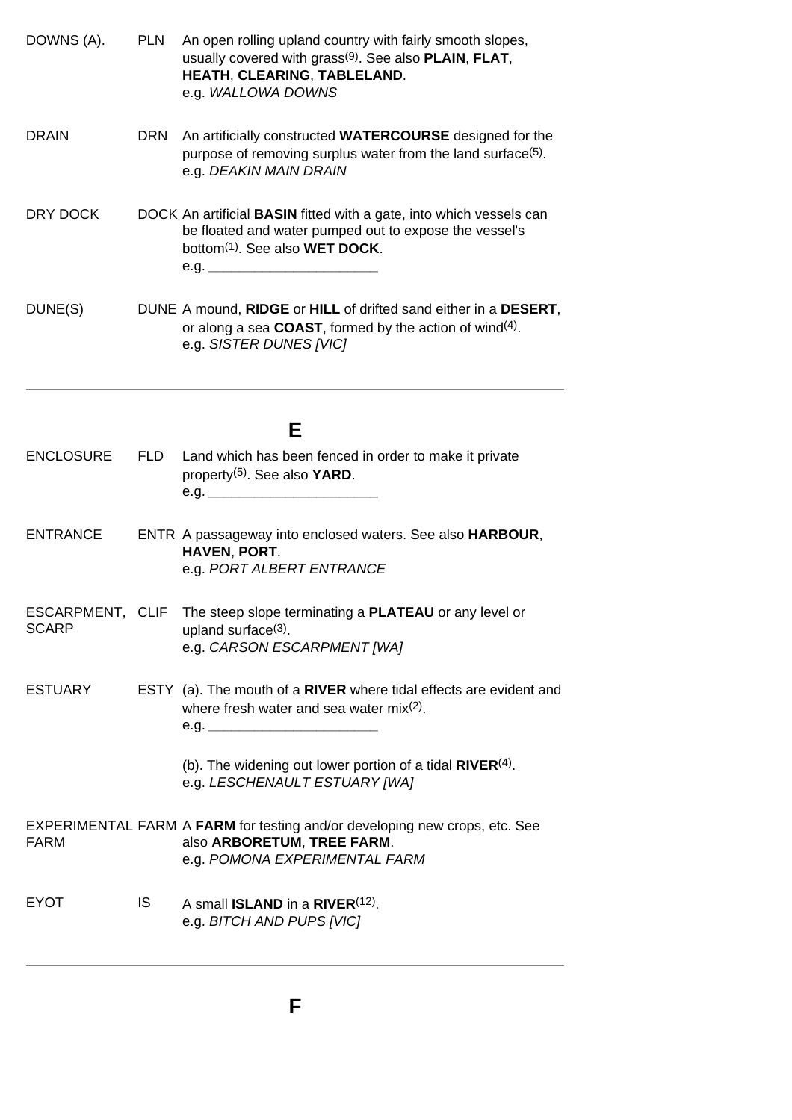| DOWNS (A).                       | <b>PLN</b> | An open rolling upland country with fairly smooth slopes,<br>usually covered with grass $(9)$ . See also <b>PLAIN, FLAT,</b><br>HEATH, CLEARING, TABLELAND.<br>e.g. WALLOWA DOWNS          |
|----------------------------------|------------|--------------------------------------------------------------------------------------------------------------------------------------------------------------------------------------------|
| <b>DRAIN</b>                     | DRN        | An artificially constructed WATERCOURSE designed for the<br>purpose of removing surplus water from the land surface <sup>(5)</sup> .<br>e.g. DEAKIN MAIN DRAIN                             |
| DRY DOCK                         |            | DOCK An artificial <b>BASIN</b> fitted with a gate, into which vessels can<br>be floated and water pumped out to expose the vessel's<br>bottom <sup>(1)</sup> . See also <b>WET DOCK</b> . |
| DUNE(S)                          |            | DUNE A mound, RIDGE or HILL of drifted sand either in a DESERT,<br>or along a sea <b>COAST</b> , formed by the action of wind <sup>(4)</sup> .<br>e.g. SISTER DUNES [VIC]                  |
|                                  |            | E.                                                                                                                                                                                         |
| <b>ENCLOSURE</b>                 | <b>FLD</b> | Land which has been fenced in order to make it private<br>property <sup>(5)</sup> . See also <b>YARD</b> .<br>e.g.                                                                         |
| <b>ENTRANCE</b>                  |            | ENTR A passageway into enclosed waters. See also HARBOUR,<br>HAVEN, PORT.<br>e.g. PORT ALBERT ENTRANCE                                                                                     |
| ESCARPMENT, CLIF<br><b>SCARP</b> |            | The steep slope terminating a PLATEAU or any level or<br>upland surface $(3)$ .<br>e.g. CARSON ESCARPMENT [WA]                                                                             |
| <b>ESTUARY</b>                   |            | ESTY (a). The mouth of a RIVER where tidal effects are evident and<br>where fresh water and sea water $mix(2)$ .                                                                           |
|                                  |            | (b). The widening out lower portion of a tidal $RIVER(4)$ .<br>e.g. LESCHENAULT ESTUARY [WA]                                                                                               |
| FARM                             |            | EXPERIMENTAL FARM A FARM for testing and/or developing new crops, etc. See<br>also ARBORETUM, TREE FARM.<br>e.g. POMONA EXPERIMENTAL FARM                                                  |
| EYOT                             | <b>IS</b>  | A small <b>ISLAND</b> in a $RIVER^{(12)}$ .<br>e.g. BITCH AND PUPS [VIC]                                                                                                                   |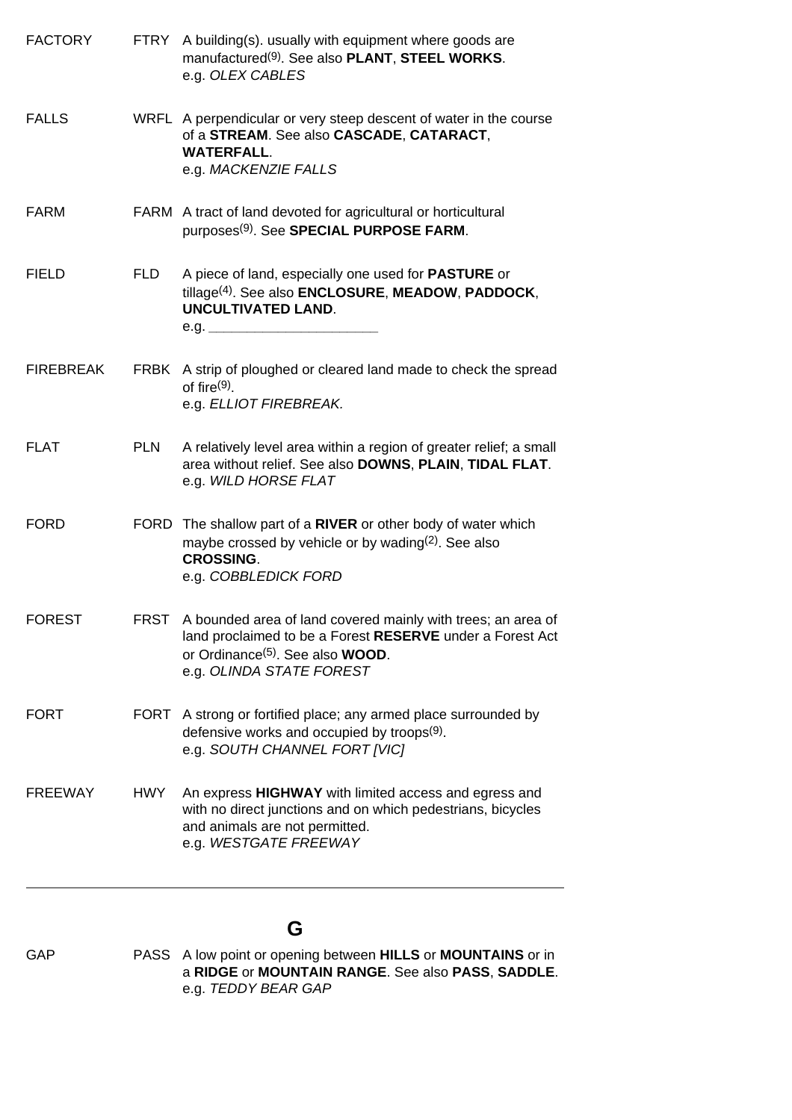| <b>FACTORY</b>   |             | FTRY A building(s). usually with equipment where goods are<br>manufactured <sup>(9)</sup> . See also PLANT, STEEL WORKS.<br>e.g. OLEX CABLES                                                                  |
|------------------|-------------|---------------------------------------------------------------------------------------------------------------------------------------------------------------------------------------------------------------|
| <b>FALLS</b>     |             | WRFL A perpendicular or very steep descent of water in the course<br>of a STREAM. See also CASCADE, CATARACT,<br><b>WATERFALL.</b><br>e.g. MACKENZIE FALLS                                                    |
| <b>FARM</b>      |             | FARM A tract of land devoted for agricultural or horticultural<br>purposes <sup>(9)</sup> . See SPECIAL PURPOSE FARM.                                                                                         |
| <b>FIELD</b>     | <b>FLD</b>  | A piece of land, especially one used for <b>PASTURE</b> or<br>tillage <sup>(4)</sup> . See also <b>ENCLOSURE, MEADOW, PADDOCK,</b><br><b>UNCULTIVATED LAND.</b>                                               |
| <b>FIREBREAK</b> |             | FRBK A strip of ploughed or cleared land made to check the spread<br>of fire $(9)$ .<br>e.g. ELLIOT FIREBREAK.                                                                                                |
| <b>FLAT</b>      | <b>PLN</b>  | A relatively level area within a region of greater relief; a small<br>area without relief. See also DOWNS, PLAIN, TIDAL FLAT.<br>e.g. WILD HORSE FLAT                                                         |
| <b>FORD</b>      | <b>FORD</b> | The shallow part of a RIVER or other body of water which<br>maybe crossed by vehicle or by wading $(2)$ . See also<br><b>CROSSING.</b><br>e.g. COBBLEDICK FORD                                                |
| <b>FOREST</b>    | FRST        | A bounded area of land covered mainly with trees; an area of<br>land proclaimed to be a Forest RESERVE under a Forest Act<br>or Ordinance <sup>(5)</sup> . See also <b>WOOD</b> .<br>e.g. OLINDA STATE FOREST |
| <b>FORT</b>      |             | FORT A strong or fortified place; any armed place surrounded by<br>defensive works and occupied by troops(9).<br>e.g. SOUTH CHANNEL FORT [VIC]                                                                |
| <b>FREEWAY</b>   | <b>HWY</b>  | An express HIGHWAY with limited access and egress and<br>with no direct junctions and on which pedestrians, bicycles<br>and animals are not permitted.<br>e.g. WESTGATE FREEWAY                               |

# **G**

GAP PASS A low point or opening between **HILLS** or **MOUNTAINS** or in a **RIDGE** or **MOUNTAIN RANGE**. See also **PASS**, **SADDLE**. e.g. *TEDDY BEAR GAP*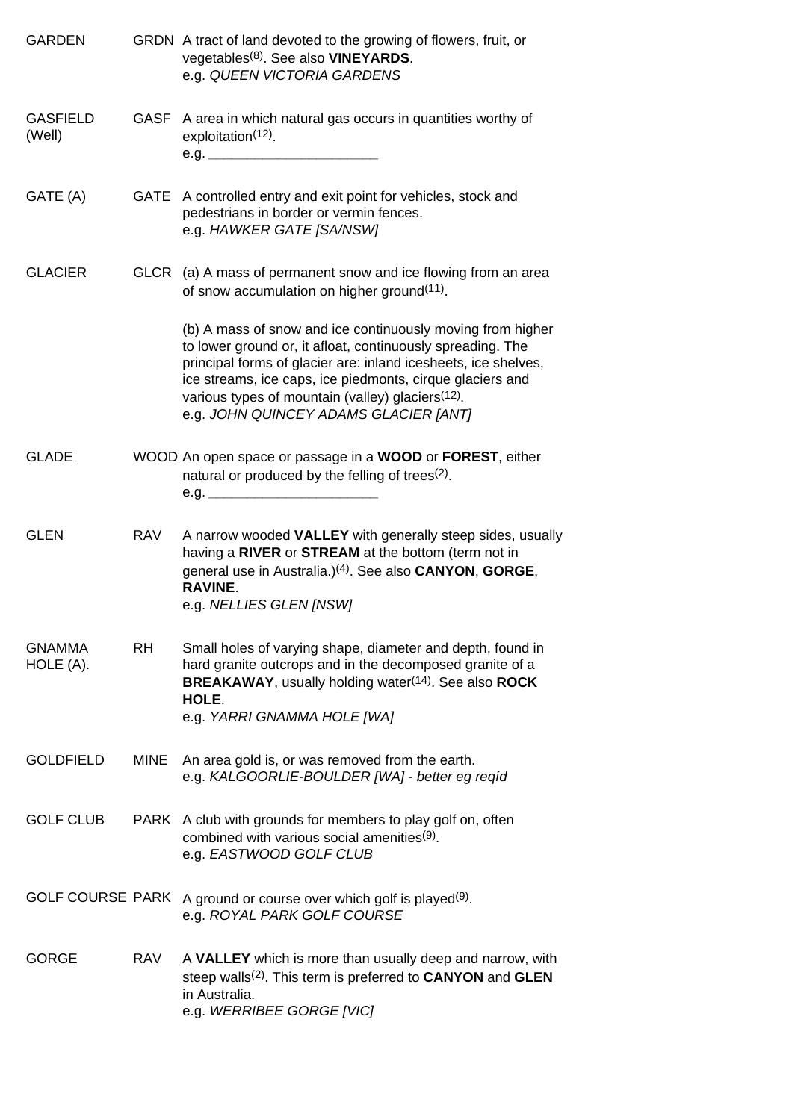| <b>GARDEN</b>              |            | GRDN A tract of land devoted to the growing of flowers, fruit, or<br>vegetables <sup>(8)</sup> . See also <b>VINEYARDS</b> .<br>e.g. QUEEN VICTORIA GARDENS                                                                                                                                                                                                       |
|----------------------------|------------|-------------------------------------------------------------------------------------------------------------------------------------------------------------------------------------------------------------------------------------------------------------------------------------------------------------------------------------------------------------------|
| <b>GASFIELD</b><br>(Well)  |            | GASF A area in which natural gas occurs in quantities worthy of<br>exploitation <sup>(12)</sup> .                                                                                                                                                                                                                                                                 |
| GATE (A)                   |            | GATE A controlled entry and exit point for vehicles, stock and<br>pedestrians in border or vermin fences.<br>e.g. HAWKER GATE [SA/NSW]                                                                                                                                                                                                                            |
| <b>GLACIER</b>             |            | GLCR (a) A mass of permanent snow and ice flowing from an area<br>of snow accumulation on higher ground <sup>(11)</sup> .                                                                                                                                                                                                                                         |
|                            |            | (b) A mass of snow and ice continuously moving from higher<br>to lower ground or, it afloat, continuously spreading. The<br>principal forms of glacier are: inland icesheets, ice shelves,<br>ice streams, ice caps, ice piedmonts, cirque glaciers and<br>various types of mountain (valley) glaciers <sup>(12)</sup> .<br>e.g. JOHN QUINCEY ADAMS GLACIER [ANT] |
| <b>GLADE</b>               |            | WOOD An open space or passage in a WOOD or FOREST, either<br>natural or produced by the felling of trees(2).<br>e.g.                                                                                                                                                                                                                                              |
| <b>GLEN</b>                | <b>RAV</b> | A narrow wooded VALLEY with generally steep sides, usually<br>having a RIVER or STREAM at the bottom (term not in<br>general use in Australia.) <sup>(4)</sup> . See also <b>CANYON</b> , <b>GORGE</b> ,<br><b>RAVINE.</b><br>e.g. NELLIES GLEN [NSW]                                                                                                             |
| <b>GNAMMA</b><br>HOLE (A). | <b>RH</b>  | Small holes of varying shape, diameter and depth, found in<br>hard granite outcrops and in the decomposed granite of a<br><b>BREAKAWAY, usually holding water(14). See also ROCK</b><br>HOLE.<br>e.g. YARRI GNAMMA HOLE [WA]                                                                                                                                      |
| <b>GOLDFIELD</b>           | MINE       | An area gold is, or was removed from the earth.<br>e.g. KALGOORLIE-BOULDER [WA] - better eg reqíd                                                                                                                                                                                                                                                                 |
| <b>GOLF CLUB</b>           |            | PARK A club with grounds for members to play golf on, often<br>combined with various social amenities <sup>(9)</sup> .<br>e.g. EASTWOOD GOLF CLUB                                                                                                                                                                                                                 |
| <b>GOLF COURSE PARK</b>    |            | A ground or course over which golf is played <sup>(9)</sup> .<br>e.g. ROYAL PARK GOLF COURSE                                                                                                                                                                                                                                                                      |
| GORGE                      | <b>RAV</b> | A VALLEY which is more than usually deep and narrow, with<br>steep walls <sup>(2)</sup> . This term is preferred to <b>CANYON</b> and <b>GLEN</b><br>in Australia.<br>e.g. WERRIBEE GORGE [VIC]                                                                                                                                                                   |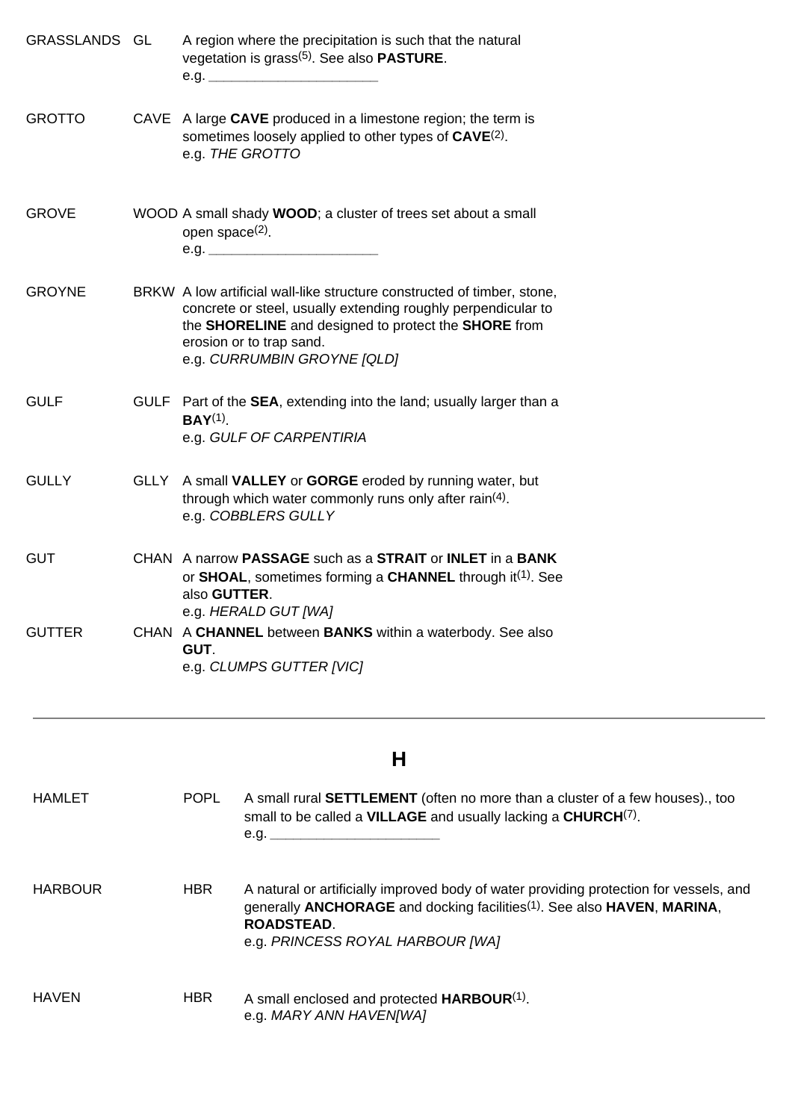| GRASSLANDS GL  |      |                                                                                                                                                                            | A region where the precipitation is such that the natural<br>vegetation is grass $(5)$ . See also <b>PASTURE</b> .                                                                                                                                          |
|----------------|------|----------------------------------------------------------------------------------------------------------------------------------------------------------------------------|-------------------------------------------------------------------------------------------------------------------------------------------------------------------------------------------------------------------------------------------------------------|
| <b>GROTTO</b>  |      |                                                                                                                                                                            | CAVE A large CAVE produced in a limestone region; the term is<br>sometimes loosely applied to other types of CAVE(2).<br>e.g. THE GROTTO                                                                                                                    |
| <b>GROVE</b>   |      | open space $(2)$ .                                                                                                                                                         | WOOD A small shady WOOD; a cluster of trees set about a small                                                                                                                                                                                               |
| <b>GROYNE</b>  |      |                                                                                                                                                                            | BRKW A low artificial wall-like structure constructed of timber, stone,<br>concrete or steel, usually extending roughly perpendicular to<br>the SHORELINE and designed to protect the SHORE from<br>erosion or to trap sand.<br>e.g. CURRUMBIN GROYNE [QLD] |
| <b>GULF</b>    |      | GULF Part of the SEA, extending into the land; usually larger than a<br>$BAY^{(1)}$<br>e.g. GULF OF CARPENTIRIA                                                            |                                                                                                                                                                                                                                                             |
| <b>GULLY</b>   | GLLY | A small VALLEY or GORGE eroded by running water, but<br>through which water commonly runs only after rain <sup>(4)</sup> .<br>e.g. COBBLERS GULLY                          |                                                                                                                                                                                                                                                             |
| <b>GUT</b>     |      | CHAN A narrow PASSAGE such as a STRAIT or INLET in a BANK<br>or SHOAL, sometimes forming a CHANNEL through it <sup>(1)</sup> . See<br>also GUTTER.<br>e.g. HERALD GUT [WA] |                                                                                                                                                                                                                                                             |
| <b>GUTTER</b>  |      | GUT.                                                                                                                                                                       | CHAN A CHANNEL between BANKS within a waterbody. See also<br>e.g. CLUMPS GUTTER [VIC]                                                                                                                                                                       |
|                |      |                                                                                                                                                                            | Н                                                                                                                                                                                                                                                           |
| <b>HAMLET</b>  |      | <b>POPL</b>                                                                                                                                                                | A small rural SETTLEMENT (often no more than a cluster of a few houses)., too<br>small to be called a VILLAGE and usually lacking a CHURCH(7).                                                                                                              |
| <b>HARBOUR</b> |      | <b>HBR</b>                                                                                                                                                                 | A natural or artificially improved body of water providing protection for vessels, a                                                                                                                                                                        |

- ction for vessels, and generally **ANCHORAGE** and docking facilities(1). See also **HAVEN**, **MARINA**, **ROADSTEAD**. e.g. *PRINCESS ROYAL HARBOUR [WA]*
- HAVEN HBR A small enclosed and protected **HARBOUR**(1). e.g. *MARY ANN HAVEN[WA]*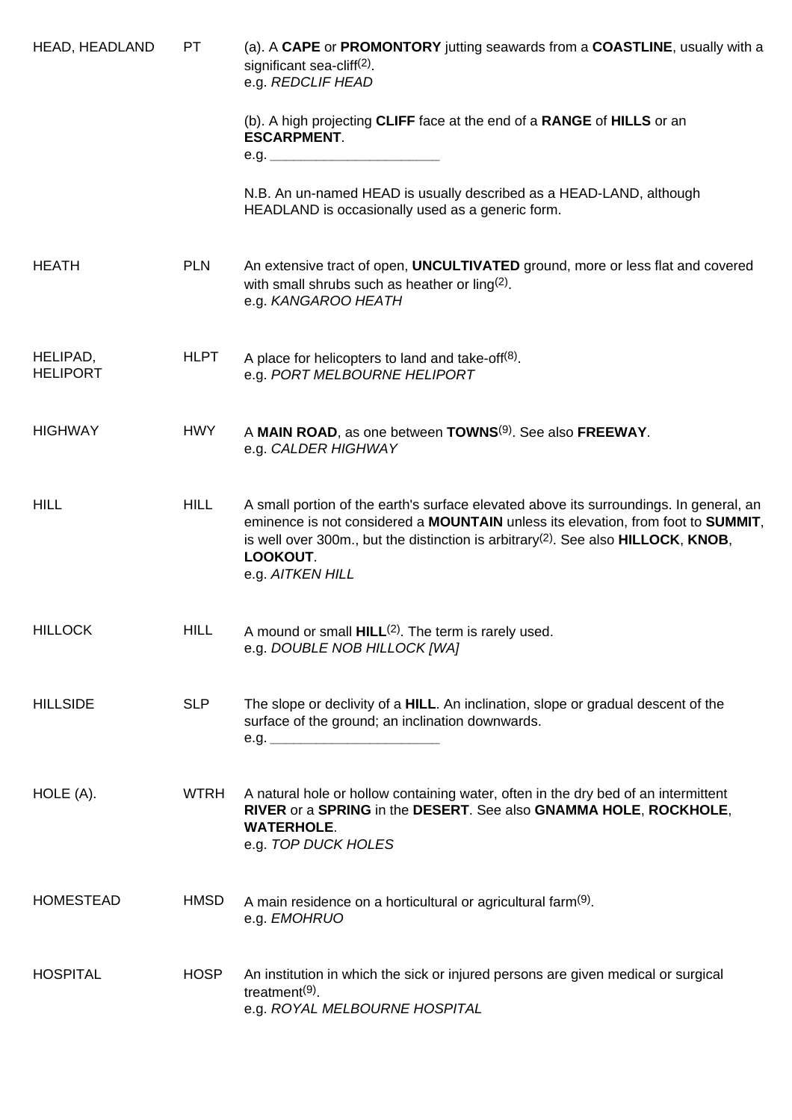| HEAD, HEADLAND              | PT          | (a). A CAPE or PROMONTORY jutting seawards from a COASTLINE, usually with a<br>significant sea-cliff <sup>(2)</sup> .<br>e.g. REDCLIF HEAD                                                                                                                                                                                  |
|-----------------------------|-------------|-----------------------------------------------------------------------------------------------------------------------------------------------------------------------------------------------------------------------------------------------------------------------------------------------------------------------------|
|                             |             | (b). A high projecting CLIFF face at the end of a RANGE of HILLS or an<br><b>ESCARPMENT.</b><br>e.g. $\qquad \qquad$                                                                                                                                                                                                        |
|                             |             | N.B. An un-named HEAD is usually described as a HEAD-LAND, although<br>HEADLAND is occasionally used as a generic form.                                                                                                                                                                                                     |
| <b>HEATH</b>                | <b>PLN</b>  | An extensive tract of open, <b>UNCULTIVATED</b> ground, more or less flat and covered<br>with small shrubs such as heather or ling $(2)$ .<br>e.g. KANGAROO HEATH                                                                                                                                                           |
| HELIPAD,<br><b>HELIPORT</b> | <b>HLPT</b> | A place for helicopters to land and take-off <sup>(8)</sup> .<br>e.g. PORT MELBOURNE HELIPORT                                                                                                                                                                                                                               |
| <b>HIGHWAY</b>              | <b>HWY</b>  | A MAIN ROAD, as one between TOWNS <sup>(9)</sup> . See also FREEWAY.<br>e.g. CALDER HIGHWAY                                                                                                                                                                                                                                 |
| <b>HILL</b>                 | <b>HILL</b> | A small portion of the earth's surface elevated above its surroundings. In general, an<br>eminence is not considered a MOUNTAIN unless its elevation, from foot to SUMMIT,<br>is well over 300m., but the distinction is arbitrary <sup>(2)</sup> . See also <b>HILLOCK</b> , <b>KNOB</b> ,<br>LOOKOUT.<br>e.g. AITKEN HILL |
| <b>HILLOCK</b>              | <b>HILL</b> | A mound or small $HILL(2)$ . The term is rarely used.<br>e.g. DOUBLE NOB HILLOCK [WA]                                                                                                                                                                                                                                       |
| <b>HILLSIDE</b>             | <b>SLP</b>  | The slope or declivity of a HILL. An inclination, slope or gradual descent of the<br>surface of the ground; an inclination downwards.<br>e.g.                                                                                                                                                                               |
| HOLE (A).                   | <b>WTRH</b> | A natural hole or hollow containing water, often in the dry bed of an intermittent<br>RIVER or a SPRING in the DESERT. See also GNAMMA HOLE, ROCKHOLE,<br><b>WATERHOLE.</b><br>e.g. TOP DUCK HOLES                                                                                                                          |
| <b>HOMESTEAD</b>            | <b>HMSD</b> | A main residence on a horticultural or agricultural farm <sup>(9)</sup> .<br>e.g. EMOHRUO                                                                                                                                                                                                                                   |
| <b>HOSPITAL</b>             | <b>HOSP</b> | An institution in which the sick or injured persons are given medical or surgical<br>treatment <sup>(9)</sup> .<br>e.g. ROYAL MELBOURNE HOSPITAL                                                                                                                                                                            |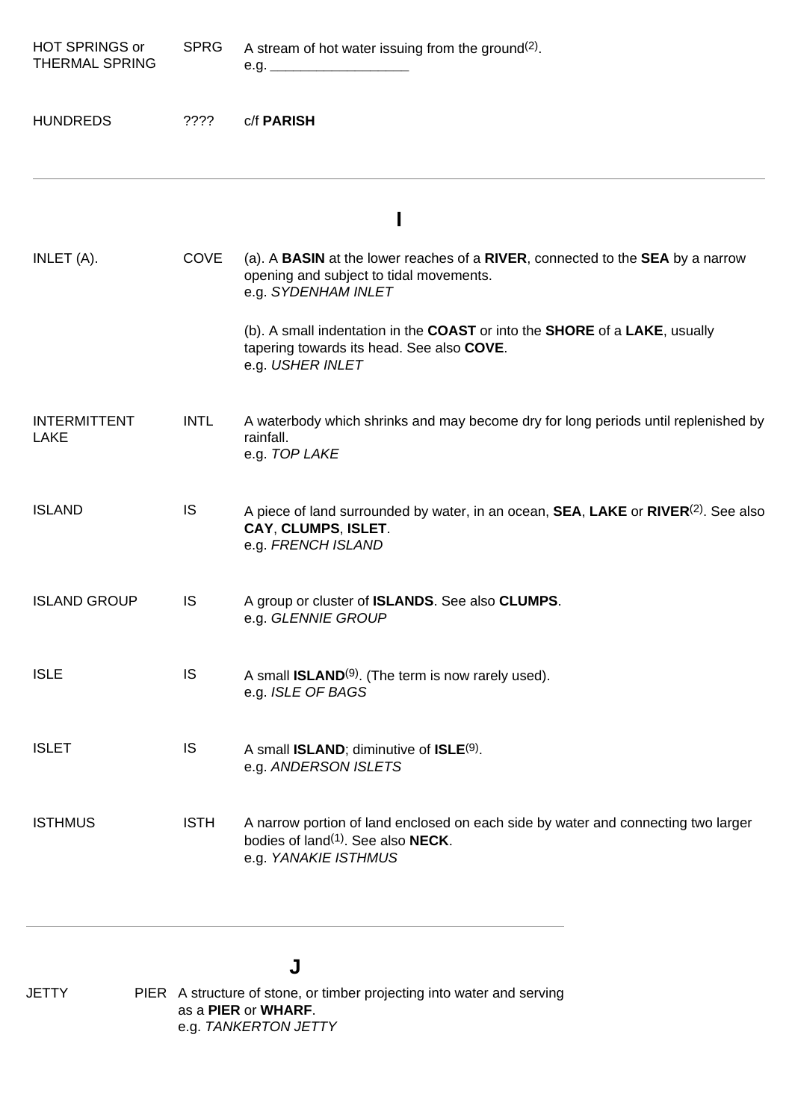| <b>HOT SPRINGS or</b><br><b>THERMAL SPRING</b> | <b>SPRG</b> | A stream of hot water issuing from the ground <sup>(2)</sup> .                                                                                                         |
|------------------------------------------------|-------------|------------------------------------------------------------------------------------------------------------------------------------------------------------------------|
| <b>HUNDREDS</b>                                | ????        | c/f PARISH                                                                                                                                                             |
|                                                |             | ı                                                                                                                                                                      |
| INLET (A).                                     | <b>COVE</b> | (a). A <b>BASIN</b> at the lower reaches of a <b>RIVER</b> , connected to the <b>SEA</b> by a narrow<br>opening and subject to tidal movements.<br>e.g. SYDENHAM INLET |
|                                                |             | (b). A small indentation in the COAST or into the SHORE of a LAKE, usually<br>tapering towards its head. See also COVE.<br>e.g. USHER INLET                            |
| <b>INTERMITTENT</b><br><b>LAKE</b>             | <b>INTL</b> | A waterbody which shrinks and may become dry for long periods until replenished by<br>rainfall.<br>e.g. TOP LAKE                                                       |
| <b>ISLAND</b>                                  | IS          | A piece of land surrounded by water, in an ocean, SEA, LAKE or RIVER <sup>(2)</sup> . See also<br>CAY, CLUMPS, ISLET.<br>e.g. FRENCH ISLAND                            |
| <b>ISLAND GROUP</b>                            | IS          | A group or cluster of <b>ISLANDS</b> . See also <b>CLUMPS</b> .<br>e.g. GLENNIE GROUP                                                                                  |
| <b>ISLE</b>                                    | <b>IS</b>   | A small <b>ISLAND</b> <sup>(9)</sup> . (The term is now rarely used).<br>e.g. ISLE OF BAGS                                                                             |
| <b>ISLET</b>                                   | <b>IS</b>   | A small <b>ISLAND</b> ; diminutive of <b>ISLE</b> <sup>(9)</sup> .<br>e.g. ANDERSON ISLETS                                                                             |
| <b>ISTHMUS</b>                                 | <b>ISTH</b> | A narrow portion of land enclosed on each side by water and connecting two larger<br>bodies of land <sup>(1)</sup> . See also <b>NECK</b> .<br>e.g. YANAKIE ISTHMUS    |

# **J**

JETTY PIER A structure of stone, or timber projecting into water and serving as a **PIER** or **WHARF**. e.g. *TANKERTON JETTY*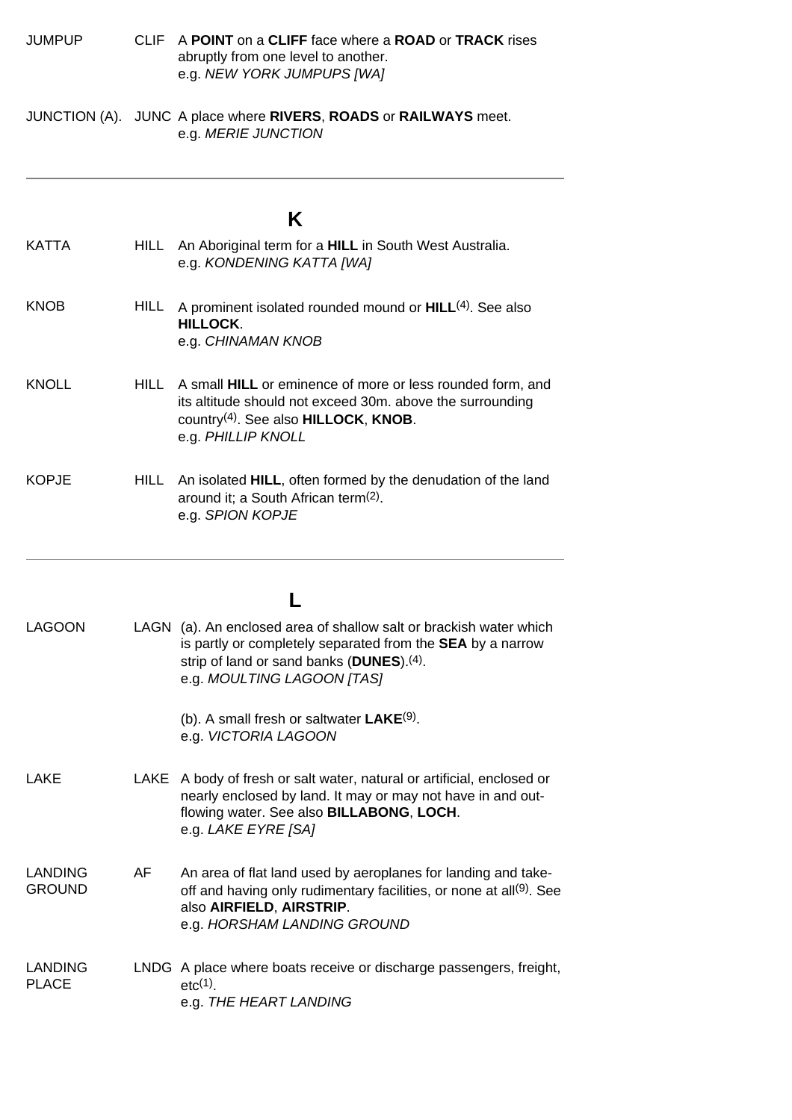JUMPUP CLIF A **POINT** on a **CLIFF** face where a **ROAD** or **TRACK** rises abruptly from one level to another. e.g. *NEW YORK JUMPUPS [WA]*

JUNCTION (A). JUNC A place where **RIVERS**, **ROADS** or **RAILWAYS** meet. e.g. *MERIE JUNCTION*

#### <span id="page-22-0"></span>**K** KATTA HILL An Aboriginal term for a **HILL** in South West Australia. e.g. *KONDENING KATTA [WA]* KNOB HILL A prominent isolated rounded mound or **HILL**(4). See also **HILLOCK**. e.g. *CHINAMAN KNOB* KNOLL HILL A small **HILL** or eminence of more or less rounded form, and its altitude should not exceed 30m. above the surrounding country(4). See also **HILLOCK**, **KNOB**. e.g. *PHILLIP KNOLL* KOPJE HILL An isolated **HILL**, often formed by the denudation of the land around it; a South African term(2). e.g. *SPION KOPJE* **L** LAGOON LAGN (a). An enclosed area of shallow salt or brackish water which is partly or completely separated from the **SEA** by a narrow strip of land or sand banks (**DUNES**).(4). e.g. *MOULTING LAGOON [TAS]* (b). A small fresh or saltwater **LAKE**(9). e.g. *VICTORIA LAGOON* LAKE LAKE A body of fresh or salt water, natural or artificial, enclosed or nearly enclosed by land. It may or may not have in and outflowing water. See also **BILLABONG**, **LOCH**. e.g. *LAKE EYRE [SA]* LANDING GROUND AF An area of flat land used by aeroplanes for landing and takeoff and having only rudimentary facilities, or none at all<sup>(9)</sup>. See also **AIRFIELD**, **AIRSTRIP**. e.g. *HORSHAM LANDING GROUND* LANDING PLACE LNDG A place where boats receive or discharge passengers, freight,  $etc<sub>(1)</sub>$ e.g. *THE HEART LANDING*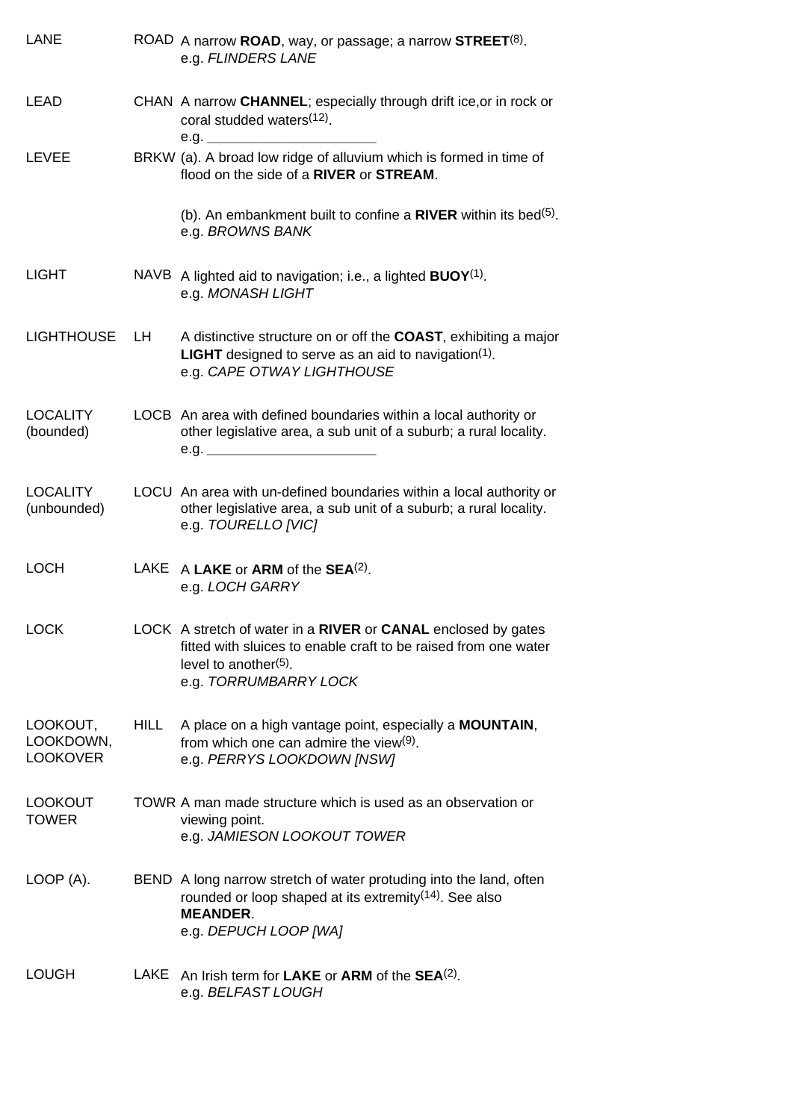| <b>LANE</b>                              |      | ROAD A narrow ROAD, way, or passage; a narrow STREET $(8)$ .<br>e.g. FLINDERS LANE                                                                                                    |
|------------------------------------------|------|---------------------------------------------------------------------------------------------------------------------------------------------------------------------------------------|
| LEAD                                     |      | CHAN A narrow CHANNEL; especially through drift ice, or in rock or<br>coral studded waters <sup>(12)</sup> .<br>e.g.                                                                  |
| LEVEE                                    |      | BRKW (a). A broad low ridge of alluvium which is formed in time of<br>flood on the side of a RIVER or STREAM.                                                                         |
|                                          |      | (b). An embankment built to confine a $RIVER$ within its bed <sup>(5)</sup> .<br>e.g. BROWNS BANK                                                                                     |
| <b>LIGHT</b>                             |      | NAVB A lighted aid to navigation; i.e., a lighted <b>BUOY</b> <sup>(1)</sup> .<br>e.g. MONASH LIGHT                                                                                   |
| <b>LIGHTHOUSE</b>                        | LH   | A distinctive structure on or off the <b>COAST</b> , exhibiting a major<br>LIGHT designed to serve as an aid to navigation(1).<br>e.g. CAPE OTWAY LIGHTHOUSE                          |
| <b>LOCALITY</b><br>(bounded)             |      | LOCB An area with defined boundaries within a local authority or<br>other legislative area, a sub unit of a suburb; a rural locality.                                                 |
| <b>LOCALITY</b><br>(unbounded)           |      | LOCU An area with un-defined boundaries within a local authority or<br>other legislative area, a sub unit of a suburb; a rural locality.<br>e.g. TOURELLO [VIC]                       |
| <b>LOCH</b>                              |      | LAKE $A$ LAKE or ARM of the SEA $(2)$ .<br>e.g. LOCH GARRY                                                                                                                            |
| <b>LOCK</b>                              |      | LOCK A stretch of water in a RIVER or CANAL enclosed by gates<br>fitted with sluices to enable craft to be raised from one water<br>level to another $(5)$ .<br>e.g. TORRUMBARRY LOCK |
| LOOKOUT,<br>LOOKDOWN,<br><b>LOOKOVER</b> | HILL | A place on a high vantage point, especially a <b>MOUNTAIN</b> ,<br>from which one can admire the view $(9)$ .<br>e.g. PERRYS LOOKDOWN [NSW]                                           |
| <b>LOOKOUT</b><br><b>TOWER</b>           |      | TOWR A man made structure which is used as an observation or<br>viewing point.<br>e.g. JAMIESON LOOKOUT TOWER                                                                         |
| LOOP (A).                                |      | BEND A long narrow stretch of water protuding into the land, often<br>rounded or loop shaped at its extremity <sup>(14)</sup> . See also<br><b>MEANDER.</b><br>e.g. DEPUCH LOOP [WA]  |
| <b>LOUGH</b>                             | LAKE | An Irish term for LAKE or ARM of the $SEA(2)$ .<br>e.g. BELFAST LOUGH                                                                                                                 |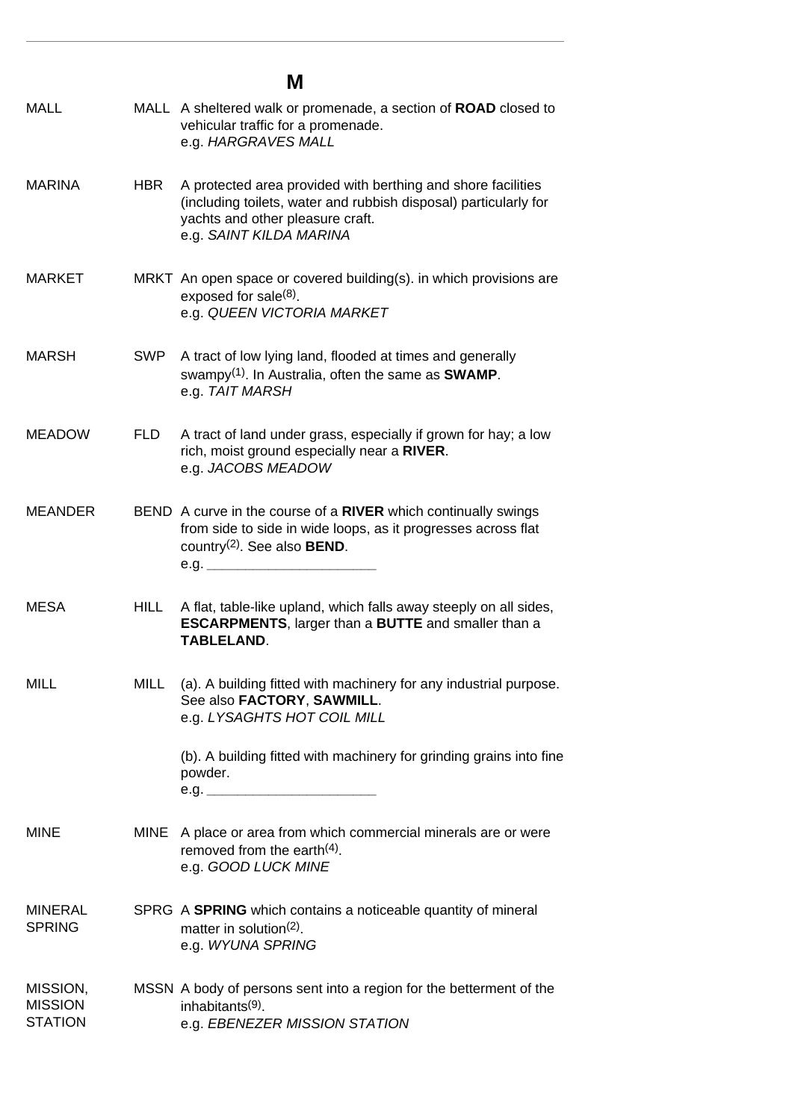#### **M** MALL MALL A sheltered walk or promenade, a section of **ROAD** closed to vehicular traffic for a promenade. e.g. *HARGRAVES MALL* MARINA HBR A protected area provided with berthing and shore facilities (including toilets, water and rubbish disposal) particularly for yachts and other pleasure craft. e.g. *SAINT KILDA MARINA* MARKET MRKT An open space or covered building(s). in which provisions are exposed for sale $(8)$ . e.g. *QUEEN VICTORIA MARKET* MARSH SWP A tract of low lying land, flooded at times and generally swampy(1). In Australia, often the same as **SWAMP**. e.g. *TAIT MARSH* MEADOW FLD A tract of land under grass, especially if grown for hay; a low rich, moist ground especially near a **RIVER**. e.g. *JACOBS MEADOW* MEANDER BEND A curve in the course of a **RIVER** which continually swings from side to side in wide loops, as it progresses across flat country(2). See also **BEND**. e.g. *\_\_\_\_\_\_\_\_\_\_\_\_\_\_\_\_\_\_\_\_\_\_* MESA HILL A flat, table-like upland, which falls away steeply on all sides, **ESCARPMENTS**, larger than a **BUTTE** and smaller than a **TABLELAND**. MILL MILL (a). A building fitted with machinery for any industrial purpose. See also **FACTORY**, **SAWMILL**. e.g. *LYSAGHTS HOT COIL MILL* (b). A building fitted with machinery for grinding grains into fine

powder. e.g. *\_\_\_\_\_\_\_\_\_\_\_\_\_\_\_\_\_\_\_\_\_\_*

- MINE MINE A place or area from which commercial minerals are or were removed from the earth<sup>(4)</sup>. e.g. *GOOD LUCK MINE*
- MINERAL **SPRING** SPRG A **SPRING** which contains a noticeable quantity of mineral matter in solution(2). e.g. *WYUNA SPRING*
- MISSION, **MISSION STATION** MSSN A body of persons sent into a region for the betterment of the inhabitants(9). e.g. *EBENEZER MISSION STATION*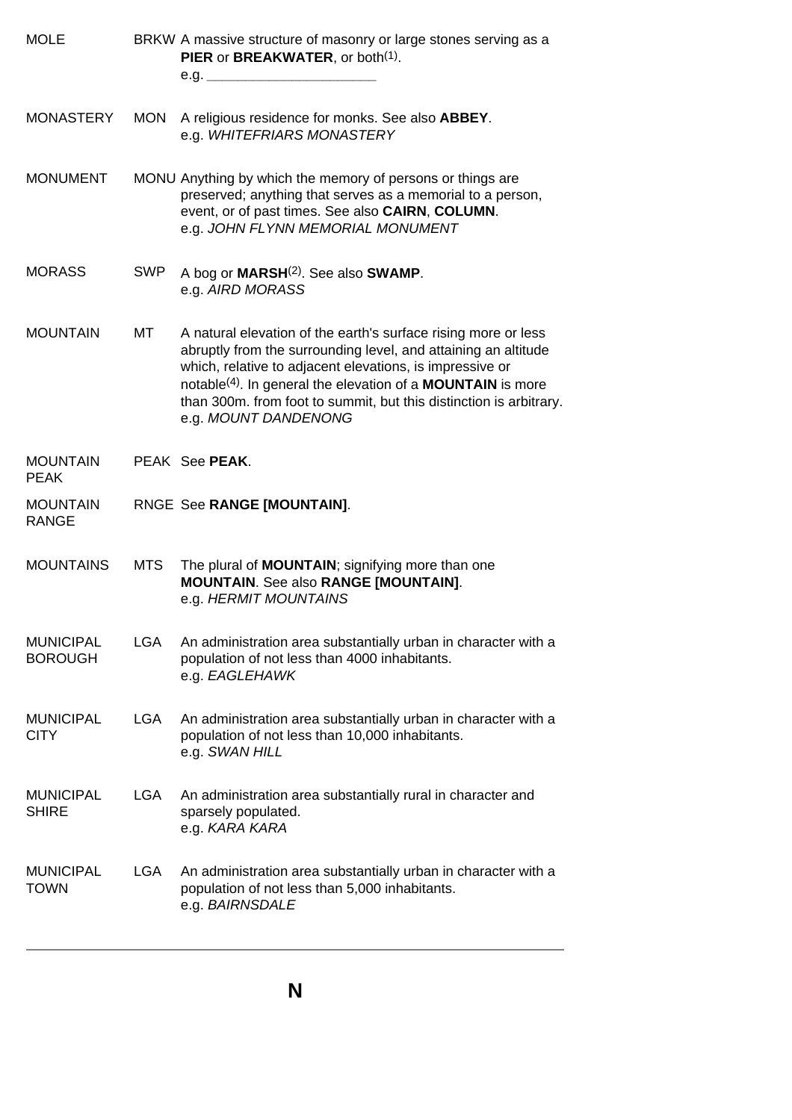<span id="page-25-0"></span>

| <b>MOLE</b>                        |            | BRKW A massive structure of masonry or large stones serving as a<br>PIER or BREAKWATER, or both <sup>(1)</sup> .                                                                                                                                                                                                                                                             |
|------------------------------------|------------|------------------------------------------------------------------------------------------------------------------------------------------------------------------------------------------------------------------------------------------------------------------------------------------------------------------------------------------------------------------------------|
| <b>MONASTERY</b>                   | <b>MON</b> | A religious residence for monks. See also ABBEY.<br>e.g. WHITEFRIARS MONASTERY                                                                                                                                                                                                                                                                                               |
| <b>MONUMENT</b>                    |            | MONU Anything by which the memory of persons or things are<br>preserved; anything that serves as a memorial to a person,<br>event, or of past times. See also CAIRN, COLUMN.<br>e.g. JOHN FLYNN MEMORIAL MONUMENT                                                                                                                                                            |
| <b>MORASS</b>                      | <b>SWP</b> | A bog or MARSH <sup>(2)</sup> . See also SWAMP.<br>e.g. AIRD MORASS                                                                                                                                                                                                                                                                                                          |
| <b>MOUNTAIN</b>                    | МT         | A natural elevation of the earth's surface rising more or less<br>abruptly from the surrounding level, and attaining an altitude<br>which, relative to adjacent elevations, is impressive or<br>notable <sup>(4)</sup> . In general the elevation of a <b>MOUNTAIN</b> is more<br>than 300m. from foot to summit, but this distinction is arbitrary.<br>e.g. MOUNT DANDENONG |
| <b>MOUNTAIN</b><br><b>PEAK</b>     |            | PEAK See PEAK.                                                                                                                                                                                                                                                                                                                                                               |
| <b>MOUNTAIN</b><br><b>RANGE</b>    |            | RNGE See RANGE [MOUNTAIN].                                                                                                                                                                                                                                                                                                                                                   |
| <b>MOUNTAINS</b>                   | <b>MTS</b> | The plural of <b>MOUNTAIN</b> ; signifying more than one<br><b>MOUNTAIN.</b> See also RANGE [MOUNTAIN].<br>e.g. HERMIT MOUNTAINS                                                                                                                                                                                                                                             |
| <b>MUNICIPAL</b><br><b>BOROUGH</b> | <b>LGA</b> | An administration area substantially urban in character with a<br>population of not less than 4000 inhabitants.<br>e.g. EAGLEHAWK                                                                                                                                                                                                                                            |
| <b>MUNICIPAL</b><br><b>CITY</b>    | LGA.       | An administration area substantially urban in character with a<br>population of not less than 10,000 inhabitants.<br>e.g. SWAN HILL                                                                                                                                                                                                                                          |
| <b>MUNICIPAL</b><br><b>SHIRE</b>   | LGA        | An administration area substantially rural in character and<br>sparsely populated.<br>e.g. KARA KARA                                                                                                                                                                                                                                                                         |
| <b>MUNICIPAL</b><br><b>TOWN</b>    | <b>LGA</b> | An administration area substantially urban in character with a<br>population of not less than 5,000 inhabitants.<br>e.g. BAIRNSDALE                                                                                                                                                                                                                                          |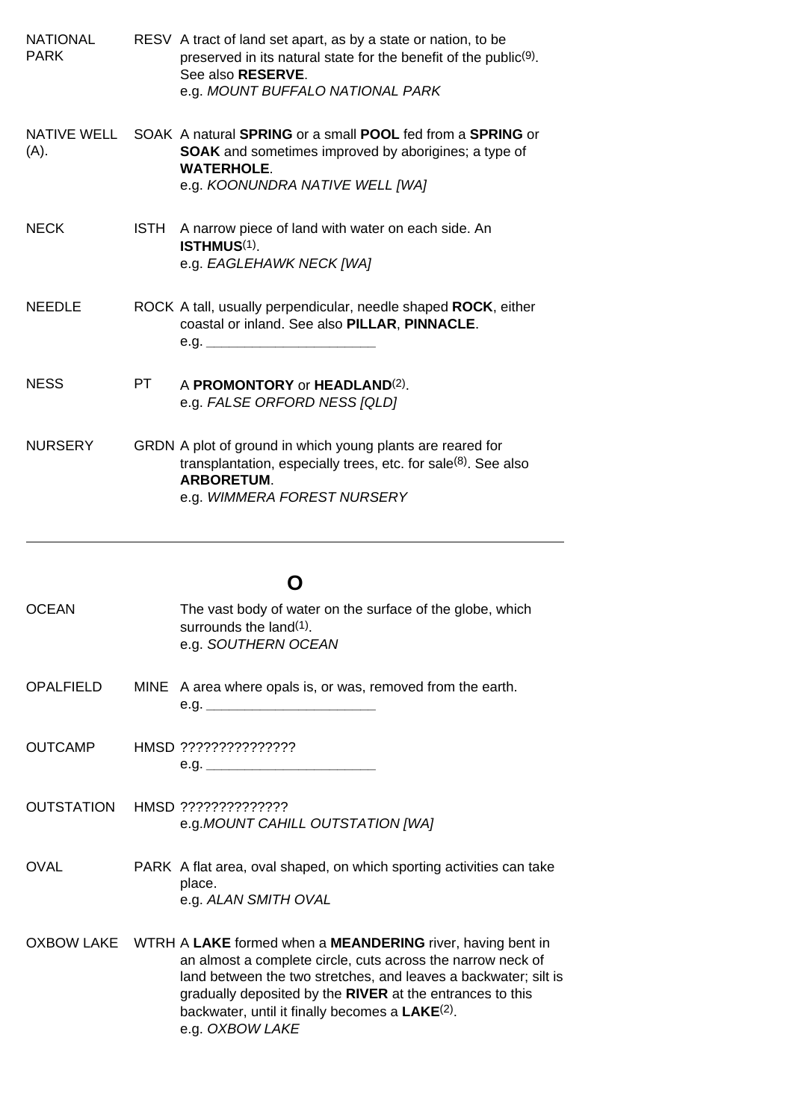<span id="page-26-0"></span>

| <b>NATIONAL</b><br><b>PARK</b> |      | RESV A tract of land set apart, as by a state or nation, to be<br>preserved in its natural state for the benefit of the public <sup>(9)</sup> .<br>See also RESERVE.<br>e.g. MOUNT BUFFALO NATIONAL PARK                                                                                                                                               |
|--------------------------------|------|--------------------------------------------------------------------------------------------------------------------------------------------------------------------------------------------------------------------------------------------------------------------------------------------------------------------------------------------------------|
| NATIVE WELL<br>(A).            |      | SOAK A natural SPRING or a small POOL fed from a SPRING or<br><b>SOAK</b> and sometimes improved by aborigines; a type of<br><b>WATERHOLE.</b><br>e.g. KOONUNDRA NATIVE WELL [WA]                                                                                                                                                                      |
| <b>NECK</b>                    | ISTH | A narrow piece of land with water on each side. An<br>ISTHMUS <sup>(1)</sup> .<br>e.g. EAGLEHAWK NECK [WA]                                                                                                                                                                                                                                             |
| <b>NEEDLE</b>                  |      | ROCK A tall, usually perpendicular, needle shaped ROCK, either<br>coastal or inland. See also PILLAR, PINNACLE.<br>e.g. $\_\_$                                                                                                                                                                                                                         |
| <b>NESS</b>                    | PT.  | A <b>PROMONTORY</b> or <b>HEADLAND</b> <sup>(2)</sup> .<br>e.g. FALSE ORFORD NESS [QLD]                                                                                                                                                                                                                                                                |
| <b>NURSERY</b>                 |      | GRDN A plot of ground in which young plants are reared for<br>transplantation, especially trees, etc. for sale(8). See also<br><b>ARBORETUM.</b><br>e.g. WIMMERA FOREST NURSERY                                                                                                                                                                        |
|                                |      | O                                                                                                                                                                                                                                                                                                                                                      |
| <b>OCEAN</b>                   |      | The vast body of water on the surface of the globe, which<br>surrounds the land $(1)$ .<br>e.g. SOUTHERN OCEAN                                                                                                                                                                                                                                         |
| <b>OPALFIELD</b>               |      | MINE A area where opals is, or was, removed from the earth.                                                                                                                                                                                                                                                                                            |
| <b>OUTCAMP</b>                 |      | HMSD ???????????????                                                                                                                                                                                                                                                                                                                                   |
| <b>OUTSTATION</b>              |      | HMSD ??????????????<br>e.g. MOUNT CAHILL OUTSTATION [WA]                                                                                                                                                                                                                                                                                               |
| <b>OVAL</b>                    |      | PARK A flat area, oval shaped, on which sporting activities can take<br>place.<br>e.g. ALAN SMITH OVAL                                                                                                                                                                                                                                                 |
|                                |      | OXBOW LAKE WTRH A LAKE formed when a MEANDERING river, having bent in<br>an almost a complete circle, cuts across the narrow neck of<br>land between the two stretches, and leaves a backwater; silt is<br>gradually deposited by the RIVER at the entrances to this<br>backwater, until it finally becomes a LAKE <sup>(2)</sup> .<br>e.g. OXBOW LAKE |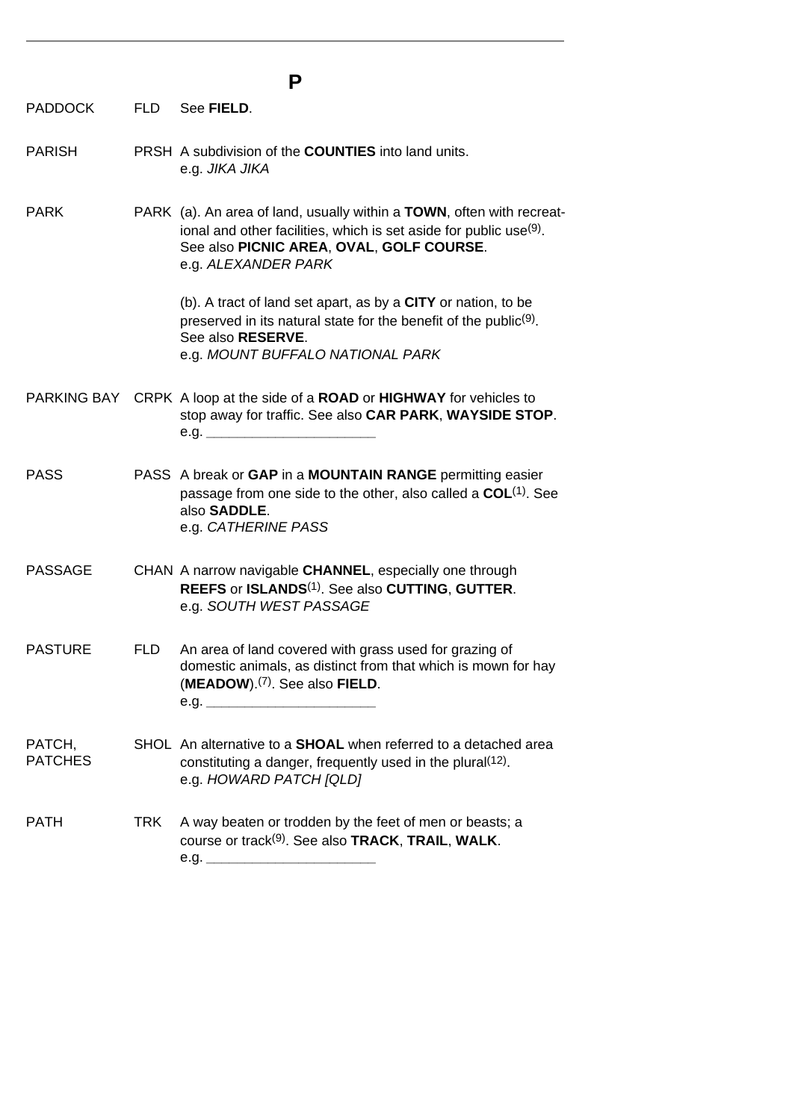| Р                        |            |                                                                                                                                                                                                                 |
|--------------------------|------------|-----------------------------------------------------------------------------------------------------------------------------------------------------------------------------------------------------------------|
| <b>PADDOCK</b>           | <b>FLD</b> | See FIELD.                                                                                                                                                                                                      |
| <b>PARISH</b>            |            | PRSH A subdivision of the <b>COUNTIES</b> into land units.<br>e.g. JIKA JIKA                                                                                                                                    |
| <b>PARK</b>              |            | PARK (a). An area of land, usually within a TOWN, often with recreat-<br>ional and other facilities, which is set aside for public use(9).<br>See also PICNIC AREA, OVAL, GOLF COURSE.<br>e.g. ALEXANDER PARK   |
|                          |            | (b). A tract of land set apart, as by a CITY or nation, to be<br>preserved in its natural state for the benefit of the public <sup>(9)</sup> .<br>See also <b>RESERVE</b> .<br>e.g. MOUNT BUFFALO NATIONAL PARK |
|                          |            | PARKING BAY CRPK A loop at the side of a ROAD or HIGHWAY for vehicles to<br>stop away for traffic. See also CAR PARK, WAYSIDE STOP.<br>e.g.                                                                     |
| <b>PASS</b>              |            | PASS A break or GAP in a MOUNTAIN RANGE permitting easier<br>passage from one side to the other, also called a COL <sup>(1)</sup> . See<br>also SADDLE.<br>e.g. CATHERINE PASS                                  |
| <b>PASSAGE</b>           |            | CHAN A narrow navigable CHANNEL, especially one through<br>REEFS or ISLANDS <sup>(1)</sup> . See also CUTTING, GUTTER.<br>e.g. SOUTH WEST PASSAGE                                                               |
| <b>PASTURE</b>           | <b>FLD</b> | An area of land covered with grass used for grazing of<br>domestic animals, as distinct from that which is mown for hay<br>(MEADOW). <sup>(7)</sup> . See also FIELD.                                           |
| PATCH,<br><b>PATCHES</b> |            | SHOL An alternative to a <b>SHOAL</b> when referred to a detached area<br>constituting a danger, frequently used in the plural (12).<br>e.g. HOWARD PATCH [QLD]                                                 |
| <b>PATH</b>              | TRK.       | A way beaten or trodden by the feet of men or beasts; a<br>course or track <sup>(9)</sup> . See also <b>TRACK, TRAIL, WALK.</b>                                                                                 |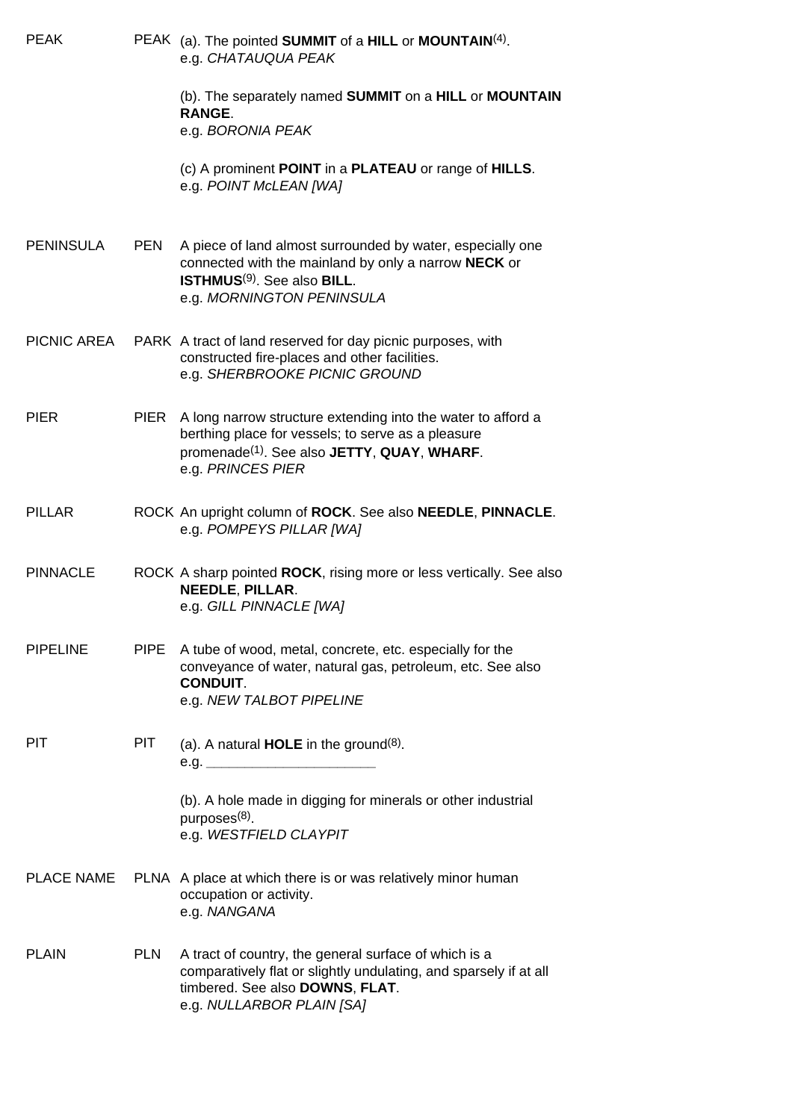| <b>PEAK</b>       |             | PEAK (a). The pointed SUMMIT of a HILL or MOUNTAIN(4).<br>e.g. CHATAUQUA PEAK                                                                                                                            |
|-------------------|-------------|----------------------------------------------------------------------------------------------------------------------------------------------------------------------------------------------------------|
|                   |             | (b). The separately named SUMMIT on a HILL or MOUNTAIN<br><b>RANGE.</b>                                                                                                                                  |
|                   |             | e.g. BORONIA PEAK                                                                                                                                                                                        |
|                   |             | (c) A prominent POINT in a PLATEAU or range of HILLS.<br>e.g. POINT McLEAN [WA]                                                                                                                          |
| <b>PENINSULA</b>  | <b>PEN</b>  | A piece of land almost surrounded by water, especially one<br>connected with the mainland by only a narrow NECK or<br><b>ISTHMUS<sup>(9)</sup></b> . See also <b>BILL</b> .<br>e.g. MORNINGTON PENINSULA |
| PICNIC AREA       |             | PARK A tract of land reserved for day picnic purposes, with<br>constructed fire-places and other facilities.<br>e.g. SHERBROOKE PICNIC GROUND                                                            |
| <b>PIER</b>       | PIER        | A long narrow structure extending into the water to afford a<br>berthing place for vessels; to serve as a pleasure<br>promenade <sup>(1)</sup> . See also JETTY, QUAY, WHARF.<br>e.g. PRINCES PIER       |
| <b>PILLAR</b>     |             | ROCK An upright column of ROCK. See also NEEDLE, PINNACLE.<br>e.g. POMPEYS PILLAR [WA]                                                                                                                   |
| <b>PINNACLE</b>   |             | ROCK A sharp pointed ROCK, rising more or less vertically. See also<br>NEEDLE, PILLAR.<br>e.g. GILL PINNACLE [WA]                                                                                        |
| <b>PIPELINE</b>   | <b>PIPE</b> | A tube of wood, metal, concrete, etc. especially for the<br>conveyance of water, natural gas, petroleum, etc. See also<br><b>CONDUIT.</b><br>e.g. NEW TALBOT PIPELINE                                    |
| <b>PIT</b>        | <b>PIT</b>  | (a). A natural <b>HOLE</b> in the ground <sup>(8)</sup> .                                                                                                                                                |
|                   |             | (b). A hole made in digging for minerals or other industrial<br>purposes $(8)$ .<br>e.g. WESTFIELD CLAYPIT                                                                                               |
| <b>PLACE NAME</b> |             | PLNA A place at which there is or was relatively minor human<br>occupation or activity.<br>e.g. NANGANA                                                                                                  |
| <b>PLAIN</b>      | <b>PLN</b>  | A tract of country, the general surface of which is a<br>comparatively flat or slightly undulating, and sparsely if at all<br>timbered. See also DOWNS, FLAT.<br>e.g. NULLARBOR PLAIN [SA]               |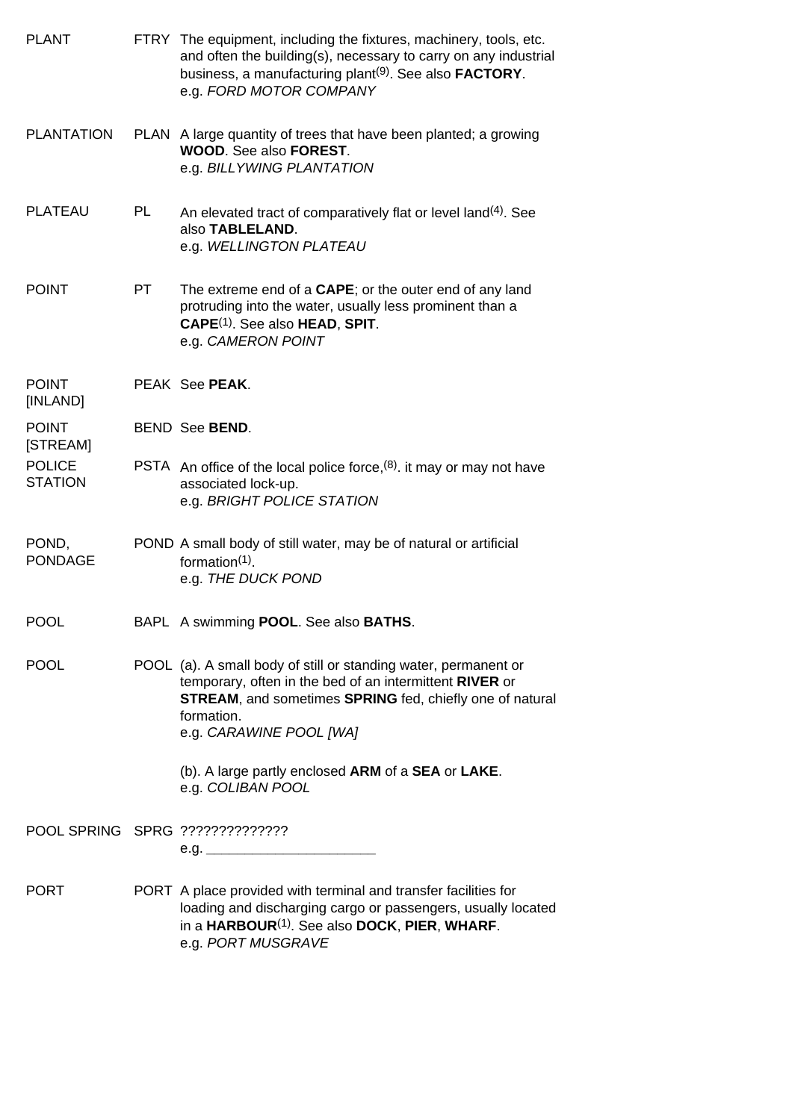| <b>PLANT</b>                    |     | FTRY The equipment, including the fixtures, machinery, tools, etc.<br>and often the building(s), necessary to carry on any industrial<br>business, a manufacturing plant <sup>(9)</sup> . See also <b>FACTORY</b> .<br>e.g. FORD MOTOR COMPANY |
|---------------------------------|-----|------------------------------------------------------------------------------------------------------------------------------------------------------------------------------------------------------------------------------------------------|
| <b>PLANTATION</b>               |     | PLAN A large quantity of trees that have been planted; a growing<br><b>WOOD.</b> See also <b>FOREST.</b><br>e.g. BILLYWING PLANTATION                                                                                                          |
| <b>PLATEAU</b>                  | PL  | An elevated tract of comparatively flat or level land <sup>(4)</sup> . See<br>also TABLELAND.<br>e.g. WELLINGTON PLATEAU                                                                                                                       |
| <b>POINT</b>                    | PT. | The extreme end of a CAPE; or the outer end of any land<br>protruding into the water, usually less prominent than a<br>CAPE <sup>(1)</sup> . See also HEAD, SPIT.<br>e.g. CAMERON POINT                                                        |
| <b>POINT</b><br>[INLAND]        |     | PEAK See PEAK.                                                                                                                                                                                                                                 |
| <b>POINT</b><br>[STREAM]        |     | <b>BEND See BEND.</b>                                                                                                                                                                                                                          |
| <b>POLICE</b><br><b>STATION</b> |     | PSTA An office of the local police force, (8). it may or may not have<br>associated lock-up.<br>e.g. BRIGHT POLICE STATION                                                                                                                     |
| POND,<br><b>PONDAGE</b>         |     | POND A small body of still water, may be of natural or artificial<br>formation $(1)$ .<br>e.g. THE DUCK POND                                                                                                                                   |
| <b>POOL</b>                     |     | BAPL A swimming POOL. See also BATHS.                                                                                                                                                                                                          |
| <b>POOL</b>                     |     | POOL (a). A small body of still or standing water, permanent or<br>temporary, often in the bed of an intermittent RIVER or<br><b>STREAM, and sometimes SPRING fed, chiefly one of natural</b><br>formation.<br>e.g. CARAWINE POOL [WA]         |
|                                 |     | (b). A large partly enclosed ARM of a SEA or LAKE.<br>e.g. COLIBAN POOL                                                                                                                                                                        |
|                                 |     | POOL SPRING SPRG ???????????????                                                                                                                                                                                                               |
| <b>PORT</b>                     |     | PORT A place provided with terminal and transfer facilities for<br>loading and discharging cargo or passengers, usually located<br>in a HARBOUR <sup>(1)</sup> . See also DOCK, PIER, WHARF.                                                   |

e.g. *PORT MUSGRAVE*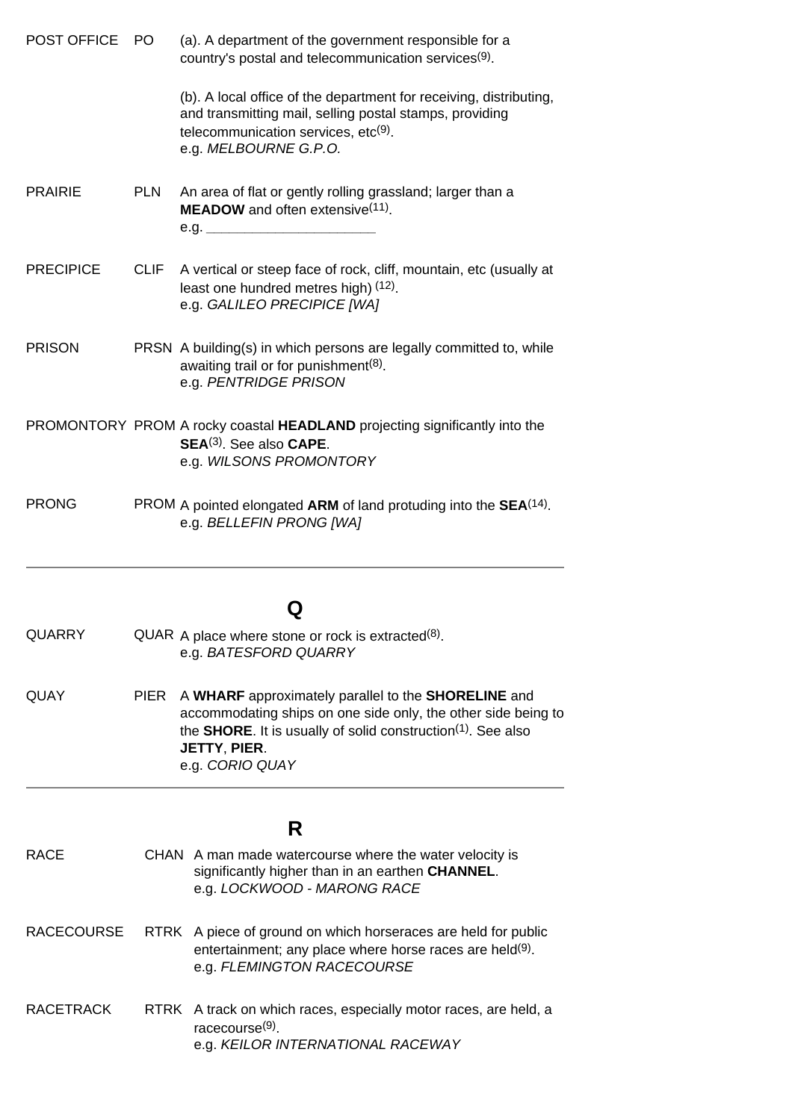| <b>POST OFFICE</b> | PO.         | (a). A department of the government responsible for a<br>country's postal and telecommunication services <sup>(9)</sup> .                                                                                  |
|--------------------|-------------|------------------------------------------------------------------------------------------------------------------------------------------------------------------------------------------------------------|
|                    |             | (b). A local office of the department for receiving, distributing,<br>and transmitting mail, selling postal stamps, providing<br>telecommunication services, etc <sup>(9)</sup> .<br>e.g. MELBOURNE G.P.O. |
| <b>PRAIRIE</b>     | <b>PLN</b>  | An area of flat or gently rolling grassland; larger than a<br><b>MEADOW</b> and often extensive <sup>(11)</sup> .<br>e.g.                                                                                  |
| <b>PRECIPICE</b>   | <b>CLIF</b> | A vertical or steep face of rock, cliff, mountain, etc (usually at<br>least one hundred metres high) (12).<br>e.g. GALILEO PRECIPICE [WA]                                                                  |
| <b>PRISON</b>      |             | PRSN A building(s) in which persons are legally committed to, while<br>awaiting trail or for punishment <sup>(8)</sup> .<br>e.g. PENTRIDGE PRISON                                                          |
|                    |             | PROMONTORY PROM A rocky coastal HEADLAND projecting significantly into the<br>SEA <sup>(3)</sup> . See also CAPE.<br>e.g. WILSONS PROMONTORY                                                               |
| <b>PRONG</b>       |             | PROM A pointed elongated ARM of land protuding into the SEA <sup>(14)</sup> .<br>e.g. BELLEFIN PRONG [WA]                                                                                                  |

# **Q**

 $\mathsf{QUARRY}$  QUAR A place where stone or rock is extracted<sup>(8)</sup>. e.g. *BATESFORD QUARRY*

| QUAY. | PIER A WHARF approximately parallel to the <b>SHORELINE</b> and                               |
|-------|-----------------------------------------------------------------------------------------------|
|       | accommodating ships on one side only, the other side being to                                 |
|       | the <b>SHORE</b> . It is usually of solid construction <sup><math>(1)</math></sup> . See also |
|       | JETTY. PIER.                                                                                  |
|       | e.g. CORIO QUAY                                                                               |

# **R**

| <b>RACE</b>       | CHAN A man made watercourse where the water velocity is<br>significantly higher than in an earthen CHANNEL.<br>e.g. LOCKWOOD - MARONG RACE                           |
|-------------------|----------------------------------------------------------------------------------------------------------------------------------------------------------------------|
| <b>RACECOURSE</b> | RTRK A piece of ground on which horseraces are held for public<br>entertainment; any place where horse races are held <sup>(9)</sup> .<br>e.g. FLEMINGTON RACECOURSE |
| RACETRACK         | RTRK A track on which races, especially motor races, are held, a<br>racecourse $(9)$ .<br>e.g. KEILOR INTERNATIONAL RACEWAY                                          |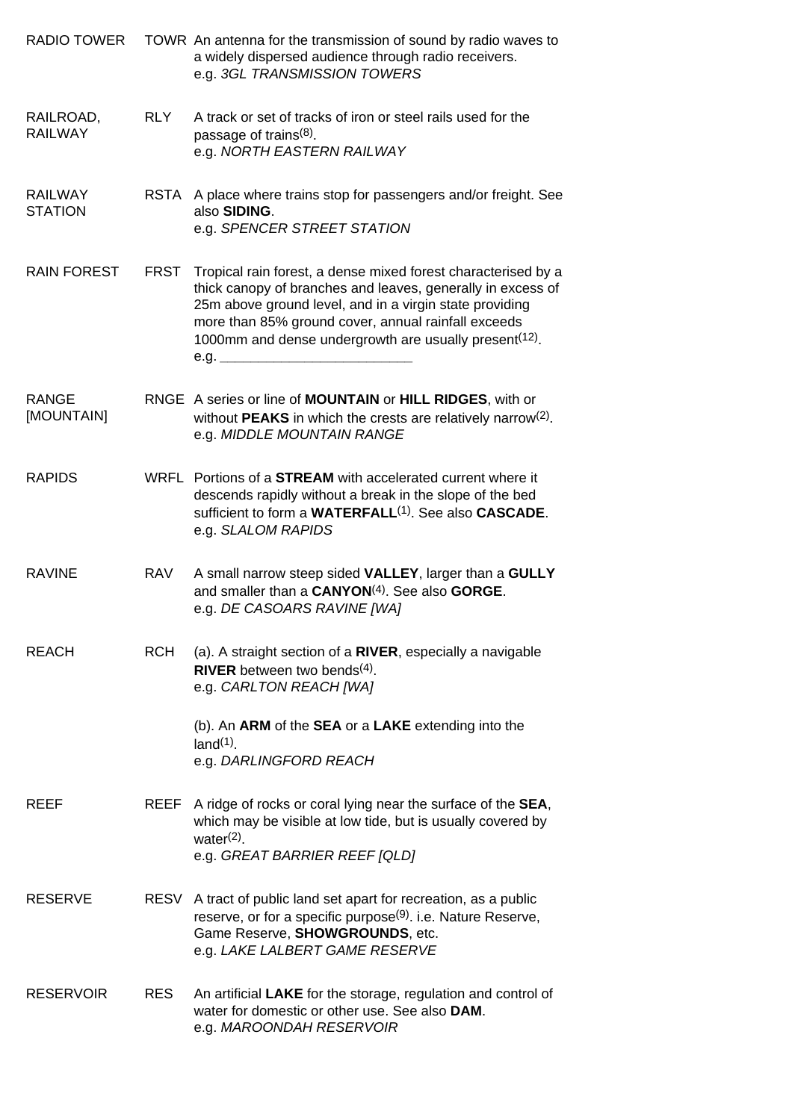| <b>RADIO TOWER</b>               |             | TOWR An antenna for the transmission of sound by radio waves to<br>a widely dispersed audience through radio receivers.<br>e.g. 3GL TRANSMISSION TOWERS                                                                                                                                                                      |
|----------------------------------|-------------|------------------------------------------------------------------------------------------------------------------------------------------------------------------------------------------------------------------------------------------------------------------------------------------------------------------------------|
| RAILROAD,<br><b>RAILWAY</b>      | <b>RLY</b>  | A track or set of tracks of iron or steel rails used for the<br>passage of trains <sup>(8)</sup> .<br>e.g. NORTH EASTERN RAILWAY                                                                                                                                                                                             |
| <b>RAILWAY</b><br><b>STATION</b> |             | RSTA A place where trains stop for passengers and/or freight. See<br>also SIDING.<br>e.g. SPENCER STREET STATION                                                                                                                                                                                                             |
| <b>RAIN FOREST</b>               | <b>FRST</b> | Tropical rain forest, a dense mixed forest characterised by a<br>thick canopy of branches and leaves, generally in excess of<br>25m above ground level, and in a virgin state providing<br>more than 85% ground cover, annual rainfall exceeds<br>1000mm and dense undergrowth are usually present <sup>(12)</sup> .<br>e.g. |
| <b>RANGE</b><br>[MOUNTAIN]       |             | RNGE A series or line of MOUNTAIN or HILL RIDGES, with or<br>without <b>PEAKS</b> in which the crests are relatively narrow <sup>(2)</sup> .<br>e.g. MIDDLE MOUNTAIN RANGE                                                                                                                                                   |
| <b>RAPIDS</b>                    |             | WRFL Portions of a <b>STREAM</b> with accelerated current where it<br>descends rapidly without a break in the slope of the bed<br>sufficient to form a WATERFALL <sup>(1)</sup> . See also CASCADE.<br>e.g. SLALOM RAPIDS                                                                                                    |
| <b>RAVINE</b>                    | <b>RAV</b>  | A small narrow steep sided VALLEY, larger than a GULLY<br>and smaller than a CANYON <sup>(4)</sup> . See also GORGE.<br>e.g. DE CASOARS RAVINE [WA]                                                                                                                                                                          |
| <b>REACH</b>                     | <b>RCH</b>  | (a). A straight section of a RIVER, especially a navigable<br>RIVER between two bends $(4)$ .<br>e.g. CARLTON REACH [WA]                                                                                                                                                                                                     |
|                                  |             | (b). An ARM of the SEA or a LAKE extending into the<br>$land(1)$ .<br>e.g. DARLINGFORD REACH                                                                                                                                                                                                                                 |
| <b>REEF</b>                      |             | REEF A ridge of rocks or coral lying near the surface of the SEA,<br>which may be visible at low tide, but is usually covered by<br>water $(2)$ .<br>e.g. GREAT BARRIER REEF [QLD]                                                                                                                                           |
| <b>RESERVE</b>                   |             | RESV A tract of public land set apart for recreation, as a public<br>reserve, or for a specific purpose <sup>(9)</sup> . i.e. Nature Reserve,<br>Game Reserve, SHOWGROUNDS, etc.<br>e.g. LAKE LALBERT GAME RESERVE                                                                                                           |
| <b>RESERVOIR</b>                 | <b>RES</b>  | An artificial LAKE for the storage, regulation and control of<br>water for domestic or other use. See also DAM.<br>e.g. MAROONDAH RESERVOIR                                                                                                                                                                                  |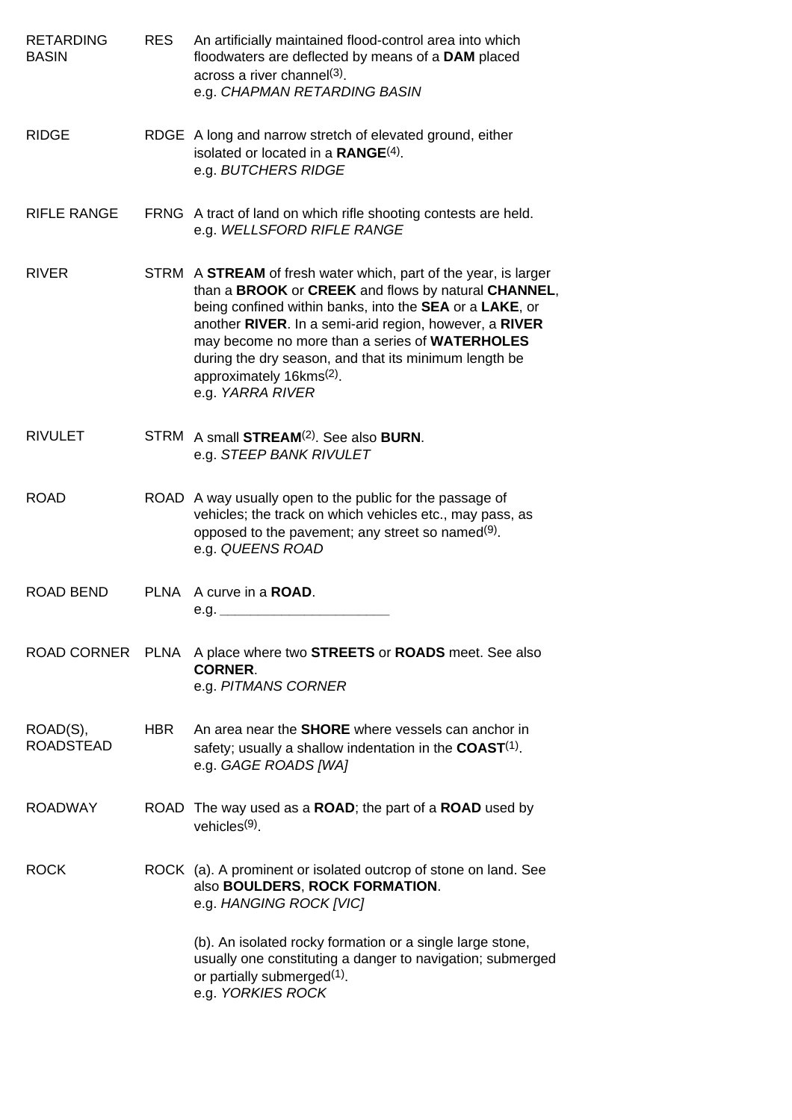| <b>RETARDING</b><br><b>BASIN</b> | <b>RES</b>  | An artificially maintained flood-control area into which<br>floodwaters are deflected by means of a DAM placed<br>across a river channel(3).<br>e.g. CHAPMAN RETARDING BASIN                                                                                                                                                                                                                                       |
|----------------------------------|-------------|--------------------------------------------------------------------------------------------------------------------------------------------------------------------------------------------------------------------------------------------------------------------------------------------------------------------------------------------------------------------------------------------------------------------|
| <b>RIDGE</b>                     |             | RDGE A long and narrow stretch of elevated ground, either<br>isolated or located in a $\mathsf{RANGE}^{(4)}$ .<br>e.g. BUTCHERS RIDGE                                                                                                                                                                                                                                                                              |
| <b>RIFLE RANGE</b>               |             | FRNG A tract of land on which rifle shooting contests are held.<br>e.g. WELLSFORD RIFLE RANGE                                                                                                                                                                                                                                                                                                                      |
| <b>RIVER</b>                     |             | STRM A STREAM of fresh water which, part of the year, is larger<br>than a BROOK or CREEK and flows by natural CHANNEL,<br>being confined within banks, into the SEA or a LAKE, or<br>another RIVER. In a semi-arid region, however, a RIVER<br>may become no more than a series of WATERHOLES<br>during the dry season, and that its minimum length be<br>approximately 16kms <sup>(2)</sup> .<br>e.g. YARRA RIVER |
| <b>RIVULET</b>                   | <b>STRM</b> | A small <b>STREAM</b> <sup>(2)</sup> . See also <b>BURN</b> .<br>e.g. STEEP BANK RIVULET                                                                                                                                                                                                                                                                                                                           |
| <b>ROAD</b>                      |             | ROAD A way usually open to the public for the passage of<br>vehicles; the track on which vehicles etc., may pass, as<br>opposed to the pavement; any street so named <sup>(9)</sup> .<br>e.g. QUEENS ROAD                                                                                                                                                                                                          |
| ROAD BEND                        |             | PLNA A curve in a <b>ROAD</b> .<br>e.g.                                                                                                                                                                                                                                                                                                                                                                            |
| <b>ROAD CORNER</b>               |             | PLNA A place where two <b>STREETS</b> or <b>ROADS</b> meet. See also<br><b>CORNER.</b><br>e.g. PITMANS CORNER                                                                                                                                                                                                                                                                                                      |
| ROAD(S),<br><b>ROADSTEAD</b>     | HBR         | An area near the <b>SHORE</b> where vessels can anchor in<br>safety; usually a shallow indentation in the $COAST(1)$ .<br>e.g. GAGE ROADS [WA]                                                                                                                                                                                                                                                                     |
| <b>ROADWAY</b>                   |             | ROAD The way used as a <b>ROAD</b> ; the part of a <b>ROAD</b> used by<br>vehicles $(9)$ .                                                                                                                                                                                                                                                                                                                         |
| <b>ROCK</b>                      |             | ROCK (a). A prominent or isolated outcrop of stone on land. See<br>also BOULDERS, ROCK FORMATION.<br>e.g. HANGING ROCK [VIC]                                                                                                                                                                                                                                                                                       |
|                                  |             | (b). An isolated rocky formation or a single large stone,<br>usually one constituting a danger to navigation; submerged<br>or partially submerged <sup>(1)</sup> .<br>e.g. YORKIES ROCK                                                                                                                                                                                                                            |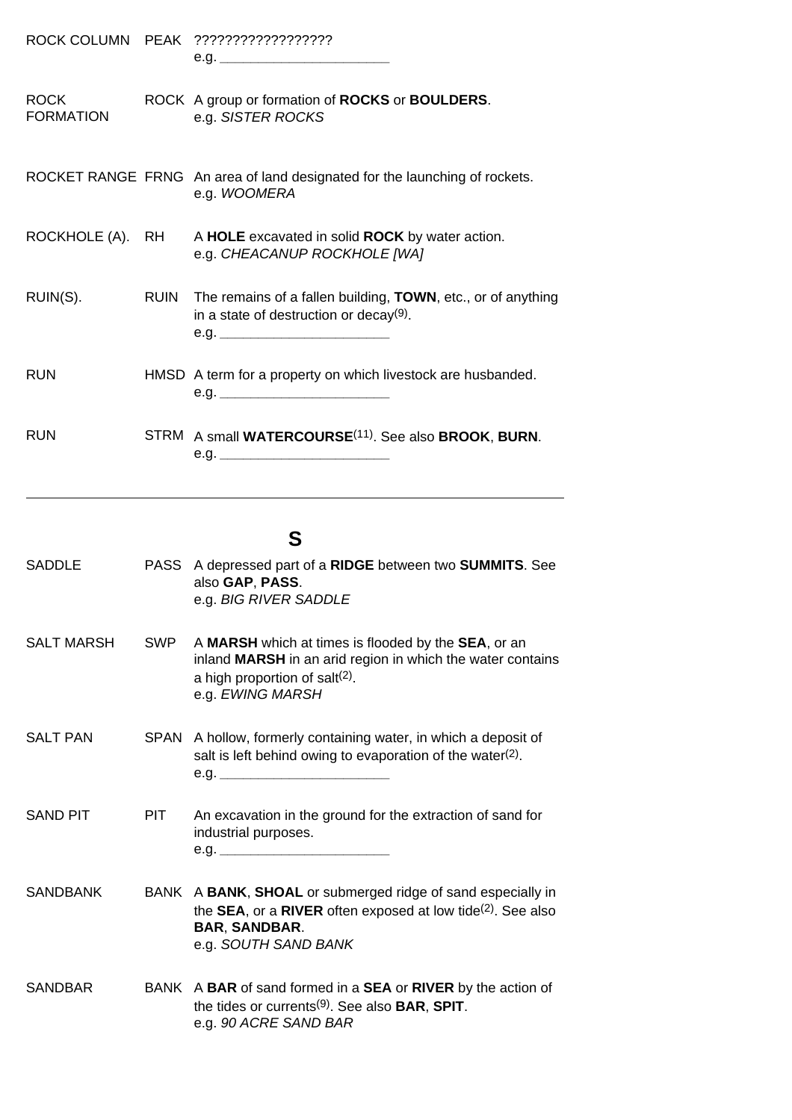|                                 | e.g.                                                                                                                    |
|---------------------------------|-------------------------------------------------------------------------------------------------------------------------|
| <b>ROCK</b><br><b>FORMATION</b> | ROCK A group or formation of ROCKS or BOULDERS.<br>e.g. SISTER ROCKS                                                    |
|                                 | ROCKET RANGE FRNG An area of land designated for the launching of rockets.<br>e.g. WOOMERA                              |
|                                 | ROCKHOLE (A). RH A HOLE excavated in solid ROCK by water action.<br>e.g. CHEACANUP ROCKHOLE [WA]                        |
| RUIN(S).                        | RUIN The remains of a fallen building, TOWN, etc., or of anything<br>in a state of destruction or decay $(9)$ .<br>e.g. |
| <b>RUN</b>                      | HMSD A term for a property on which livestock are husbanded.                                                            |
| <b>RUN</b>                      | STRM A small WATERCOURSE <sup>(11)</sup> . See also BROOK, BURN.                                                        |

# **S**

| <b>SADDLE</b>     |            | PASS A depressed part of a RIDGE between two SUMMITS. See<br>also GAP, PASS.<br>e.g. BIG RIVER SADDLE                                                                         |
|-------------------|------------|-------------------------------------------------------------------------------------------------------------------------------------------------------------------------------|
| <b>SALT MARSH</b> | <b>SWP</b> | A MARSH which at times is flooded by the SEA, or an<br>inland MARSH in an arid region in which the water contains<br>a high proportion of salt $(2)$ .<br>e.g. EWING MARSH    |
| <b>SALT PAN</b>   |            | SPAN A hollow, formerly containing water, in which a deposit of<br>salt is left behind owing to evaporation of the water <sup>(2)</sup> .<br>e.g.                             |
| <b>SAND PIT</b>   | <b>PIT</b> | An excavation in the ground for the extraction of sand for<br>industrial purposes.<br>e.g.                                                                                    |
| <b>SANDBANK</b>   |            | BANK A BANK, SHOAL or submerged ridge of sand especially in<br>the SEA, or a RIVER often exposed at low tide $(2)$ . See also<br><b>BAR, SANDBAR.</b><br>e.g. SOUTH SAND BANK |
| <b>SANDBAR</b>    |            | BANK A BAR of sand formed in a SEA or RIVER by the action of<br>the tides or currents <sup>(9)</sup> . See also <b>BAR</b> , <b>SPIT</b> .<br>e.g. 90 ACRE SAND BAR           |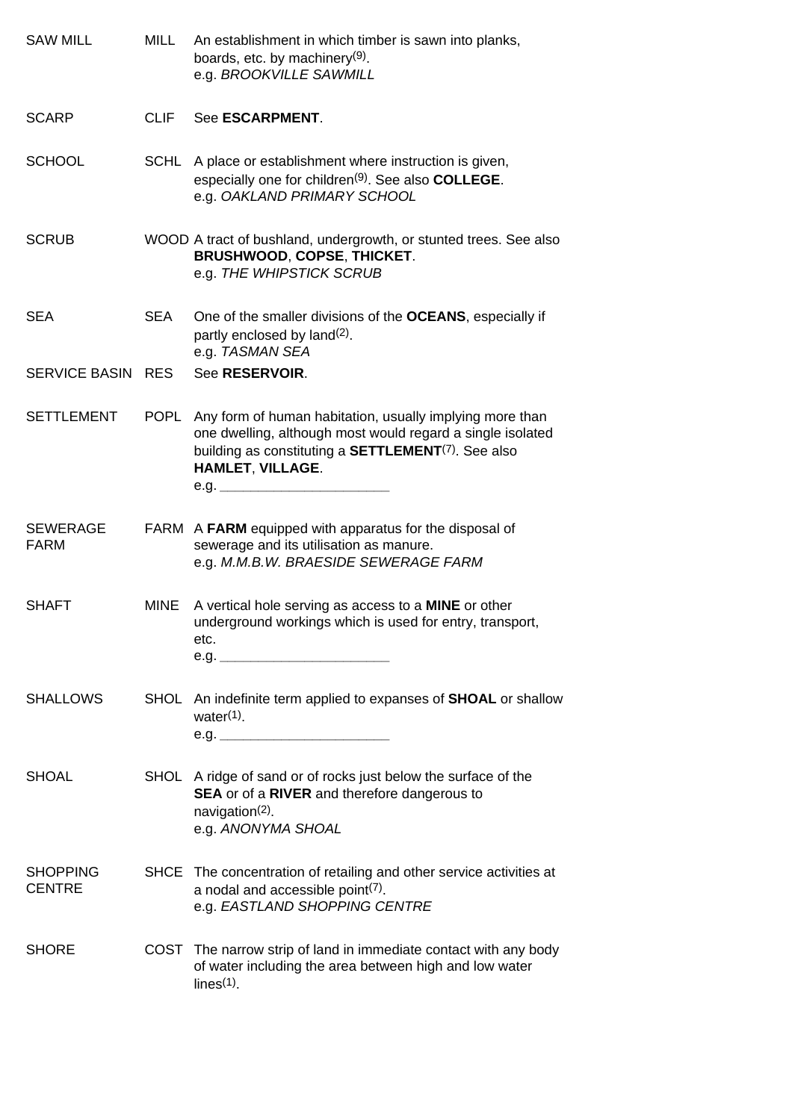| <b>SAW MILL</b>                  | MILL        | An establishment in which timber is sawn into planks,<br>boards, etc. by machinery <sup>(9)</sup><br>e.g. BROOKVILLE SAWMILL                                                                                         |
|----------------------------------|-------------|----------------------------------------------------------------------------------------------------------------------------------------------------------------------------------------------------------------------|
| <b>SCARP</b>                     | <b>CLIF</b> | See ESCARPMENT.                                                                                                                                                                                                      |
| <b>SCHOOL</b>                    |             | SCHL A place or establishment where instruction is given,<br>especially one for children <sup>(9)</sup> . See also COLLEGE.<br>e.g. OAKLAND PRIMARY SCHOOL                                                           |
| <b>SCRUB</b>                     |             | WOOD A tract of bushland, undergrowth, or stunted trees. See also<br><b>BRUSHWOOD, COPSE, THICKET.</b><br>e.g. THE WHIPSTICK SCRUB                                                                                   |
| <b>SEA</b>                       | <b>SEA</b>  | One of the smaller divisions of the OCEANS, especially if<br>partly enclosed by land <sup>(2)</sup> .<br>e.g. TASMAN SEA                                                                                             |
| SERVICE BASIN RES                |             | See RESERVOIR.                                                                                                                                                                                                       |
| <b>SETTLEMENT</b>                | <b>POPL</b> | Any form of human habitation, usually implying more than<br>one dwelling, although most would regard a single isolated<br>building as constituting a <b>SETTLEMENT</b> <sup>(7)</sup> . See also<br>HAMLET, VILLAGE. |
| <b>SEWERAGE</b><br><b>FARM</b>   |             | FARM A FARM equipped with apparatus for the disposal of<br>sewerage and its utilisation as manure.<br>e.g. M.M.B.W. BRAESIDE SEWERAGE FARM                                                                           |
| <b>SHAFT</b>                     | MINE        | A vertical hole serving as access to a MINE or other<br>underground workings which is used for entry, transport,<br>etc.<br>e.g.                                                                                     |
| <b>SHALLOWS</b>                  |             | SHOL An indefinite term applied to expanses of <b>SHOAL</b> or shallow<br>water $(1)$ .                                                                                                                              |
| <b>SHOAL</b>                     |             | SHOL A ridge of sand or of rocks just below the surface of the<br><b>SEA</b> or of a RIVER and therefore dangerous to<br>navigation $(2)$ .<br>e.g. ANONYMA SHOAL                                                    |
| <b>SHOPPING</b><br><b>CENTRE</b> |             | SHCE The concentration of retailing and other service activities at<br>a nodal and accessible point $(7)$ .<br>e.g. EASTLAND SHOPPING CENTRE                                                                         |
| <b>SHORE</b>                     |             | COST The narrow strip of land in immediate contact with any body<br>of water including the area between high and low water<br>lines(1)                                                                               |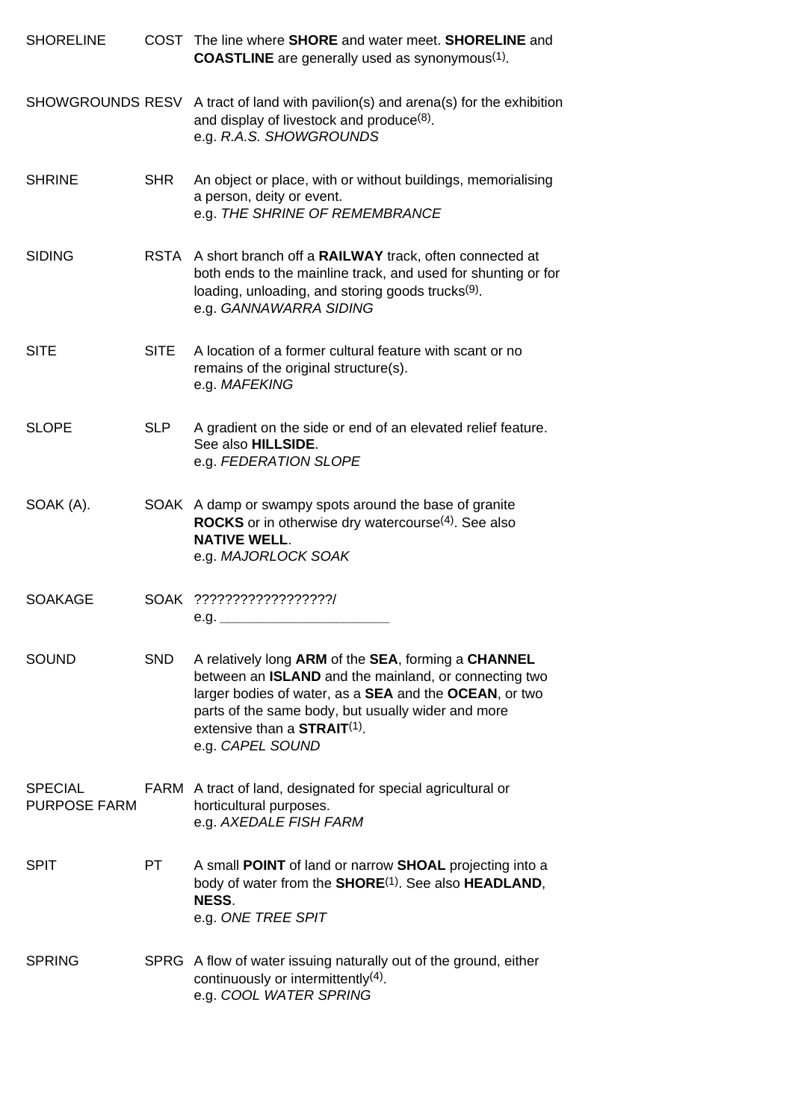| <b>SHORELINE</b>                      |             | COST The line where <b>SHORE</b> and water meet. <b>SHORELINE</b> and<br><b>COASTLINE</b> are generally used as synonymous <sup>(1)</sup> .                                                                                                                                                                   |
|---------------------------------------|-------------|---------------------------------------------------------------------------------------------------------------------------------------------------------------------------------------------------------------------------------------------------------------------------------------------------------------|
|                                       |             | SHOWGROUNDS RESV A tract of land with pavilion(s) and arena(s) for the exhibition<br>and display of livestock and produce <sup>(8)</sup> .<br>e.g. R.A.S. SHOWGROUNDS                                                                                                                                         |
| <b>SHRINE</b>                         | <b>SHR</b>  | An object or place, with or without buildings, memorialising<br>a person, deity or event.<br>e.g. THE SHRINE OF REMEMBRANCE                                                                                                                                                                                   |
| <b>SIDING</b>                         |             | RSTA A short branch off a RAILWAY track, often connected at<br>both ends to the mainline track, and used for shunting or for<br>loading, unloading, and storing goods trucks <sup>(9)</sup> .<br>e.g. GANNAWARRA SIDING                                                                                       |
| <b>SITE</b>                           | <b>SITE</b> | A location of a former cultural feature with scant or no<br>remains of the original structure(s).<br>e.g. MAFEKING                                                                                                                                                                                            |
| <b>SLOPE</b>                          | <b>SLP</b>  | A gradient on the side or end of an elevated relief feature.<br>See also HILLSIDE.<br>e.g. FEDERATION SLOPE                                                                                                                                                                                                   |
| SOAK (A).                             |             | SOAK A damp or swampy spots around the base of granite<br><b>ROCKS</b> or in otherwise dry watercourse <sup>(4)</sup> . See also<br><b>NATIVE WELL.</b><br>e.g. MAJORLOCK SOAK                                                                                                                                |
| <b>SOAKAGE</b>                        |             | SOAK ??????????????????/<br>e.g. _______________                                                                                                                                                                                                                                                              |
| <b>SOUND</b>                          | SND.        | A relatively long ARM of the SEA, forming a CHANNEL<br>between an <b>ISLAND</b> and the mainland, or connecting two<br>larger bodies of water, as a <b>SEA</b> and the <b>OCEAN</b> , or two<br>parts of the same body, but usually wider and more<br>extensive than a <b>STRAIT(1)</b> .<br>e.g. CAPEL SOUND |
| <b>SPECIAL</b><br><b>PURPOSE FARM</b> |             | FARM A tract of land, designated for special agricultural or<br>horticultural purposes.<br>e.g. AXEDALE FISH FARM                                                                                                                                                                                             |
| <b>SPIT</b>                           | PT.         | A small POINT of land or narrow SHOAL projecting into a<br>body of water from the SHORE <sup>(1)</sup> . See also HEADLAND,<br>NESS.<br>e.g. ONE TREE SPIT                                                                                                                                                    |
| <b>SPRING</b>                         |             | SPRG A flow of water issuing naturally out of the ground, either<br>continuously or intermittently $(4)$ .<br>e.g. COOL WATER SPRING                                                                                                                                                                          |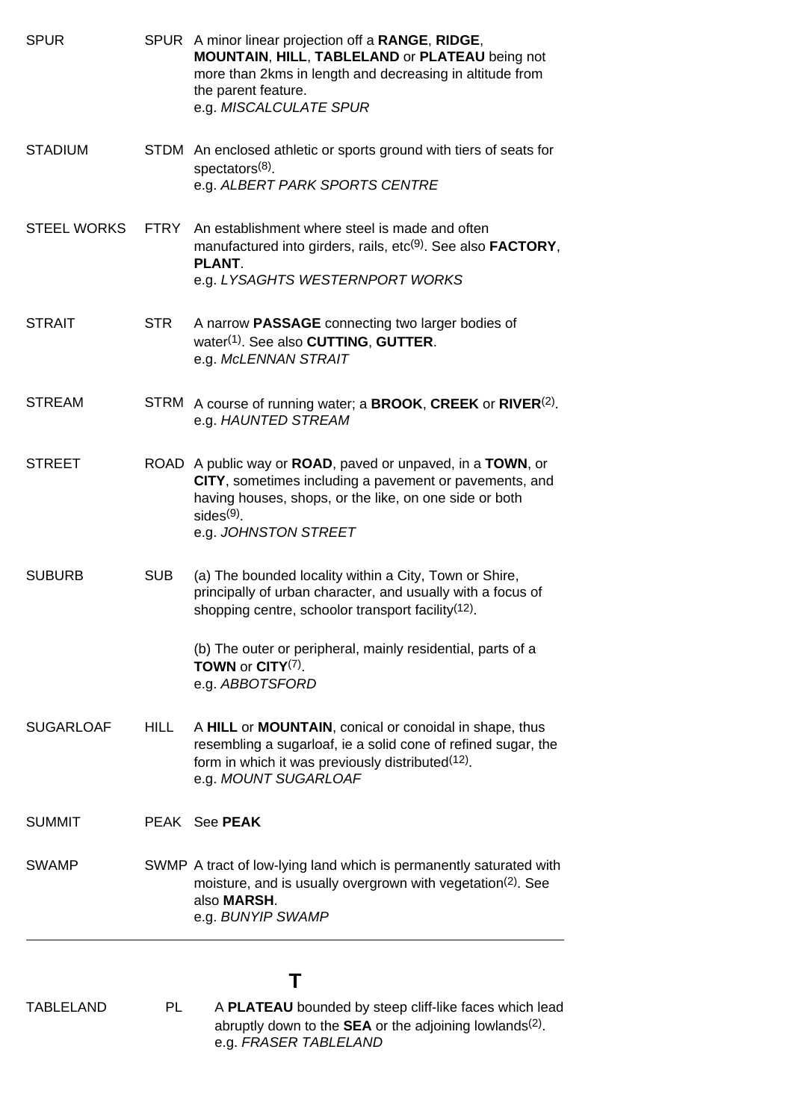| <b>SPUR</b>        |             | SPUR A minor linear projection off a RANGE, RIDGE,<br><b>MOUNTAIN, HILL, TABLELAND or PLATEAU being not</b><br>more than 2kms in length and decreasing in altitude from<br>the parent feature.<br>e.g. MISCALCULATE SPUR |
|--------------------|-------------|--------------------------------------------------------------------------------------------------------------------------------------------------------------------------------------------------------------------------|
| <b>STADIUM</b>     |             | STDM An enclosed athletic or sports ground with tiers of seats for<br>spectators <sup>(8)</sup><br>e.g. ALBERT PARK SPORTS CENTRE                                                                                        |
| <b>STEEL WORKS</b> |             | FTRY An establishment where steel is made and often<br>manufactured into girders, rails, etc <sup>(9)</sup> . See also <b>FACTORY</b> ,<br><b>PLANT.</b><br>e.g. LYSAGHTS WESTERNPORT WORKS                              |
| <b>STRAIT</b>      | <b>STR</b>  | A narrow PASSAGE connecting two larger bodies of<br>water <sup>(1)</sup> . See also <b>CUTTING</b> , <b>GUTTER</b> .<br>e.g. McLENNAN STRAIT                                                                             |
| <b>STREAM</b>      | <b>STRM</b> | A course of running water; a <b>BROOK, CREEK</b> or $RIVER(2)$ .<br>e.g. HAUNTED STREAM                                                                                                                                  |
| <b>STREET</b>      |             | ROAD A public way or ROAD, paved or unpaved, in a TOWN, or<br>CITY, sometimes including a pavement or pavements, and<br>having houses, shops, or the like, on one side or both<br>$sides(9)$ .<br>e.g. JOHNSTON STREET   |
| <b>SUBURB</b>      | <b>SUB</b>  | (a) The bounded locality within a City, Town or Shire,<br>principally of urban character, and usually with a focus of<br>shopping centre, schoolor transport facility <sup>(12)</sup> .                                  |
|                    |             | (b) The outer or peripheral, mainly residential, parts of a<br><b>TOWN</b> or $CITY(7)$ .<br>e.g. ABBOTSFORD                                                                                                             |
| <b>SUGARLOAF</b>   | <b>HILL</b> | A HILL or MOUNTAIN, conical or conoidal in shape, thus<br>resembling a sugarloaf, ie a solid cone of refined sugar, the<br>form in which it was previously distributed <sup>(12)</sup> .<br>e.g. MOUNT SUGARLOAF         |
| <b>SUMMIT</b>      |             | PEAK See <b>PEAK</b>                                                                                                                                                                                                     |
| <b>SWAMP</b>       |             | SWMP A tract of low-lying land which is permanently saturated with<br>moisture, and is usually overgrown with vegetation <sup>(2)</sup> . See<br>also <b>MARSH.</b><br>e.g. BUNYIP SWAMP                                 |

#### **T**

TABLELAND PL A **PLATEAU** bounded by steep cliff-like faces which lead abruptly down to the **SEA** or the adjoining lowlands(2). e.g. *FRASER TABLELAND*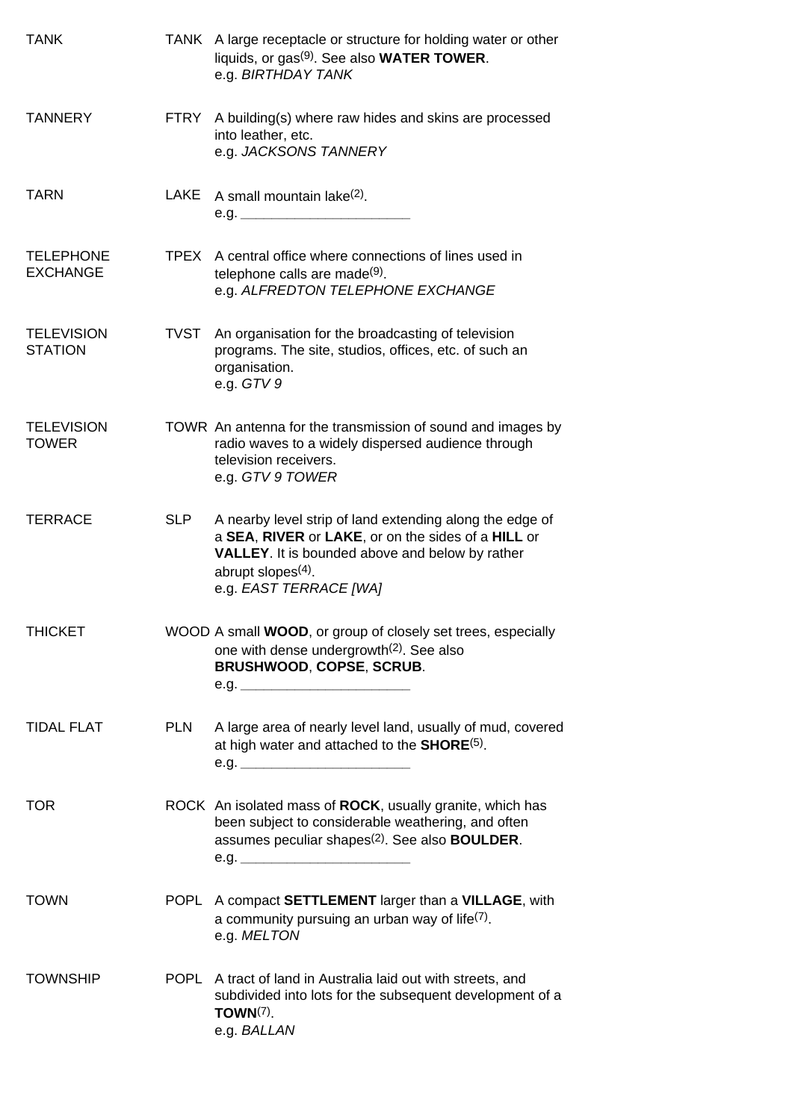| <b>TANK</b>                         |             | TANK A large receptacle or structure for holding water or other<br>liquids, or gas <sup>(9)</sup> . See also <b>WATER TOWER</b> .<br>e.g. BIRTHDAY TANK                                                                     |
|-------------------------------------|-------------|-----------------------------------------------------------------------------------------------------------------------------------------------------------------------------------------------------------------------------|
| <b>TANNERY</b>                      | FTRY        | A building(s) where raw hides and skins are processed<br>into leather, etc.<br>e.g. JACKSONS TANNERY                                                                                                                        |
| <b>TARN</b>                         | LAKE        | A small mountain lake <sup>(2)</sup> .<br>e.g.                                                                                                                                                                              |
| <b>TELEPHONE</b><br><b>EXCHANGE</b> | TPEX        | A central office where connections of lines used in<br>telephone calls are made <sup>(9)</sup> .<br>e.g. ALFREDTON TELEPHONE EXCHANGE                                                                                       |
| <b>TELEVISION</b><br><b>STATION</b> | <b>TVST</b> | An organisation for the broadcasting of television<br>programs. The site, studios, offices, etc. of such an<br>organisation.<br>e.g. $GTV9$                                                                                 |
| <b>TELEVISION</b><br><b>TOWER</b>   |             | TOWR An antenna for the transmission of sound and images by<br>radio waves to a widely dispersed audience through<br>television receivers.<br>e.g. GTV 9 TOWER                                                              |
| <b>TERRACE</b>                      | <b>SLP</b>  | A nearby level strip of land extending along the edge of<br>a SEA, RIVER or LAKE, or on the sides of a HILL or<br><b>VALLEY.</b> It is bounded above and below by rather<br>abrupt slopes $(4)$ .<br>e.g. EAST TERRACE [WA] |
| <b>THICKET</b>                      |             | WOOD A small WOOD, or group of closely set trees, especially<br>one with dense undergrowth <sup>(2)</sup> . See also<br><b>BRUSHWOOD, COPSE, SCRUB.</b>                                                                     |
| <b>TIDAL FLAT</b>                   | <b>PLN</b>  | A large area of nearly level land, usually of mud, covered<br>at high water and attached to the <b>SHORE</b> <sup>(5)</sup> .<br>e.g.                                                                                       |
| <b>TOR</b>                          |             | ROCK An isolated mass of ROCK, usually granite, which has<br>been subject to considerable weathering, and often<br>assumes peculiar shapes <sup>(2)</sup> . See also <b>BOULDER</b> .                                       |
| <b>TOWN</b>                         |             | POPL A compact SETTLEMENT larger than a VILLAGE, with<br>a community pursuing an urban way of life <sup>(7)</sup> .<br>e.g. MELTON                                                                                          |
| <b>TOWNSHIP</b>                     |             | POPL A tract of land in Australia laid out with streets, and<br>subdivided into lots for the subsequent development of a<br>TOWN $(7)$ .<br>e.g. BALLAN                                                                     |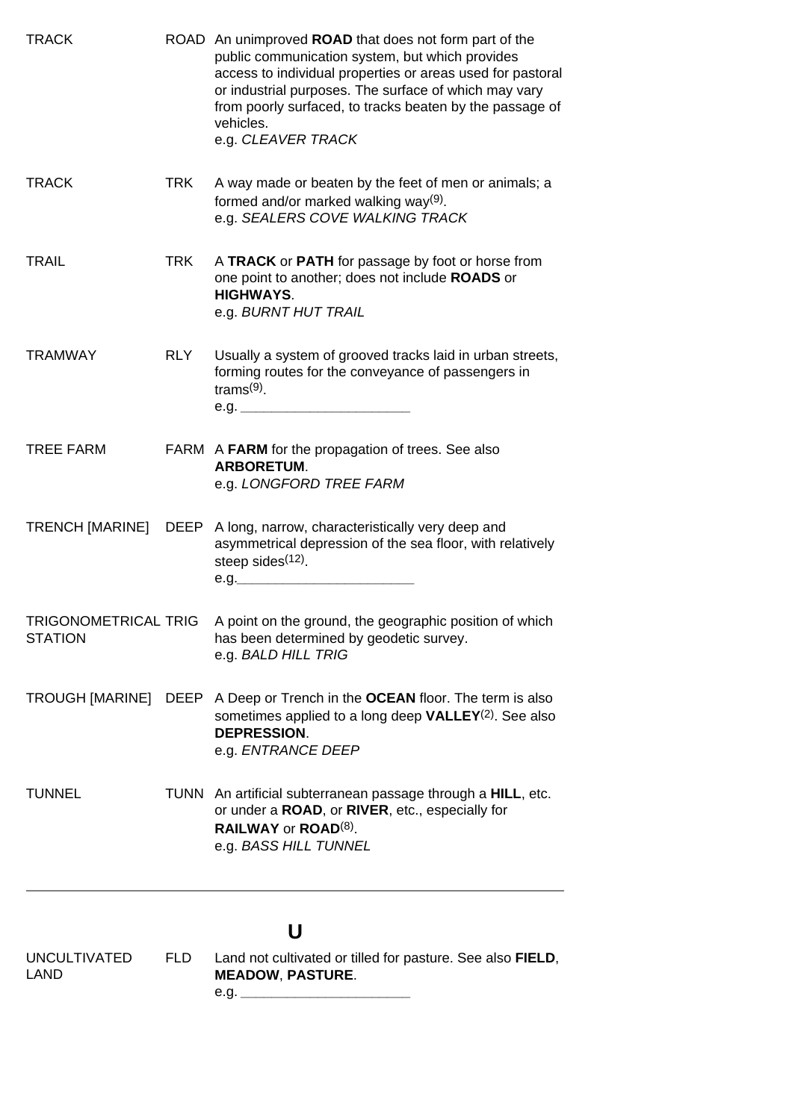| <b>TRACK</b>                           |            | ROAD An unimproved <b>ROAD</b> that does not form part of the<br>public communication system, but which provides<br>access to individual properties or areas used for pastoral<br>or industrial purposes. The surface of which may vary<br>from poorly surfaced, to tracks beaten by the passage of<br>vehicles.<br>e.g. CLEAVER TRACK |
|----------------------------------------|------------|----------------------------------------------------------------------------------------------------------------------------------------------------------------------------------------------------------------------------------------------------------------------------------------------------------------------------------------|
| <b>TRACK</b>                           | <b>TRK</b> | A way made or beaten by the feet of men or animals; a<br>formed and/or marked walking way $(9)$ .<br>e.g. SEALERS COVE WALKING TRACK                                                                                                                                                                                                   |
| <b>TRAIL</b>                           | <b>TRK</b> | A TRACK or PATH for passage by foot or horse from<br>one point to another; does not include ROADS or<br><b>HIGHWAYS.</b><br>e.g. BURNT HUT TRAIL                                                                                                                                                                                       |
| <b>TRAMWAY</b>                         | RLY        | Usually a system of grooved tracks laid in urban streets,<br>forming routes for the conveyance of passengers in<br>trams $(9)$ .                                                                                                                                                                                                       |
| <b>TREE FARM</b>                       |            | FARM A FARM for the propagation of trees. See also<br><b>ARBORETUM.</b><br>e.g. LONGFORD TREE FARM                                                                                                                                                                                                                                     |
|                                        |            | TRENCH [MARINE] DEEP A long, narrow, characteristically very deep and<br>asymmetrical depression of the sea floor, with relatively<br>steep sides <sup>(12)</sup> .<br>e.g.                                                                                                                                                            |
| TRIGONOMETRICAL TRIG<br><b>STATION</b> |            | A point on the ground, the geographic position of which<br>has been determined by geodetic survey.<br>e.g. BALD HILL TRIG                                                                                                                                                                                                              |
|                                        |            | TROUGH [MARINE] DEEP A Deep or Trench in the OCEAN floor. The term is also<br>sometimes applied to a long deep $VALLEY(2)$ . See also<br><b>DEPRESSION.</b><br>e.g. ENTRANCE DEEP                                                                                                                                                      |
| <b>TUNNEL</b>                          |            | TUNN An artificial subterranean passage through a HILL, etc.<br>or under a ROAD, or RIVER, etc., especially for<br>RAILWAY or ROAD(8).<br>e.g. BASS HILL TUNNEL                                                                                                                                                                        |
|                                        |            | U                                                                                                                                                                                                                                                                                                                                      |
| <b>UNCULTIVATED</b><br><b>LAND</b>     | FLD.       | Land not cultivated or tilled for pasture. See also FIELD,<br><b>MEADOW, PASTURE.</b>                                                                                                                                                                                                                                                  |

<span id="page-38-0"></span>e.g. *\_\_\_\_\_\_\_\_\_\_\_\_\_\_\_\_\_\_\_\_\_\_*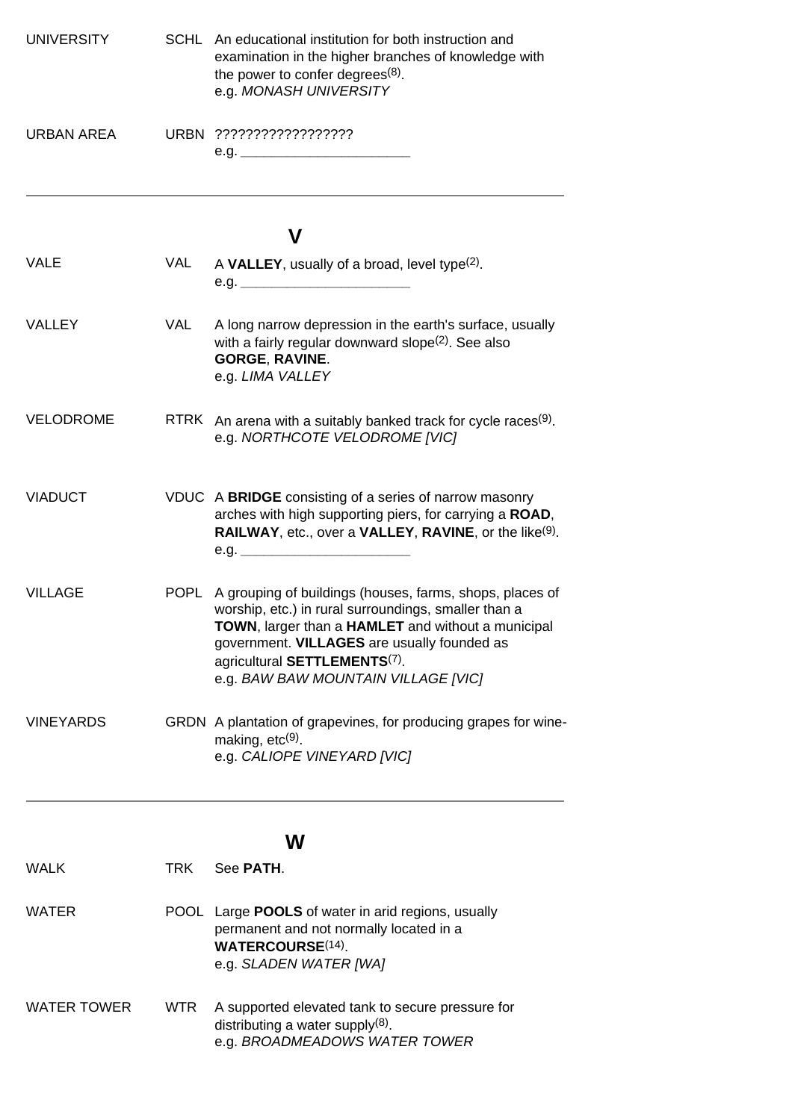| <b>UNIVERSITY</b>  |            | SCHL An educational institution for both instruction and<br>examination in the higher branches of knowledge with<br>the power to confer degrees $(8)$ .<br>e.g. MONASH UNIVERSITY                                                                                                                              |
|--------------------|------------|----------------------------------------------------------------------------------------------------------------------------------------------------------------------------------------------------------------------------------------------------------------------------------------------------------------|
| <b>URBAN AREA</b>  |            | e.g.                                                                                                                                                                                                                                                                                                           |
|                    |            | V                                                                                                                                                                                                                                                                                                              |
| <b>VALE</b>        | VAL        | A VALLEY, usually of a broad, level type $(2)$ .                                                                                                                                                                                                                                                               |
| <b>VALLEY</b>      | VAL        | A long narrow depression in the earth's surface, usually<br>with a fairly regular downward slope <sup>(2)</sup> . See also<br><b>GORGE, RAVINE.</b><br>e.g. LIMA VALLEY                                                                                                                                        |
| <b>VELODROME</b>   |            | RTRK An arena with a suitably banked track for cycle races $(9)$ .<br>e.g. NORTHCOTE VELODROME [VIC]                                                                                                                                                                                                           |
| <b>VIADUCT</b>     |            | VDUC A BRIDGE consisting of a series of narrow masonry<br>arches with high supporting piers, for carrying a ROAD,<br>RAILWAY, etc., over a VALLEY, RAVINE, or the like(9).                                                                                                                                     |
| <b>VILLAGE</b>     |            | POPL A grouping of buildings (houses, farms, shops, places of<br>worship, etc.) in rural surroundings, smaller than a<br>TOWN, larger than a HAMLET and without a municipal<br>government. VILLAGES are usually founded as<br>agricultural SETTLEMENTS <sup>(7)</sup> .<br>e.g. BAW BAW MOUNTAIN VILLAGE [VIC] |
| <b>VINEYARDS</b>   |            | GRDN A plantation of grapevines, for producing grapes for wine-<br>making, $etc(9)$ .<br>e.g. CALIOPE VINEYARD [VIC]                                                                                                                                                                                           |
|                    |            | W                                                                                                                                                                                                                                                                                                              |
| <b>WALK</b>        | TRK        | See PATH.                                                                                                                                                                                                                                                                                                      |
| <b>WATER</b>       |            | POOL Large <b>POOLS</b> of water in arid regions, usually<br>permanent and not normally located in a<br><b>WATERCOURSE(14)</b><br>e.g. SLADEN WATER [WA]                                                                                                                                                       |
| <b>WATER TOWER</b> | <b>WTR</b> | A supported elevated tank to secure pressure for<br>distributing a water supply $(8)$ .<br>e.g. BROADMEADOWS WATER TOWER                                                                                                                                                                                       |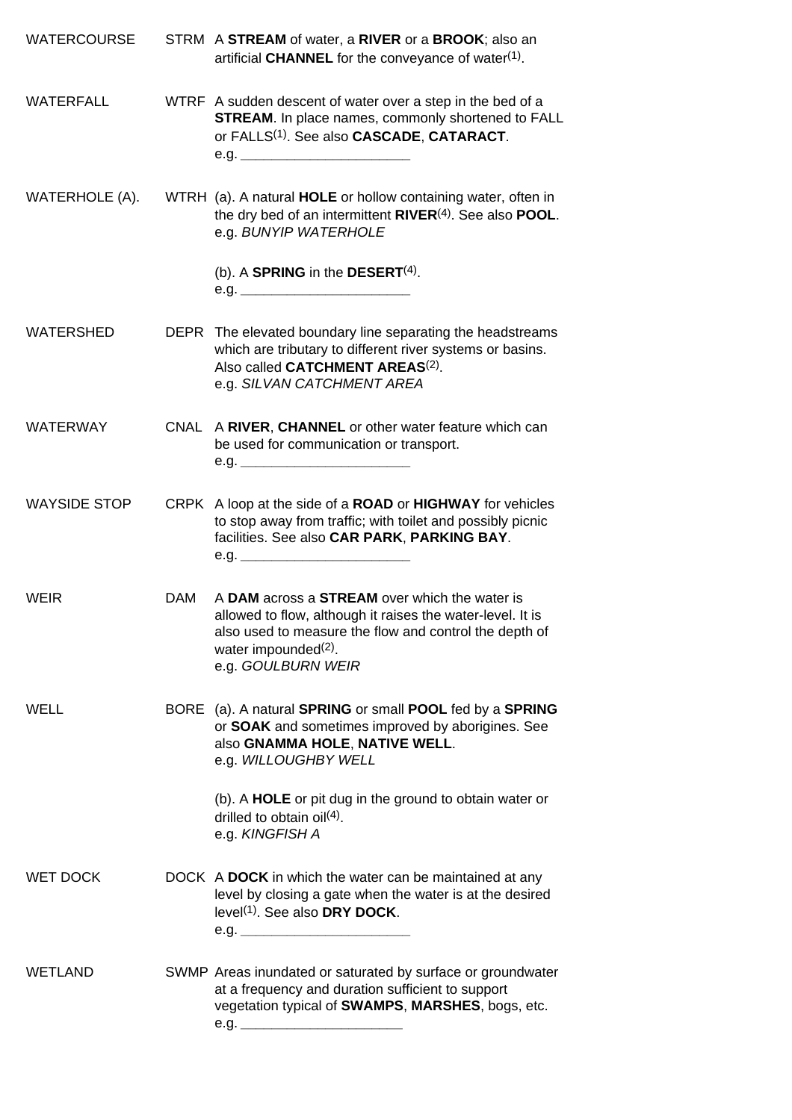| <b>WATERCOURSE</b>  |            | STRM A STREAM of water, a RIVER or a BROOK; also an<br>artificial CHANNEL for the conveyance of water <sup>(1)</sup> .                                                                                                          |
|---------------------|------------|---------------------------------------------------------------------------------------------------------------------------------------------------------------------------------------------------------------------------------|
| <b>WATERFALL</b>    |            | WTRF A sudden descent of water over a step in the bed of a<br><b>STREAM.</b> In place names, commonly shortened to FALL<br>or FALLS <sup>(1)</sup> . See also CASCADE, CATARACT.<br>e.g.                                        |
| WATERHOLE (A).      |            | WTRH (a). A natural HOLE or hollow containing water, often in<br>the dry bed of an intermittent RIVER <sup>(4)</sup> . See also POOL.<br>e.g. BUNYIP WATERHOLE                                                                  |
|                     |            | (b). A SPRING in the DESERT $(4)$ .                                                                                                                                                                                             |
| <b>WATERSHED</b>    |            | DEPR The elevated boundary line separating the headstreams<br>which are tributary to different river systems or basins.<br>Also called CATCHMENT AREAS <sup>(2)</sup> .<br>e.g. SILVAN CATCHMENT AREA                           |
| <b>WATERWAY</b>     |            | CNAL A RIVER, CHANNEL or other water feature which can<br>be used for communication or transport.<br>e.g.                                                                                                                       |
| <b>WAYSIDE STOP</b> |            | CRPK A loop at the side of a ROAD or HIGHWAY for vehicles<br>to stop away from traffic; with toilet and possibly picnic<br>facilities. See also CAR PARK, PARKING BAY.<br>e.g.                                                  |
| <b>WEIR</b>         | <b>DAM</b> | A DAM across a STREAM over which the water is<br>allowed to flow, although it raises the water-level. It is<br>also used to measure the flow and control the depth of<br>water impounded <sup>(2)</sup> .<br>e.g. GOULBURN WEIR |
| WELL                |            | BORE (a). A natural SPRING or small POOL fed by a SPRING<br>or SOAK and sometimes improved by aborigines. See<br>also GNAMMA HOLE, NATIVE WELL.<br>e.g. WILLOUGHBY WELL                                                         |
|                     |            | (b). A <b>HOLE</b> or pit dug in the ground to obtain water or<br>drilled to obtain oil $(4)$ .<br>e.g. KINGFISH A                                                                                                              |
| <b>WET DOCK</b>     |            | DOCK A DOCK in which the water can be maintained at any<br>level by closing a gate when the water is at the desired<br>level <sup>(1)</sup> . See also DRY DOCK.                                                                |
| WETLAND             |            | SWMP Areas inundated or saturated by surface or groundwater<br>at a frequency and duration sufficient to support<br>vegetation typical of SWAMPS, MARSHES, bogs, etc.<br>e.g.                                                   |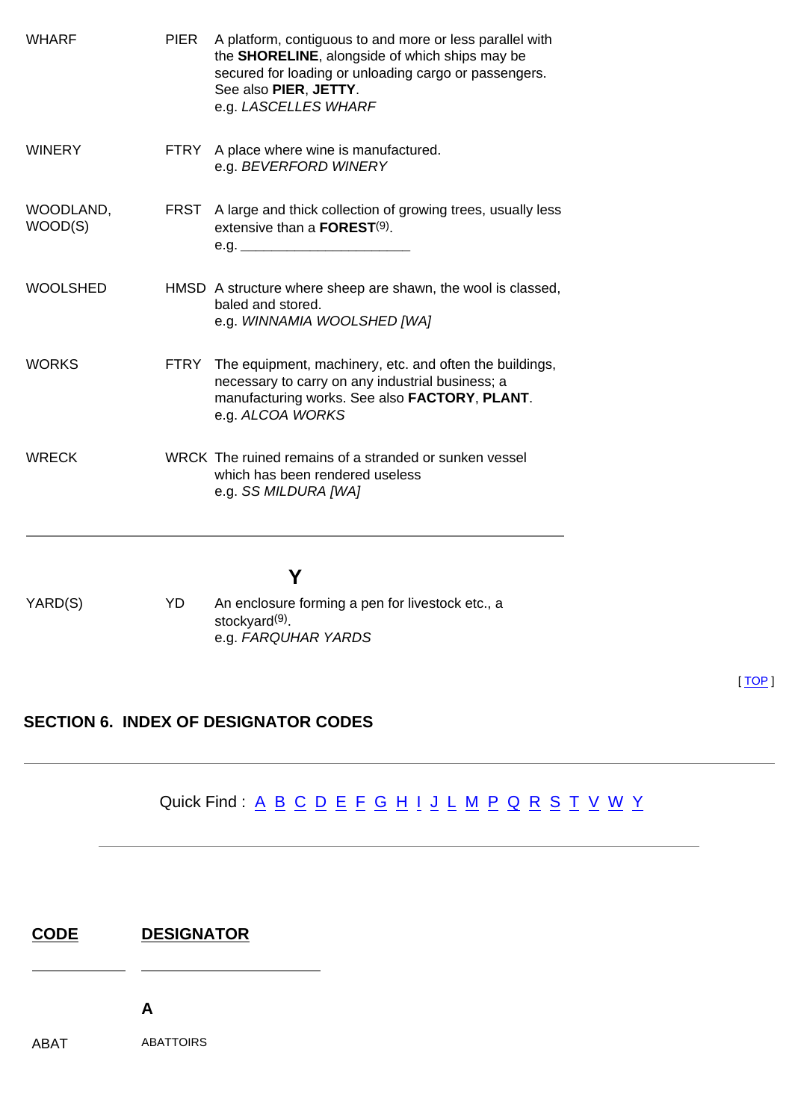| <b>WHARF</b>         | <b>PIER</b> | A platform, contiguous to and more or less parallel with<br>the SHORELINE, alongside of which ships may be<br>secured for loading or unloading cargo or passengers.<br>See also PIER, JETTY.<br>e.g. LASCELLES WHARF |
|----------------------|-------------|----------------------------------------------------------------------------------------------------------------------------------------------------------------------------------------------------------------------|
| <b>WINERY</b>        |             | FTRY A place where wine is manufactured.<br>e.g. BEVERFORD WINERY                                                                                                                                                    |
| WOODLAND,<br>WOOD(S) |             | FRST A large and thick collection of growing trees, usually less<br>extensive than a $\mathsf{FOREST}^{(9)}$ .                                                                                                       |
| <b>WOOLSHED</b>      |             | HMSD A structure where sheep are shawn, the wool is classed,<br>baled and stored.<br>e.g. WINNAMIA WOOLSHED [WA]                                                                                                     |
| <b>WORKS</b>         |             | FTRY The equipment, machinery, etc. and often the buildings,<br>necessary to carry on any industrial business; a<br>manufacturing works. See also FACTORY, PLANT.<br>e.g. ALCOA WORKS                                |
| <b>WRECK</b>         |             | WRCK The ruined remains of a stranded or sunken vessel<br>which has been rendered useless<br>e.g. SS MILDURA [WA]                                                                                                    |
|                      |             |                                                                                                                                                                                                                      |
| YARD(S)              | YD          | An enclosure forming a pen for livestock etc., a<br>stockyard <sup>(9)</sup> .<br>e.g. FARQUHAR YARDS                                                                                                                |

#### <span id="page-41-0"></span>**SECTION 6. INDEX OF DESIGNATOR CODES**

## Quick Find : <u>[A](#page-41-1) [B](#page-42-0) [C](#page-43-0) [D](#page-44-0) [E](#page-44-1) [F](#page-44-2) [G](#page-45-0) [H](#page-45-1) [I](#page-45-2) [J](#page-46-0) [L](#page-46-1) [M](#page-46-2) [P](#page-46-3) [Q](#page-48-0) [R](#page-48-1) [S](#page-49-0) [T](#page-50-0) [V](#page-50-1) [W](#page-50-2) [Y](#page-51-0)</u>

| <b>CODE</b> | <b>DESIGNATOR</b> |
|-------------|-------------------|
|             |                   |

**A**

 $\overline{\phantom{a}}$ 

<span id="page-41-1"></span>ABAT ABATTOIRS

[ [TOP](#page-0-1) ]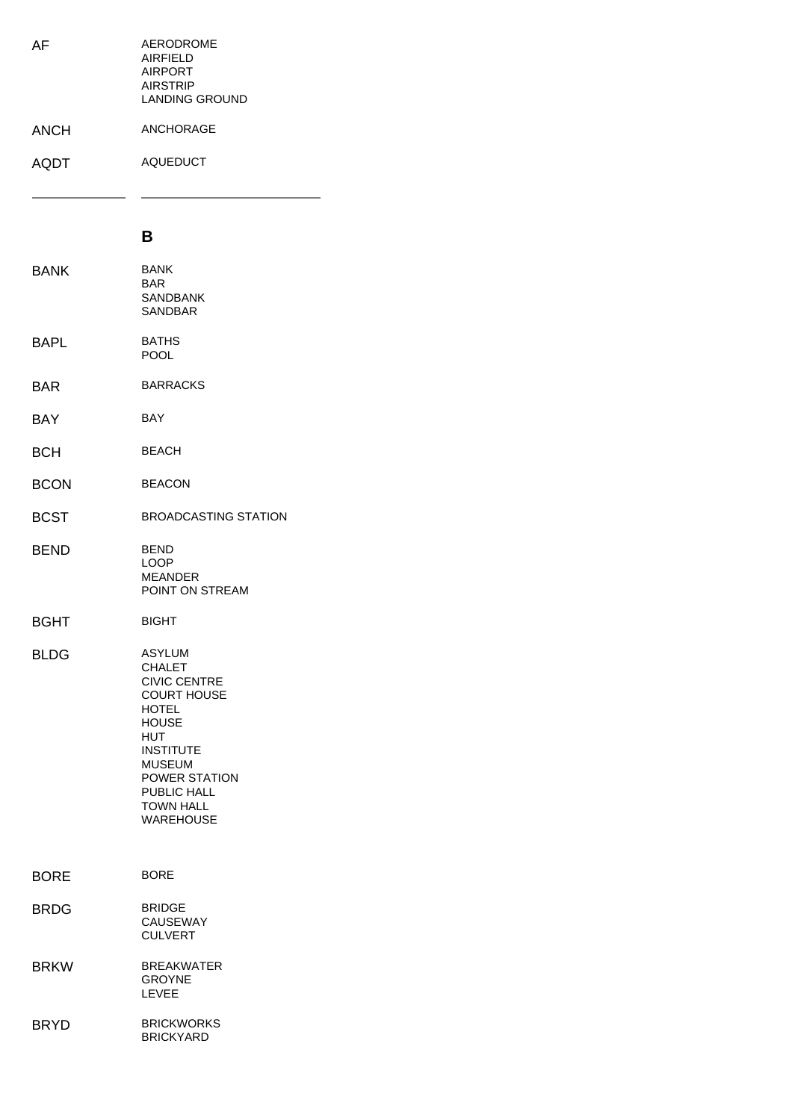| AF          | <b>AERODROME</b><br><b>AIRFIELD</b><br><b>AIRPORT</b><br><b>AIRSTRIP</b><br>LANDING GROUND |
|-------------|--------------------------------------------------------------------------------------------|
| <b>ANCH</b> | ANCHORAGE                                                                                  |
| <b>AQDT</b> | <b>AQUEDUCT</b>                                                                            |
|             |                                                                                            |

÷.

#### **B**

<span id="page-42-0"></span>

| <b>BANK</b> | <b>BANK</b><br><b>BAR</b><br><b>SANDBANK</b><br><b>SANDBAR</b>                                                                                                                                                                  |
|-------------|---------------------------------------------------------------------------------------------------------------------------------------------------------------------------------------------------------------------------------|
| <b>BAPL</b> | <b>BATHS</b><br><b>POOL</b>                                                                                                                                                                                                     |
| <b>BAR</b>  | <b>BARRACKS</b>                                                                                                                                                                                                                 |
| BAY         | <b>BAY</b>                                                                                                                                                                                                                      |
| <b>BCH</b>  | <b>BEACH</b>                                                                                                                                                                                                                    |
| <b>BCON</b> | <b>BEACON</b>                                                                                                                                                                                                                   |
| <b>BCST</b> | <b>BROADCASTING STATION</b>                                                                                                                                                                                                     |
| <b>BEND</b> | <b>BEND</b><br>LOOP<br><b>MEANDER</b><br>POINT ON STREAM                                                                                                                                                                        |
| <b>BGHT</b> | <b>BIGHT</b>                                                                                                                                                                                                                    |
| <b>BLDG</b> | <b>ASYLUM</b><br><b>CHALET</b><br><b>CIVIC CENTRE</b><br><b>COURT HOUSE</b><br><b>HOTEL</b><br><b>HOUSE</b><br>HUT<br><b>INSTITUTE</b><br><b>MUSEUM</b><br>POWER STATION<br>PUBLIC HALL<br><b>TOWN HALL</b><br><b>WAREHOUSE</b> |
| <b>BORE</b> | BORE                                                                                                                                                                                                                            |
| <b>BRDG</b> | <b>BRIDGE</b><br>CAUSEWAY<br><b>CULVERT</b>                                                                                                                                                                                     |
| <b>BRKW</b> | <b>BREAKWATER</b><br><b>GROYNE</b><br><b>LEVEE</b>                                                                                                                                                                              |
| <b>BRYD</b> | <b>BRICKWORKS</b><br><b>BRICKYARD</b>                                                                                                                                                                                           |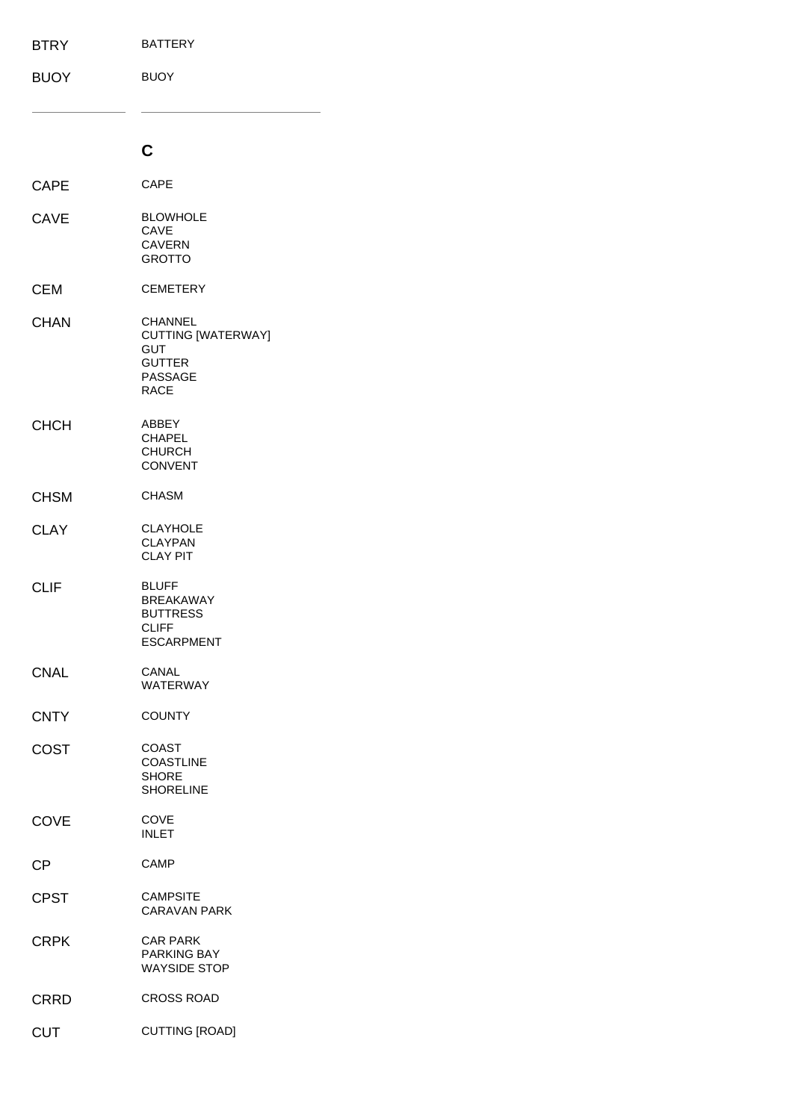<span id="page-43-0"></span>

| <b>BTRY</b> | <b>BATTERY</b>                                                                                |
|-------------|-----------------------------------------------------------------------------------------------|
| <b>BUOY</b> | <b>BUOY</b>                                                                                   |
|             |                                                                                               |
|             | C                                                                                             |
| <b>CAPE</b> | <b>CAPE</b>                                                                                   |
| <b>CAVE</b> | <b>BLOWHOLE</b><br>CAVE<br><b>CAVERN</b><br><b>GROTTO</b>                                     |
| <b>CEM</b>  | <b>CEMETERY</b>                                                                               |
| <b>CHAN</b> | <b>CHANNEL</b><br>CUTTING [WATERWAY]<br>GUT<br><b>GUTTER</b><br><b>PASSAGE</b><br><b>RACE</b> |
| <b>CHCH</b> | <b>ABBEY</b><br>CHAPEL<br><b>CHURCH</b><br><b>CONVENT</b>                                     |
| <b>CHSM</b> | <b>CHASM</b>                                                                                  |
| <b>CLAY</b> | <b>CLAYHOLE</b><br><b>CLAYPAN</b><br><b>CLAY PIT</b>                                          |
| <b>CLIF</b> | <b>BLUFF</b><br><b>BREAKAWAY</b><br><b>BUTTRESS</b><br><b>CLIFF</b><br><b>ESCARPMENT</b>      |
| <b>CNAL</b> | CANAL<br><b>WATERWAY</b>                                                                      |
| <b>CNTY</b> | <b>COUNTY</b>                                                                                 |
| <b>COST</b> | COAST<br><b>COASTLINE</b><br><b>SHORE</b><br><b>SHORELINE</b>                                 |
| <b>COVE</b> | COVE<br><b>INLET</b>                                                                          |
| <b>CP</b>   | CAMP                                                                                          |
| <b>CPST</b> | <b>CAMPSITE</b><br><b>CARAVAN PARK</b>                                                        |
| <b>CRPK</b> | <b>CAR PARK</b><br>PARKING BAY<br><b>WAYSIDE STOP</b>                                         |
| <b>CRRD</b> | <b>CROSS ROAD</b>                                                                             |
| <b>CUT</b>  | <b>CUTTING [ROAD]</b>                                                                         |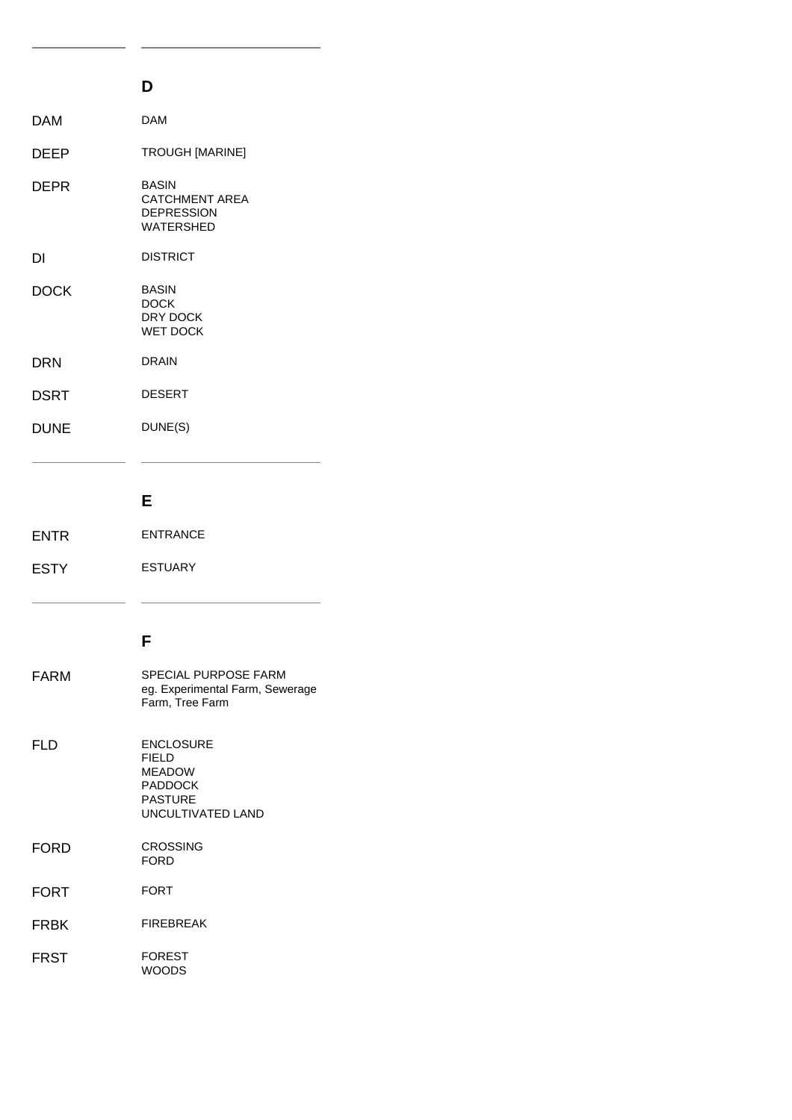<span id="page-44-0"></span>

|             | D                                                                                                          |
|-------------|------------------------------------------------------------------------------------------------------------|
| DAM         | <b>DAM</b>                                                                                                 |
| <b>DEEP</b> | TROUGH [MARINE]                                                                                            |
| <b>DEPR</b> | <b>BASIN</b><br><b>CATCHMENT AREA</b><br><b>DEPRESSION</b><br><b>WATERSHED</b>                             |
| DI          | <b>DISTRICT</b>                                                                                            |
| <b>DOCK</b> | <b>BASIN</b><br><b>DOCK</b><br>DRY DOCK<br><b>WET DOCK</b>                                                 |
| <b>DRN</b>  | <b>DRAIN</b>                                                                                               |
| DSRT        | <b>DESERT</b>                                                                                              |
| <b>DUNE</b> | DUNE(S)                                                                                                    |
|             |                                                                                                            |
|             | Е                                                                                                          |
| <b>ENTR</b> | <b>ENTRANCE</b>                                                                                            |
| <b>ESTY</b> | <b>ESTUARY</b>                                                                                             |
|             |                                                                                                            |
|             | F                                                                                                          |
| <b>FARM</b> | SPECIAL PURPOSE FARM<br>eg. Experimental Farm, Sewerage<br>Farm, Tree Farm                                 |
| <b>FLD</b>  | <b>ENCLOSURE</b><br><b>FIELD</b><br><b>MEADOW</b><br><b>PADDOCK</b><br><b>PASTURE</b><br>UNCULTIVATED LAND |
|             |                                                                                                            |

L,  $\sim$ 

<span id="page-44-2"></span><span id="page-44-1"></span>FORD CROSSING FORD FORT FORT FRBK FIREBREAK FRST FOREST WOODS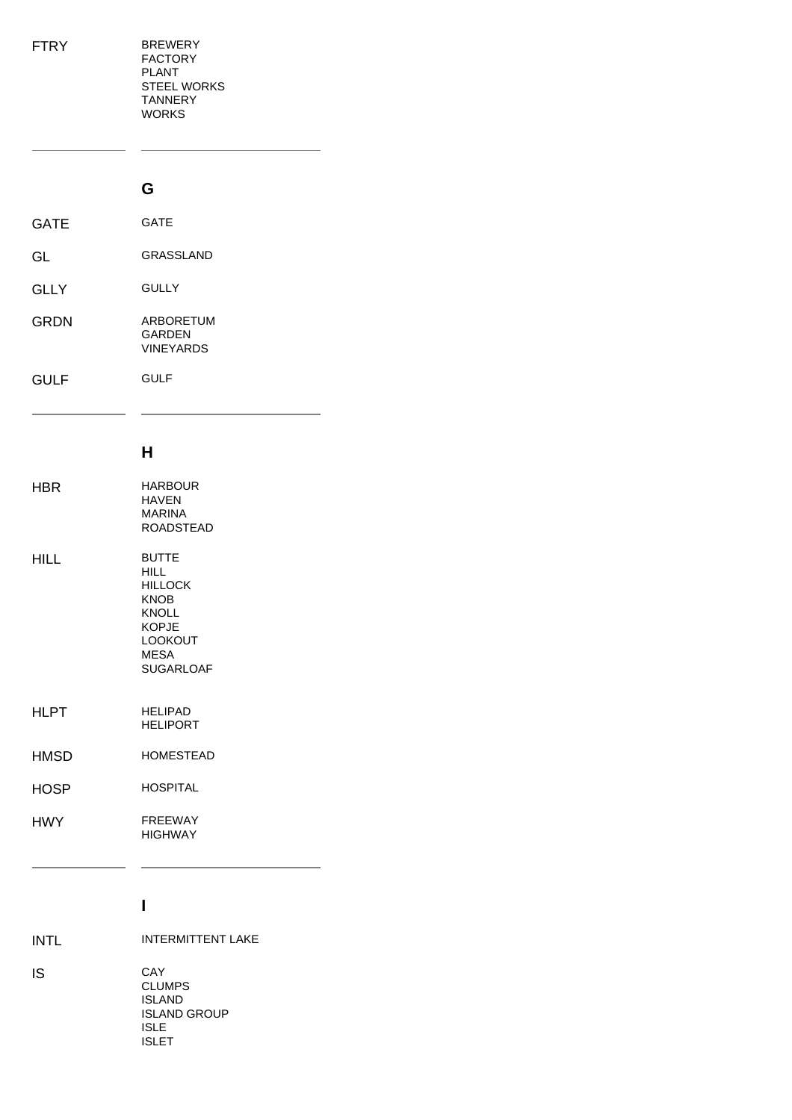<span id="page-45-0"></span>

| FTRY | <b>BREWERY</b><br><b>FACTORY</b><br><b>PLANT</b><br><b>STEEL WORKS</b><br><b>TANNERY</b><br><b>WORKS</b> |
|------|----------------------------------------------------------------------------------------------------------|
|      | G                                                                                                        |
| GATE | <b>GATE</b>                                                                                              |
| GL   | <b>GRASSLAND</b>                                                                                         |
| GLLY | <b>GULLY</b>                                                                                             |
| GRDN | <b>ARBORETUM</b><br><b>GARDEN</b><br><b>VINEYARDS</b>                                                    |

GULF GULF

#### **H**

<span id="page-45-1"></span>

| HBR         | <b>HARBOUR</b><br><b>HAVFN</b><br><b>MARINA</b><br><b>ROADSTEAD</b>                                                     |
|-------------|-------------------------------------------------------------------------------------------------------------------------|
| HILL        | <b>BUTTE</b><br>HII L<br><b>HILLOCK</b><br>KNOB<br><b>KNOLL</b><br><b>KOPJE</b><br><b>LOOKOUT</b><br>MESA<br>SUGARI OAF |
| HLPT        | <b>HELIPAD</b><br>HFI IPORT                                                                                             |
| HMSD        | <b>HOMESTEAD</b>                                                                                                        |
| <b>HOSP</b> | HOSPITAI                                                                                                                |
| HWY         | <b>FRFFWAY</b><br><b>HIGHWAY</b>                                                                                        |

#### **I**

 $\sim$ 

<span id="page-45-2"></span>INTL **INTERMITTENT LAKE** IS CAY CLUMPS ISLAND

> ISLAND GROUP ISLE ISLET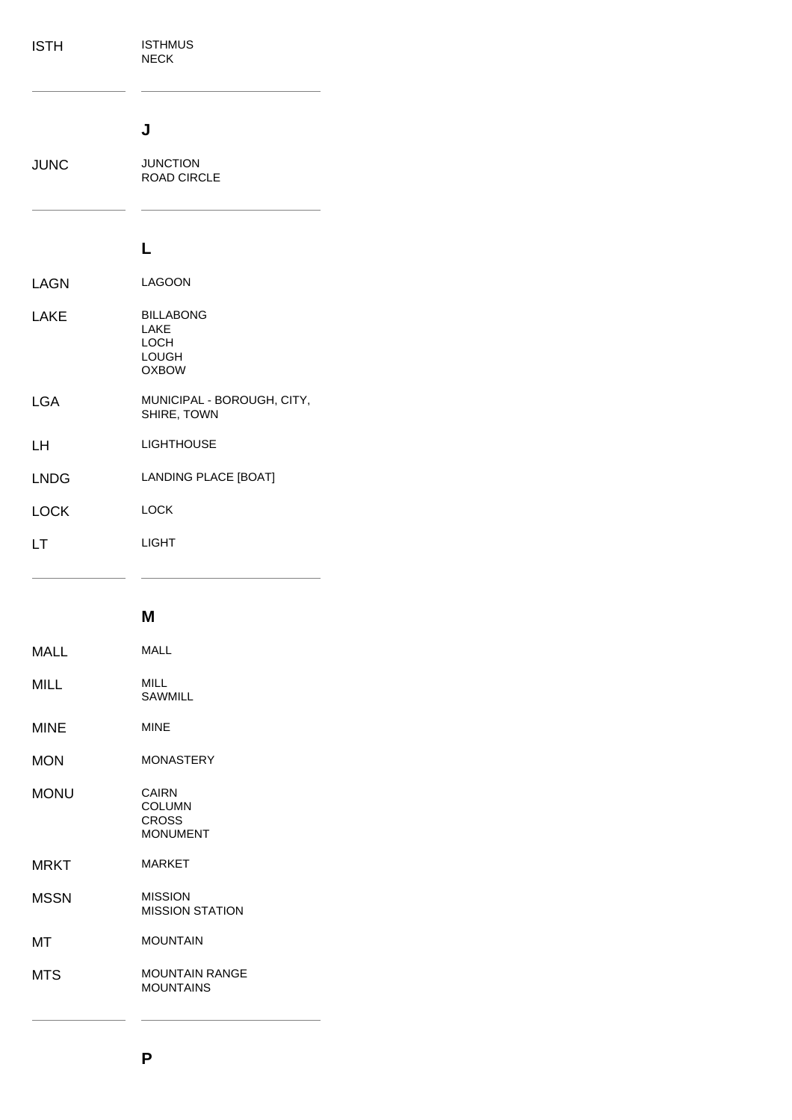<span id="page-46-1"></span><span id="page-46-0"></span>

| <b>ISTH</b> | <b>ISTHMUS</b><br><b>NECK</b>                             |
|-------------|-----------------------------------------------------------|
| <b>JUNC</b> | J<br><b>JUNCTION</b><br><b>ROAD CIRCLE</b>                |
|             |                                                           |
|             | L                                                         |
| <b>LAGN</b> | <b>LAGOON</b>                                             |
| <b>LAKE</b> | <b>BILLABONG</b><br>LAKE<br>LOCH<br>LOUGH<br><b>OXBOW</b> |
| <b>LGA</b>  | MUNICIPAL - BOROUGH, CITY,<br>SHIRE, TOWN                 |
| LH          | <b>LIGHTHOUSE</b>                                         |
| <b>LNDG</b> | LANDING PLACE [BOAT]                                      |
| <b>LOCK</b> | <b>LOCK</b>                                               |
| LT          | <b>LIGHT</b>                                              |
|             | M                                                         |

<span id="page-46-3"></span><span id="page-46-2"></span>

| MALL       | MALI                                                      |
|------------|-----------------------------------------------------------|
| MILL       | MII I<br>SAWMII I                                         |
| MINE       | <b>MINF</b>                                               |
| MON        | <b>MONASTERY</b>                                          |
| MONU       | CAIRN<br><b>COLUMN</b><br><b>CROSS</b><br><b>MONUMENT</b> |
| MRKT       | <b>MARKFT</b>                                             |
| MSSN       | <b>MISSION</b><br><b>MISSION STATION</b>                  |
| ΜТ         | <b>MOUNTAIN</b>                                           |
| <b>MTS</b> | <b>MOUNTAIN RANGE</b><br><b>MOUNTAINS</b>                 |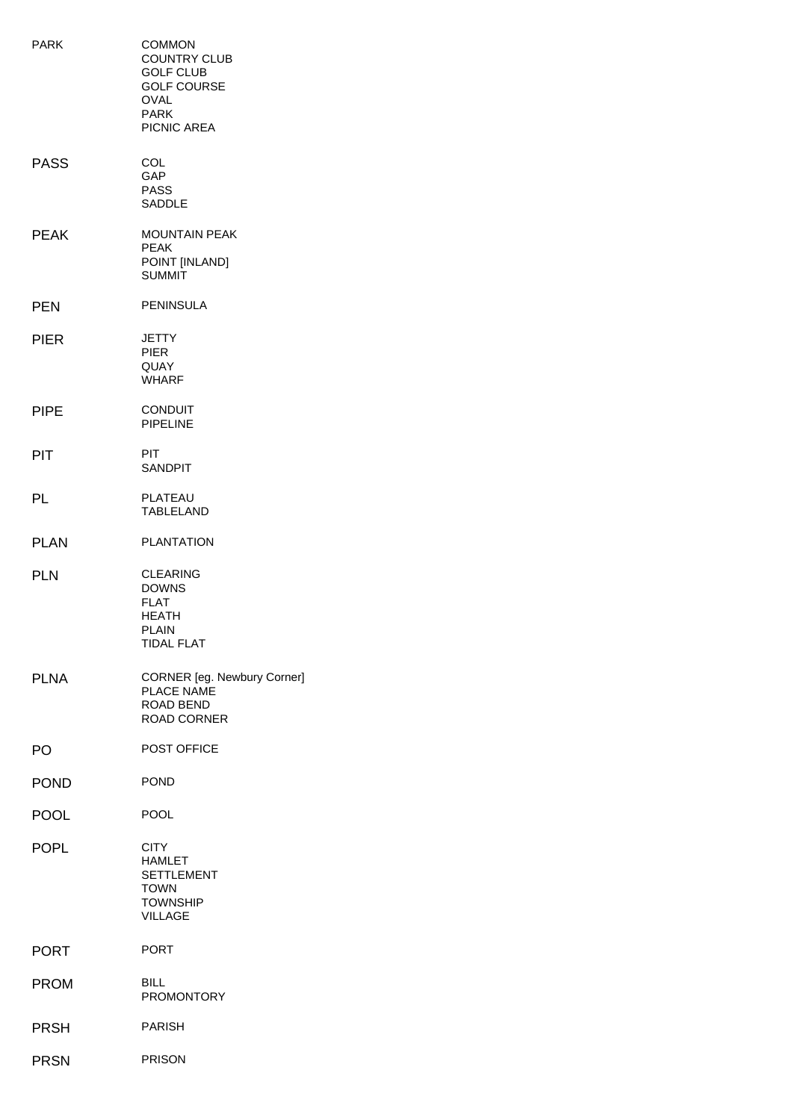| <b>PARK</b> | <b>COMMON</b><br><b>COUNTRY CLUB</b><br><b>GOLF CLUB</b><br><b>GOLF COURSE</b><br><b>OVAL</b><br><b>PARK</b><br>PICNIC AREA |
|-------------|-----------------------------------------------------------------------------------------------------------------------------|
| <b>PASS</b> | COL<br><b>GAP</b><br><b>PASS</b><br><b>SADDLE</b>                                                                           |
| <b>PEAK</b> | <b>MOUNTAIN PEAK</b><br><b>PEAK</b><br>POINT [INLAND]<br><b>SUMMIT</b>                                                      |
| <b>PEN</b>  | <b>PENINSULA</b>                                                                                                            |
| <b>PIER</b> | JETTY<br><b>PIER</b><br>QUAY<br><b>WHARF</b>                                                                                |
| <b>PIPE</b> | <b>CONDUIT</b><br><b>PIPELINE</b>                                                                                           |
| <b>PIT</b>  | PIT.<br><b>SANDPIT</b>                                                                                                      |
| PL          | PLATEAU<br><b>TABLELAND</b>                                                                                                 |
| <b>PLAN</b> | <b>PLANTATION</b>                                                                                                           |
| <b>PLN</b>  | <b>CLEARING</b><br><b>DOWNS</b><br>FLAT<br><b>HEATH</b><br><b>PLAIN</b><br><b>TIDAL FLAT</b>                                |
| <b>PLNA</b> | CORNER [eg. Newbury Corner]<br><b>PLACE NAME</b><br>ROAD BEND<br><b>ROAD CORNER</b>                                         |
| PO          | POST OFFICE                                                                                                                 |
| <b>POND</b> | <b>POND</b>                                                                                                                 |
| <b>POOL</b> | <b>POOL</b>                                                                                                                 |
| <b>POPL</b> | <b>CITY</b><br><b>HAMLET</b><br><b>SETTLEMENT</b><br><b>TOWN</b><br><b>TOWNSHIP</b><br><b>VILLAGE</b>                       |
| <b>PORT</b> | <b>PORT</b>                                                                                                                 |
| <b>PROM</b> | BILL<br><b>PROMONTORY</b>                                                                                                   |
| <b>PRSH</b> | <b>PARISH</b>                                                                                                               |
| <b>PRSN</b> | <b>PRISON</b>                                                                                                               |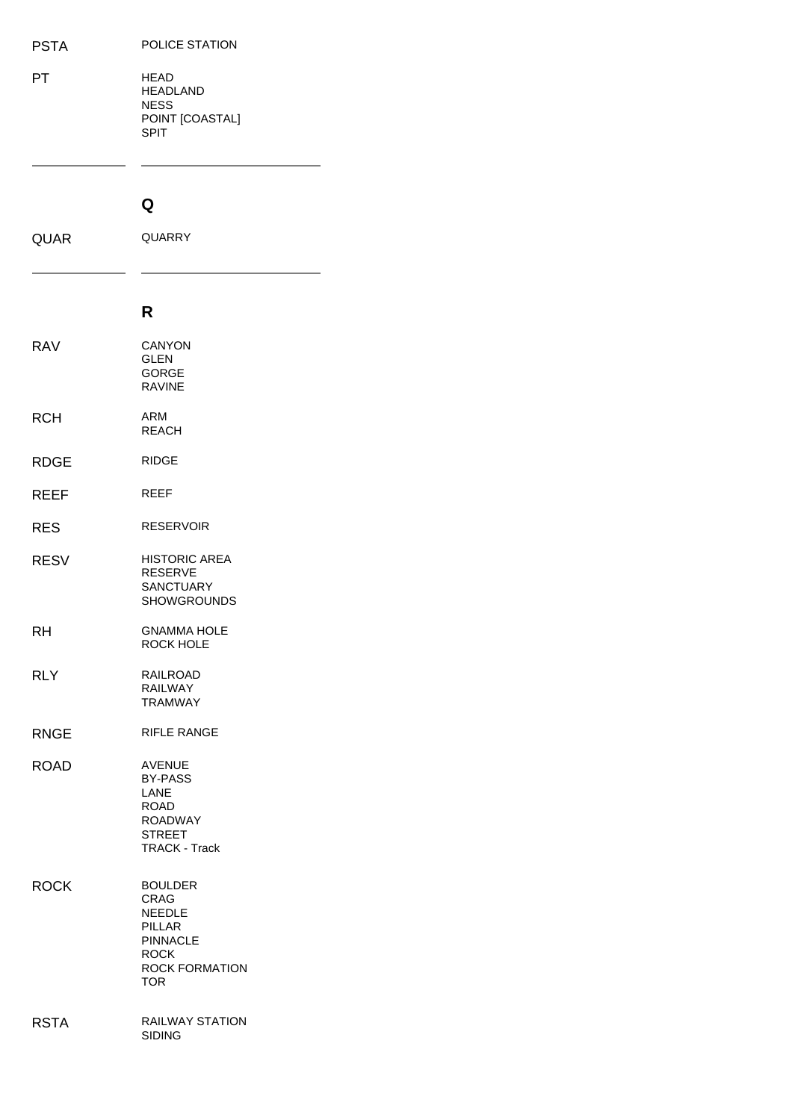PT HEAD HEADLAND NESS POINT [COASTAL] SPIT

#### **Q**

<span id="page-48-1"></span><span id="page-48-0"></span>

| <b>QUAR</b> | QUARRY                                                                                                              |  |
|-------------|---------------------------------------------------------------------------------------------------------------------|--|
|             | R                                                                                                                   |  |
| <b>RAV</b>  | <b>CANYON</b><br><b>GLEN</b><br><b>GORGE</b><br><b>RAVINE</b>                                                       |  |
| <b>RCH</b>  | ARM<br><b>REACH</b>                                                                                                 |  |
| <b>RDGE</b> | <b>RIDGE</b>                                                                                                        |  |
| REEF        | REEF                                                                                                                |  |
| <b>RES</b>  | <b>RESERVOIR</b>                                                                                                    |  |
| <b>RESV</b> | <b>HISTORIC AREA</b><br><b>RESERVE</b><br><b>SANCTUARY</b><br><b>SHOWGROUNDS</b>                                    |  |
| RH          | <b>GNAMMA HOLE</b><br><b>ROCK HOLE</b>                                                                              |  |
| <b>RLY</b>  | <b>RAILROAD</b><br><b>RAILWAY</b><br><b>TRAMWAY</b>                                                                 |  |
| <b>RNGE</b> | <b>RIFLE RANGE</b>                                                                                                  |  |
| <b>ROAD</b> | <b>AVENUE</b><br>BY-PASS<br>LANE<br><b>ROAD</b><br><b>ROADWAY</b><br><b>STREET</b><br><b>TRACK - Track</b>          |  |
| <b>ROCK</b> | <b>BOULDER</b><br>CRAG<br><b>NEEDLE</b><br>PILLAR<br><b>PINNACLE</b><br><b>ROCK</b><br><b>ROCK FORMATION</b><br>TOR |  |
| <b>RSTA</b> | <b>RAILWAY STATION</b><br><b>SIDING</b>                                                                             |  |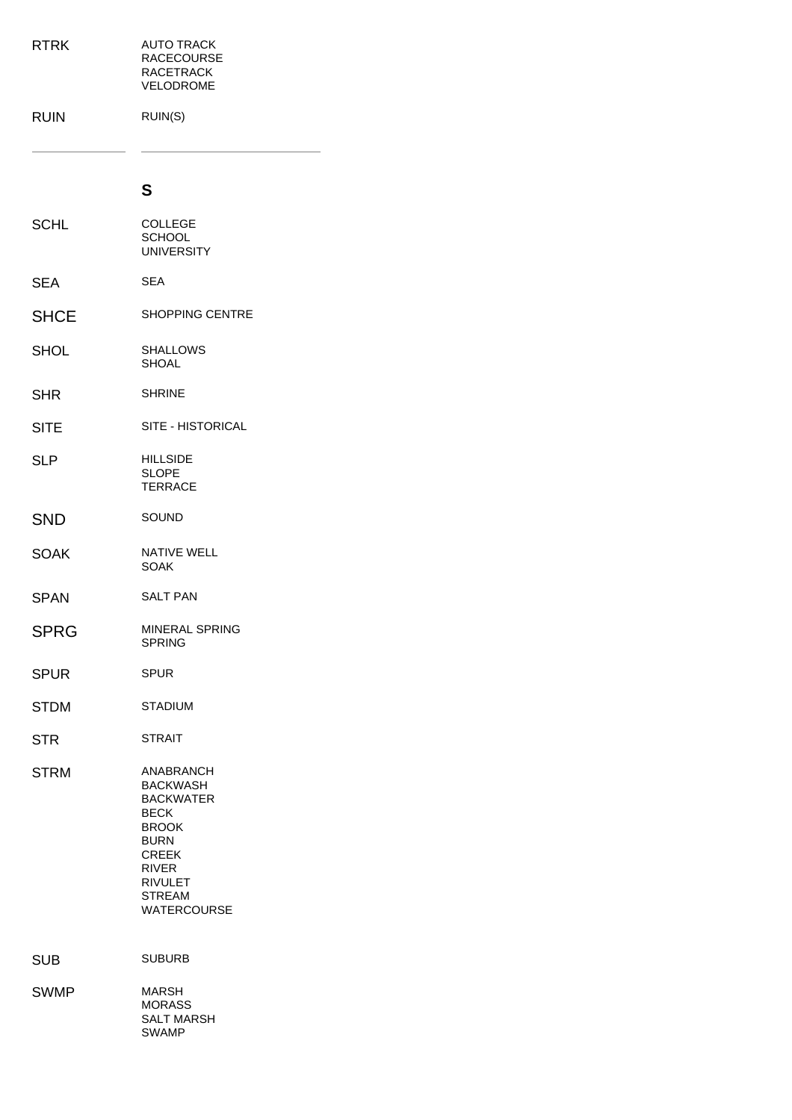<span id="page-49-0"></span>

| <b>RTRK</b> | <b>AUTO TRACK</b><br><b>RACECOURSE</b><br><b>RACETRACK</b><br>VELODROME                                                                                                                 |
|-------------|-----------------------------------------------------------------------------------------------------------------------------------------------------------------------------------------|
| <b>RUIN</b> | RUIN(S)                                                                                                                                                                                 |
|             | S                                                                                                                                                                                       |
| <b>SCHL</b> | <b>COLLEGE</b><br><b>SCHOOL</b><br><b>UNIVERSITY</b>                                                                                                                                    |
| <b>SEA</b>  | <b>SEA</b>                                                                                                                                                                              |
| <b>SHCE</b> | <b>SHOPPING CENTRE</b>                                                                                                                                                                  |
| <b>SHOL</b> | SHALLOWS<br><b>SHOAL</b>                                                                                                                                                                |
| <b>SHR</b>  | <b>SHRINE</b>                                                                                                                                                                           |
| <b>SITE</b> | SITE - HISTORICAL                                                                                                                                                                       |
| <b>SLP</b>  | <b>HILLSIDE</b><br><b>SLOPE</b><br><b>TERRACE</b>                                                                                                                                       |
| <b>SND</b>  | SOUND                                                                                                                                                                                   |
| <b>SOAK</b> | <b>NATIVE WELL</b><br>SOAK                                                                                                                                                              |
| <b>SPAN</b> | <b>SALT PAN</b>                                                                                                                                                                         |
| <b>SPRG</b> | MINERAL SPRING<br><b>SPRING</b>                                                                                                                                                         |
| <b>SPUR</b> | <b>SPUR</b>                                                                                                                                                                             |
| <b>STDM</b> | <b>STADIUM</b>                                                                                                                                                                          |
| <b>STR</b>  | <b>STRAIT</b>                                                                                                                                                                           |
| <b>STRM</b> | ANABRANCH<br><b>BACKWASH</b><br><b>BACKWATER</b><br><b>BECK</b><br><b>BROOK</b><br><b>BURN</b><br><b>CREEK</b><br><b>RIVER</b><br><b>RIVULET</b><br><b>STREAM</b><br><b>WATERCOURSE</b> |
| <b>SUB</b>  | <b>SUBURB</b>                                                                                                                                                                           |
| <b>SWMP</b> | <b>MARSH</b><br><b>MORASS</b><br><b>SALT MARSH</b><br><b>SWAMP</b>                                                                                                                      |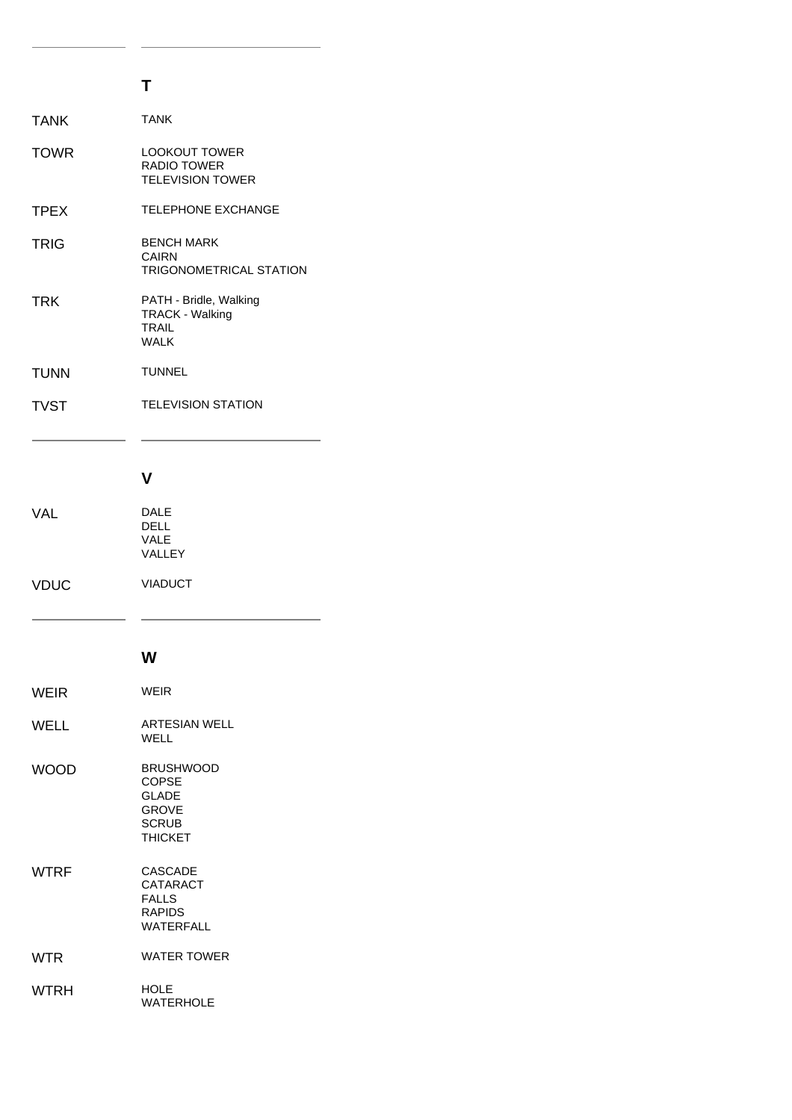# **T**

<span id="page-50-0"></span>

| <b>TANK</b> | <b>TANK</b>                                                                     |
|-------------|---------------------------------------------------------------------------------|
| <b>TOWR</b> | <b>LOOKOUT TOWER</b><br><b>RADIO TOWER</b><br><b>TELEVISION TOWER</b>           |
| <b>TPEX</b> | <b>TELEPHONE EXCHANGE</b>                                                       |
| TRIG        | <b>BENCH MARK</b><br>CAIRN<br><b>TRIGONOMETRICAL STATION</b>                    |
| <b>TRK</b>  | PATH - Bridle, Walking<br><b>TRACK - Walking</b><br><b>TRAIL</b><br><b>WALK</b> |
| <b>TUNN</b> | <b>TUNNEL</b>                                                                   |
| <b>TVST</b> | <b>TELEVISION STATION</b>                                                       |
|             |                                                                                 |
|             | v                                                                               |
| VAL         | <b>DALE</b><br><b>DELL</b><br>VALE<br><b>VALLEY</b>                             |
| <b>VDUC</b> | <b>VIADUCT</b>                                                                  |
|             |                                                                                 |

#### **W**

<span id="page-50-2"></span><span id="page-50-1"></span>

| WEIR        | <b>WEIR</b>                                                                                        |
|-------------|----------------------------------------------------------------------------------------------------|
| WELL        | <b>ARTESIAN WELL</b><br>WELL                                                                       |
| WOOD        | <b>BRUSHWOOD</b><br><b>COPSE</b><br><b>GLADE</b><br><b>GROVE</b><br><b>SCRUB</b><br><b>THICKET</b> |
| WTRF        | <b>CASCADE</b><br>CATARACT<br><b>FALLS</b><br>RAPIDS<br><b>WATFRFALL</b>                           |
| WTR         | <b>WATER TOWER</b>                                                                                 |
| <b>WTRH</b> | <b>HOLE</b><br><b>WATERHOLE</b>                                                                    |